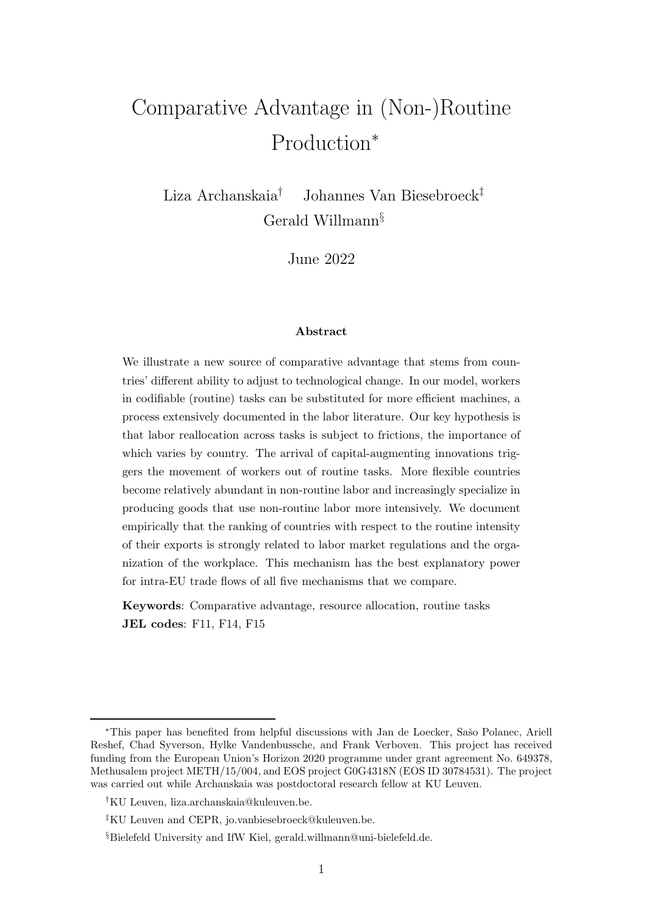# Comparative Advantage in (Non-)Routine Production<sup>∗</sup>

Liza Archanskaia† Johannes Van Biesebroeck‡ Gerald Willmann§

June 2022

#### Abstract

We illustrate a new source of comparative advantage that stems from countries' different ability to adjust to technological change. In our model, workers in codifiable (routine) tasks can be substituted for more efficient machines, a process extensively documented in the labor literature. Our key hypothesis is that labor reallocation across tasks is subject to frictions, the importance of which varies by country. The arrival of capital-augmenting innovations triggers the movement of workers out of routine tasks. More flexible countries become relatively abundant in non-routine labor and increasingly specialize in producing goods that use non-routine labor more intensively. We document empirically that the ranking of countries with respect to the routine intensity of their exports is strongly related to labor market regulations and the organization of the workplace. This mechanism has the best explanatory power for intra-EU trade flows of all five mechanisms that we compare.

Keywords: Comparative advantage, resource allocation, routine tasks JEL codes: F11, F14, F15

<sup>\*</sup>This paper has benefited from helpful discussions with Jan de Loecker, Sašo Polanec, Ariell Reshef, Chad Syverson, Hylke Vandenbussche, and Frank Verboven. This project has received funding from the European Union's Horizon 2020 programme under grant agreement No. 649378, Methusalem project METH/15/004, and EOS project G0G4318N (EOS ID 30784531). The project was carried out while Archanskaia was postdoctoral research fellow at KU Leuven.

<sup>†</sup>KU Leuven, liza.archanskaia@kuleuven.be.

<sup>‡</sup>KU Leuven and CEPR, jo.vanbiesebroeck@kuleuven.be.

<sup>§</sup>Bielefeld University and IfW Kiel, gerald.willmann@uni-bielefeld.de.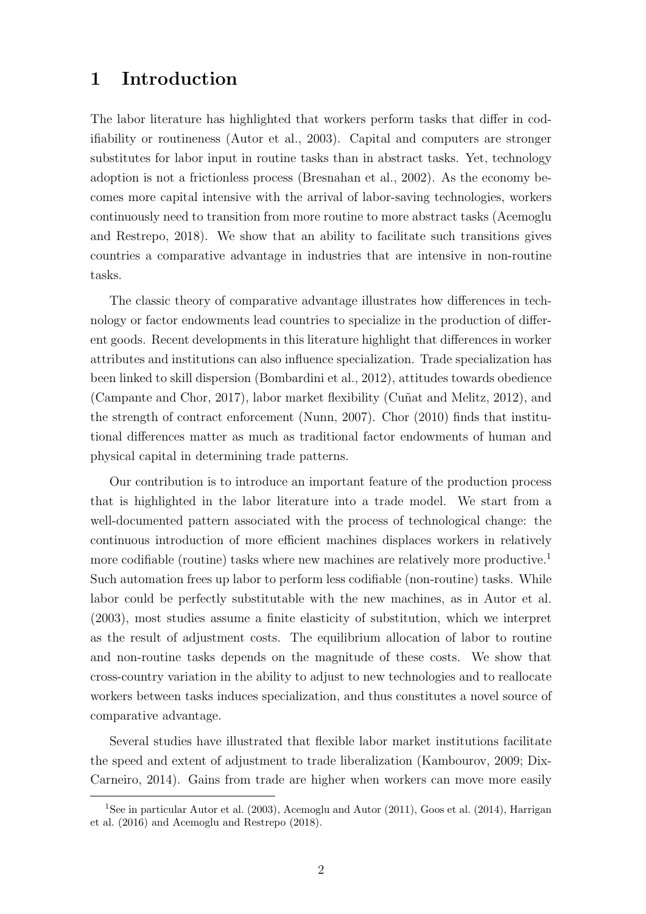## 1 Introduction

The labor literature has highlighted that workers perform tasks that differ in codifiability or routineness (Autor et al., 2003). Capital and computers are stronger substitutes for labor input in routine tasks than in abstract tasks. Yet, technology adoption is not a frictionless process (Bresnahan et al., 2002). As the economy becomes more capital intensive with the arrival of labor-saving technologies, workers continuously need to transition from more routine to more abstract tasks (Acemoglu and Restrepo, 2018). We show that an ability to facilitate such transitions gives countries a comparative advantage in industries that are intensive in non-routine tasks.

The classic theory of comparative advantage illustrates how differences in technology or factor endowments lead countries to specialize in the production of different goods. Recent developments in this literature highlight that differences in worker attributes and institutions can also influence specialization. Trade specialization has been linked to skill dispersion (Bombardini et al., 2012), attitudes towards obedience (Campante and Chor, 2017), labor market flexibility (Cuñat and Melitz, 2012), and the strength of contract enforcement (Nunn, 2007). Chor (2010) finds that institutional differences matter as much as traditional factor endowments of human and physical capital in determining trade patterns.

Our contribution is to introduce an important feature of the production process that is highlighted in the labor literature into a trade model. We start from a well-documented pattern associated with the process of technological change: the continuous introduction of more efficient machines displaces workers in relatively more codifiable (routine) tasks where new machines are relatively more productive.<sup>1</sup> Such automation frees up labor to perform less codifiable (non-routine) tasks. While labor could be perfectly substitutable with the new machines, as in Autor et al. (2003), most studies assume a finite elasticity of substitution, which we interpret as the result of adjustment costs. The equilibrium allocation of labor to routine and non-routine tasks depends on the magnitude of these costs. We show that cross-country variation in the ability to adjust to new technologies and to reallocate workers between tasks induces specialization, and thus constitutes a novel source of comparative advantage.

Several studies have illustrated that flexible labor market institutions facilitate the speed and extent of adjustment to trade liberalization (Kambourov, 2009; Dix-Carneiro, 2014). Gains from trade are higher when workers can move more easily

<sup>1</sup>See in particular Autor et al. (2003), Acemoglu and Autor (2011), Goos et al. (2014), Harrigan et al. (2016) and Acemoglu and Restrepo (2018).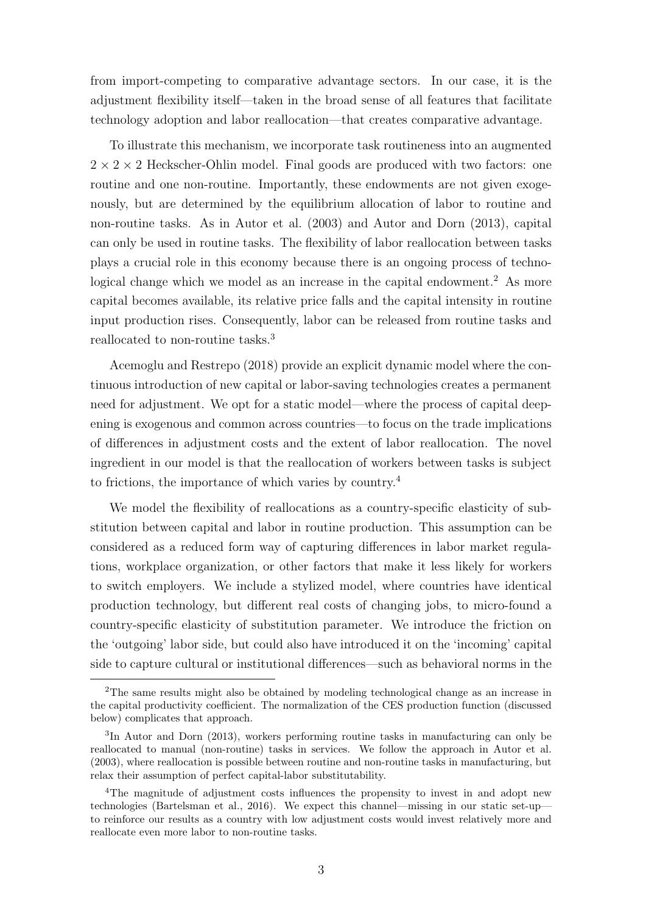from import-competing to comparative advantage sectors. In our case, it is the adjustment flexibility itself—taken in the broad sense of all features that facilitate technology adoption and labor reallocation—that creates comparative advantage.

To illustrate this mechanism, we incorporate task routineness into an augmented  $2 \times 2 \times 2$  Heckscher-Ohlin model. Final goods are produced with two factors: one routine and one non-routine. Importantly, these endowments are not given exogenously, but are determined by the equilibrium allocation of labor to routine and non-routine tasks. As in Autor et al. (2003) and Autor and Dorn (2013), capital can only be used in routine tasks. The flexibility of labor reallocation between tasks plays a crucial role in this economy because there is an ongoing process of technological change which we model as an increase in the capital endowment.<sup>2</sup> As more capital becomes available, its relative price falls and the capital intensity in routine input production rises. Consequently, labor can be released from routine tasks and reallocated to non-routine tasks.<sup>3</sup>

Acemoglu and Restrepo (2018) provide an explicit dynamic model where the continuous introduction of new capital or labor-saving technologies creates a permanent need for adjustment. We opt for a static model—where the process of capital deepening is exogenous and common across countries—to focus on the trade implications of differences in adjustment costs and the extent of labor reallocation. The novel ingredient in our model is that the reallocation of workers between tasks is subject to frictions, the importance of which varies by country.<sup>4</sup>

We model the flexibility of reallocations as a country-specific elasticity of substitution between capital and labor in routine production. This assumption can be considered as a reduced form way of capturing differences in labor market regulations, workplace organization, or other factors that make it less likely for workers to switch employers. We include a stylized model, where countries have identical production technology, but different real costs of changing jobs, to micro-found a country-specific elasticity of substitution parameter. We introduce the friction on the 'outgoing' labor side, but could also have introduced it on the 'incoming' capital side to capture cultural or institutional differences—such as behavioral norms in the

<sup>2</sup>The same results might also be obtained by modeling technological change as an increase in the capital productivity coefficient. The normalization of the CES production function (discussed below) complicates that approach.

<sup>3</sup> In Autor and Dorn (2013), workers performing routine tasks in manufacturing can only be reallocated to manual (non-routine) tasks in services. We follow the approach in Autor et al. (2003), where reallocation is possible between routine and non-routine tasks in manufacturing, but relax their assumption of perfect capital-labor substitutability.

<sup>&</sup>lt;sup>4</sup>The magnitude of adjustment costs influences the propensity to invest in and adopt new technologies (Bartelsman et al., 2016). We expect this channel—missing in our static set-up to reinforce our results as a country with low adjustment costs would invest relatively more and reallocate even more labor to non-routine tasks.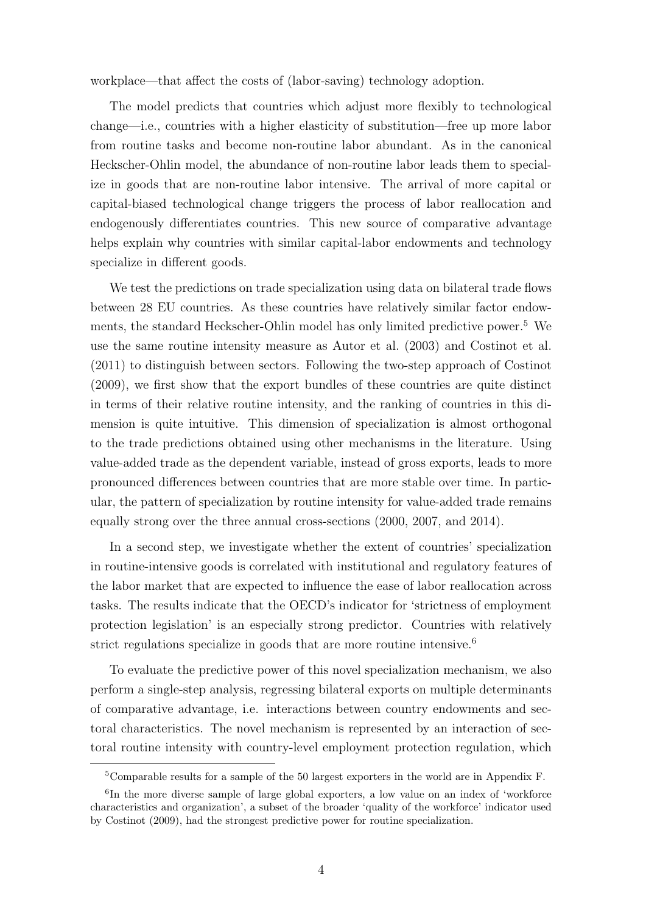workplace—that affect the costs of (labor-saving) technology adoption.

The model predicts that countries which adjust more flexibly to technological change—i.e., countries with a higher elasticity of substitution—free up more labor from routine tasks and become non-routine labor abundant. As in the canonical Heckscher-Ohlin model, the abundance of non-routine labor leads them to specialize in goods that are non-routine labor intensive. The arrival of more capital or capital-biased technological change triggers the process of labor reallocation and endogenously differentiates countries. This new source of comparative advantage helps explain why countries with similar capital-labor endowments and technology specialize in different goods.

We test the predictions on trade specialization using data on bilateral trade flows between 28 EU countries. As these countries have relatively similar factor endowments, the standard Heckscher-Ohlin model has only limited predictive power.<sup>5</sup> We use the same routine intensity measure as Autor et al. (2003) and Costinot et al. (2011) to distinguish between sectors. Following the two-step approach of Costinot (2009), we first show that the export bundles of these countries are quite distinct in terms of their relative routine intensity, and the ranking of countries in this dimension is quite intuitive. This dimension of specialization is almost orthogonal to the trade predictions obtained using other mechanisms in the literature. Using value-added trade as the dependent variable, instead of gross exports, leads to more pronounced differences between countries that are more stable over time. In particular, the pattern of specialization by routine intensity for value-added trade remains equally strong over the three annual cross-sections (2000, 2007, and 2014).

In a second step, we investigate whether the extent of countries' specialization in routine-intensive goods is correlated with institutional and regulatory features of the labor market that are expected to influence the ease of labor reallocation across tasks. The results indicate that the OECD's indicator for 'strictness of employment protection legislation' is an especially strong predictor. Countries with relatively strict regulations specialize in goods that are more routine intensive.<sup>6</sup>

To evaluate the predictive power of this novel specialization mechanism, we also perform a single-step analysis, regressing bilateral exports on multiple determinants of comparative advantage, i.e. interactions between country endowments and sectoral characteristics. The novel mechanism is represented by an interaction of sectoral routine intensity with country-level employment protection regulation, which

<sup>&</sup>lt;sup>5</sup>Comparable results for a sample of the 50 largest exporters in the world are in Appendix F.

<sup>&</sup>lt;sup>6</sup>In the more diverse sample of large global exporters, a low value on an index of 'workforce characteristics and organization', a subset of the broader 'quality of the workforce' indicator used by Costinot (2009), had the strongest predictive power for routine specialization.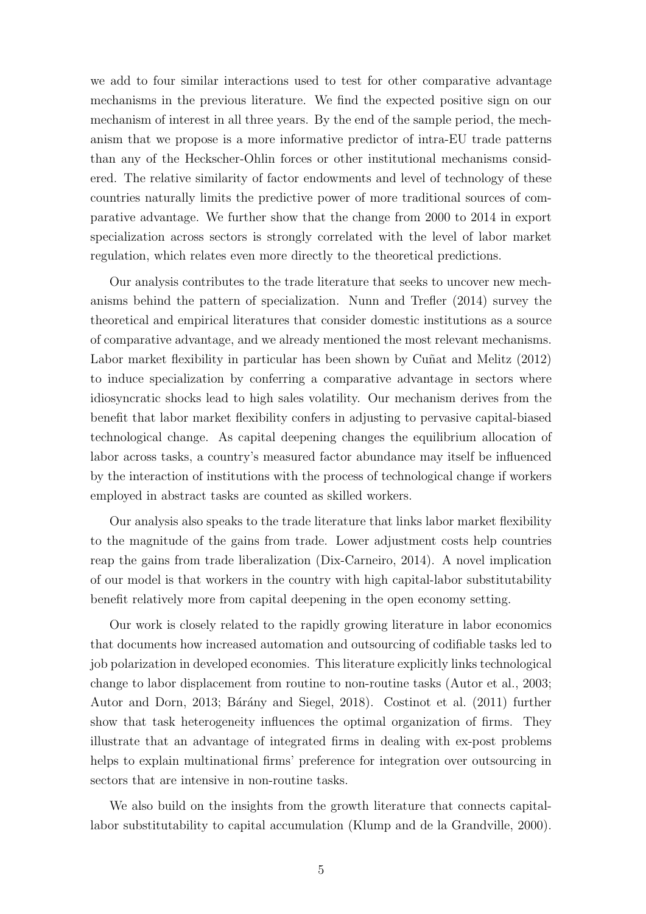we add to four similar interactions used to test for other comparative advantage mechanisms in the previous literature. We find the expected positive sign on our mechanism of interest in all three years. By the end of the sample period, the mechanism that we propose is a more informative predictor of intra-EU trade patterns than any of the Heckscher-Ohlin forces or other institutional mechanisms considered. The relative similarity of factor endowments and level of technology of these countries naturally limits the predictive power of more traditional sources of comparative advantage. We further show that the change from 2000 to 2014 in export specialization across sectors is strongly correlated with the level of labor market regulation, which relates even more directly to the theoretical predictions.

Our analysis contributes to the trade literature that seeks to uncover new mechanisms behind the pattern of specialization. Nunn and Trefler (2014) survey the theoretical and empirical literatures that consider domestic institutions as a source of comparative advantage, and we already mentioned the most relevant mechanisms. Labor market flexibility in particular has been shown by Cuñat and Melitz (2012) to induce specialization by conferring a comparative advantage in sectors where idiosyncratic shocks lead to high sales volatility. Our mechanism derives from the benefit that labor market flexibility confers in adjusting to pervasive capital-biased technological change. As capital deepening changes the equilibrium allocation of labor across tasks, a country's measured factor abundance may itself be influenced by the interaction of institutions with the process of technological change if workers employed in abstract tasks are counted as skilled workers.

Our analysis also speaks to the trade literature that links labor market flexibility to the magnitude of the gains from trade. Lower adjustment costs help countries reap the gains from trade liberalization (Dix-Carneiro, 2014). A novel implication of our model is that workers in the country with high capital-labor substitutability benefit relatively more from capital deepening in the open economy setting.

Our work is closely related to the rapidly growing literature in labor economics that documents how increased automation and outsourcing of codifiable tasks led to job polarization in developed economies. This literature explicitly links technological change to labor displacement from routine to non-routine tasks (Autor et al., 2003; Autor and Dorn, 2013; Bárány and Siegel, 2018). Costinot et al. (2011) further show that task heterogeneity influences the optimal organization of firms. They illustrate that an advantage of integrated firms in dealing with ex-post problems helps to explain multinational firms' preference for integration over outsourcing in sectors that are intensive in non-routine tasks.

We also build on the insights from the growth literature that connects capitallabor substitutability to capital accumulation (Klump and de la Grandville, 2000).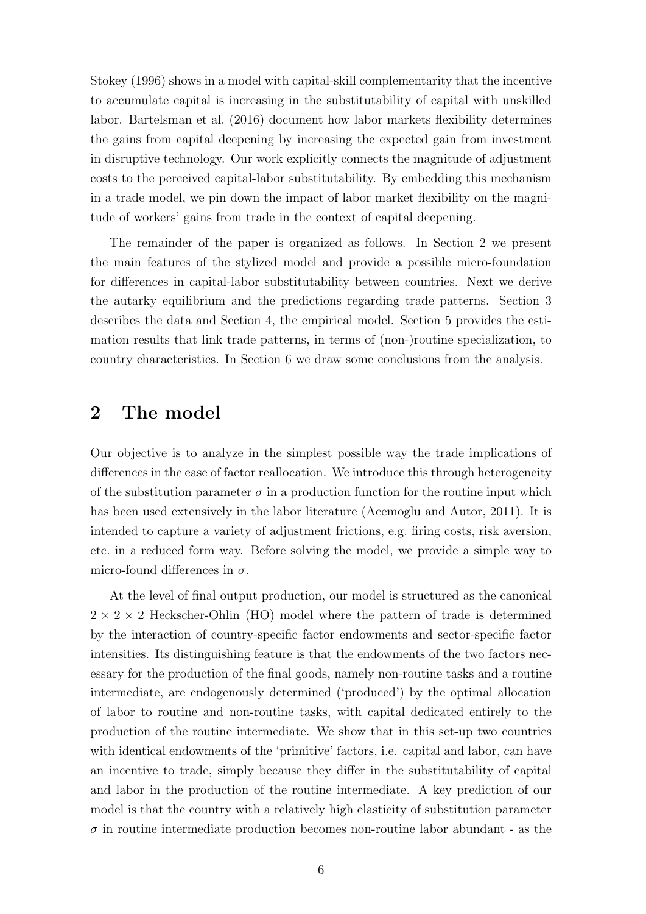Stokey (1996) shows in a model with capital-skill complementarity that the incentive to accumulate capital is increasing in the substitutability of capital with unskilled labor. Bartelsman et al. (2016) document how labor markets flexibility determines the gains from capital deepening by increasing the expected gain from investment in disruptive technology. Our work explicitly connects the magnitude of adjustment costs to the perceived capital-labor substitutability. By embedding this mechanism in a trade model, we pin down the impact of labor market flexibility on the magnitude of workers' gains from trade in the context of capital deepening.

The remainder of the paper is organized as follows. In Section 2 we present the main features of the stylized model and provide a possible micro-foundation for differences in capital-labor substitutability between countries. Next we derive the autarky equilibrium and the predictions regarding trade patterns. Section 3 describes the data and Section 4, the empirical model. Section 5 provides the estimation results that link trade patterns, in terms of (non-)routine specialization, to country characteristics. In Section 6 we draw some conclusions from the analysis.

## 2 The model

Our objective is to analyze in the simplest possible way the trade implications of differences in the ease of factor reallocation. We introduce this through heterogeneity of the substitution parameter  $\sigma$  in a production function for the routine input which has been used extensively in the labor literature (Acemoglu and Autor, 2011). It is intended to capture a variety of adjustment frictions, e.g. firing costs, risk aversion, etc. in a reduced form way. Before solving the model, we provide a simple way to micro-found differences in  $\sigma$ .

At the level of final output production, our model is structured as the canonical  $2 \times 2 \times 2$  Heckscher-Ohlin (HO) model where the pattern of trade is determined by the interaction of country-specific factor endowments and sector-specific factor intensities. Its distinguishing feature is that the endowments of the two factors necessary for the production of the final goods, namely non-routine tasks and a routine intermediate, are endogenously determined ('produced') by the optimal allocation of labor to routine and non-routine tasks, with capital dedicated entirely to the production of the routine intermediate. We show that in this set-up two countries with identical endowments of the 'primitive' factors, i.e. capital and labor, can have an incentive to trade, simply because they differ in the substitutability of capital and labor in the production of the routine intermediate. A key prediction of our model is that the country with a relatively high elasticity of substitution parameter  $\sigma$  in routine intermediate production becomes non-routine labor abundant - as the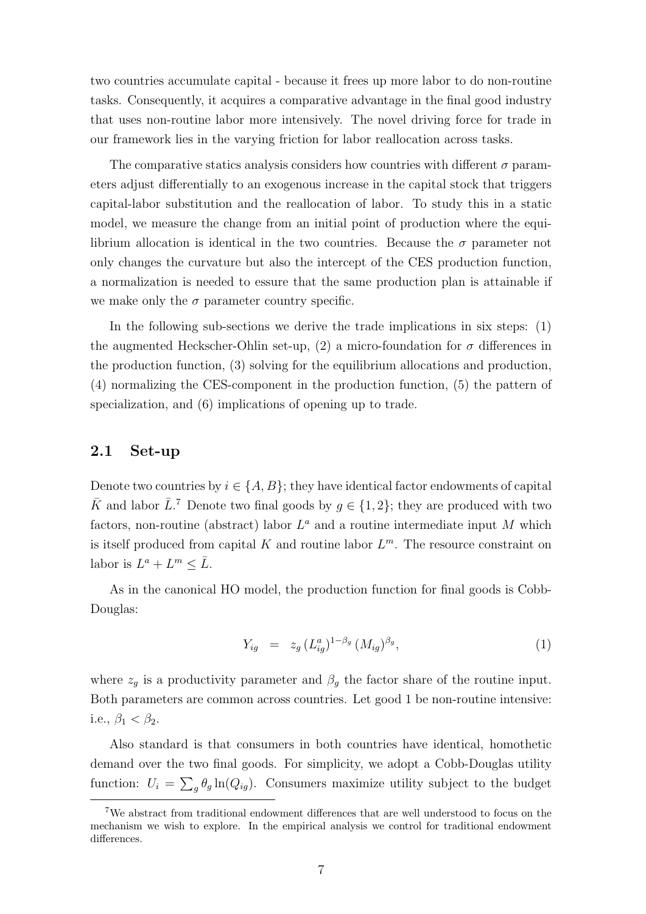two countries accumulate capital - because it frees up more labor to do non-routine tasks. Consequently, it acquires a comparative advantage in the final good industry that uses non-routine labor more intensively. The novel driving force for trade in our framework lies in the varying friction for labor reallocation across tasks.

The comparative statics analysis considers how countries with different  $\sigma$  parameters adjust differentially to an exogenous increase in the capital stock that triggers capital-labor substitution and the reallocation of labor. To study this in a static model, we measure the change from an initial point of production where the equilibrium allocation is identical in the two countries. Because the  $\sigma$  parameter not only changes the curvature but also the intercept of the CES production function, a normalization is needed to essure that the same production plan is attainable if we make only the  $\sigma$  parameter country specific.

In the following sub-sections we derive the trade implications in six steps: (1) the augmented Heckscher-Ohlin set-up, (2) a micro-foundation for  $\sigma$  differences in the production function, (3) solving for the equilibrium allocations and production, (4) normalizing the CES-component in the production function, (5) the pattern of specialization, and (6) implications of opening up to trade.

### 2.1 Set-up

Denote two countries by  $i \in \{A, B\}$ ; they have identical factor endowments of capital  $\bar{K}$  and labor  $\bar{L}$ .<sup>7</sup> Denote two final goods by  $g \in \{1, 2\}$ ; they are produced with two factors, non-routine (abstract) labor  $L^a$  and a routine intermediate input M which is itself produced from capital  $K$  and routine labor  $L^m$ . The resource constraint on labor is  $L^a + L^m \leq \overline{L}$ .

As in the canonical HO model, the production function for final goods is Cobb-Douglas:

$$
Y_{ig} = z_g \left( L_{ig}^a \right)^{1 - \beta_g} \left( M_{ig} \right)^{\beta_g}, \tag{1}
$$

where  $z_g$  is a productivity parameter and  $\beta_g$  the factor share of the routine input. Both parameters are common across countries. Let good 1 be non-routine intensive: i.e.,  $\beta_1 < \beta_2$ .

Also standard is that consumers in both countries have identical, homothetic demand over the two final goods. For simplicity, we adopt a Cobb-Douglas utility function:  $U_i = \sum_g \theta_g \ln(Q_{ig})$ . Consumers maximize utility subject to the budget

<sup>7</sup>We abstract from traditional endowment differences that are well understood to focus on the mechanism we wish to explore. In the empirical analysis we control for traditional endowment differences.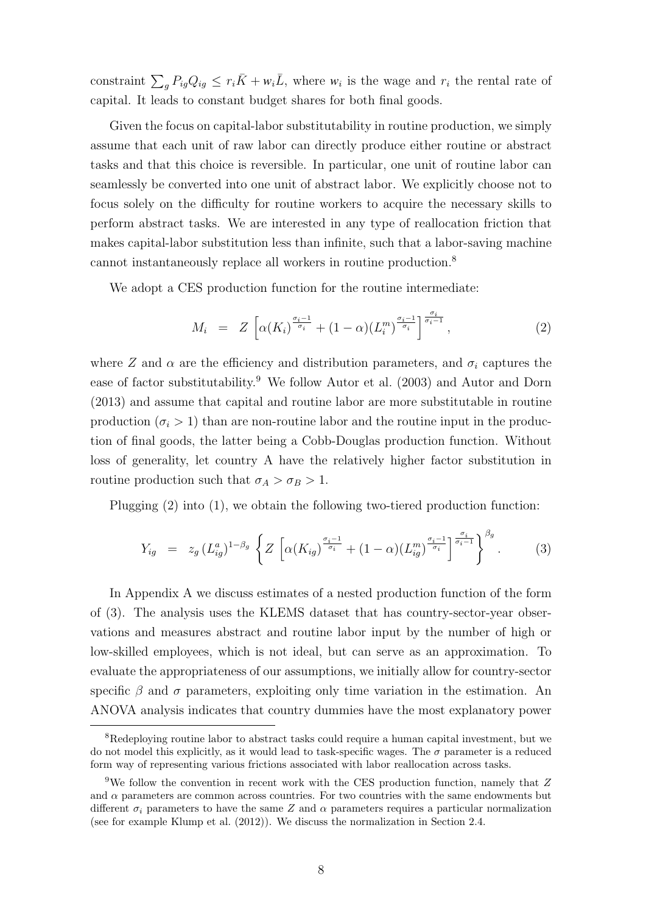constraint  $\sum_{g} P_{ig} Q_{ig} \leq r_i \bar{K} + w_i \bar{L}$ , where  $w_i$  is the wage and  $r_i$  the rental rate of capital. It leads to constant budget shares for both final goods.

Given the focus on capital-labor substitutability in routine production, we simply assume that each unit of raw labor can directly produce either routine or abstract tasks and that this choice is reversible. In particular, one unit of routine labor can seamlessly be converted into one unit of abstract labor. We explicitly choose not to focus solely on the difficulty for routine workers to acquire the necessary skills to perform abstract tasks. We are interested in any type of reallocation friction that makes capital-labor substitution less than infinite, such that a labor-saving machine cannot instantaneously replace all workers in routine production.<sup>8</sup>

We adopt a CES production function for the routine intermediate:

$$
M_i = Z \left[ \alpha(K_i)^{\frac{\sigma_i - 1}{\sigma_i}} + (1 - \alpha)(L_i^m)^{\frac{\sigma_i - 1}{\sigma_i}} \right]^{\frac{\sigma_i}{\sigma_i - 1}}, \tag{2}
$$

where Z and  $\alpha$  are the efficiency and distribution parameters, and  $\sigma_i$  captures the ease of factor substitutability.<sup>9</sup> We follow Autor et al. (2003) and Autor and Dorn (2013) and assume that capital and routine labor are more substitutable in routine production  $(\sigma_i > 1)$  than are non-routine labor and the routine input in the production of final goods, the latter being a Cobb-Douglas production function. Without loss of generality, let country A have the relatively higher factor substitution in routine production such that  $\sigma_A > \sigma_B > 1$ .

Plugging (2) into (1), we obtain the following two-tiered production function:

$$
Y_{ig} = z_g (L_{ig}^a)^{1-\beta_g} \left\{ Z \left[ \alpha(K_{ig})^{\frac{\sigma_i-1}{\sigma_i}} + (1-\alpha)(L_{ig}^m)^{\frac{\sigma_i-1}{\sigma_i}} \right]^{\frac{\sigma_i}{\sigma_i-1}} \right\}^{\beta_g}.
$$
 (3)

In Appendix A we discuss estimates of a nested production function of the form of (3). The analysis uses the KLEMS dataset that has country-sector-year observations and measures abstract and routine labor input by the number of high or low-skilled employees, which is not ideal, but can serve as an approximation. To evaluate the appropriateness of our assumptions, we initially allow for country-sector specific  $\beta$  and  $\sigma$  parameters, exploiting only time variation in the estimation. An ANOVA analysis indicates that country dummies have the most explanatory power

<sup>8</sup>Redeploying routine labor to abstract tasks could require a human capital investment, but we do not model this explicitly, as it would lead to task-specific wages. The  $\sigma$  parameter is a reduced form way of representing various frictions associated with labor reallocation across tasks.

<sup>&</sup>lt;sup>9</sup>We follow the convention in recent work with the CES production function, namely that Z and  $\alpha$  parameters are common across countries. For two countries with the same endowments but different  $\sigma_i$  parameters to have the same Z and  $\alpha$  parameters requires a particular normalization (see for example Klump et al. (2012)). We discuss the normalization in Section 2.4.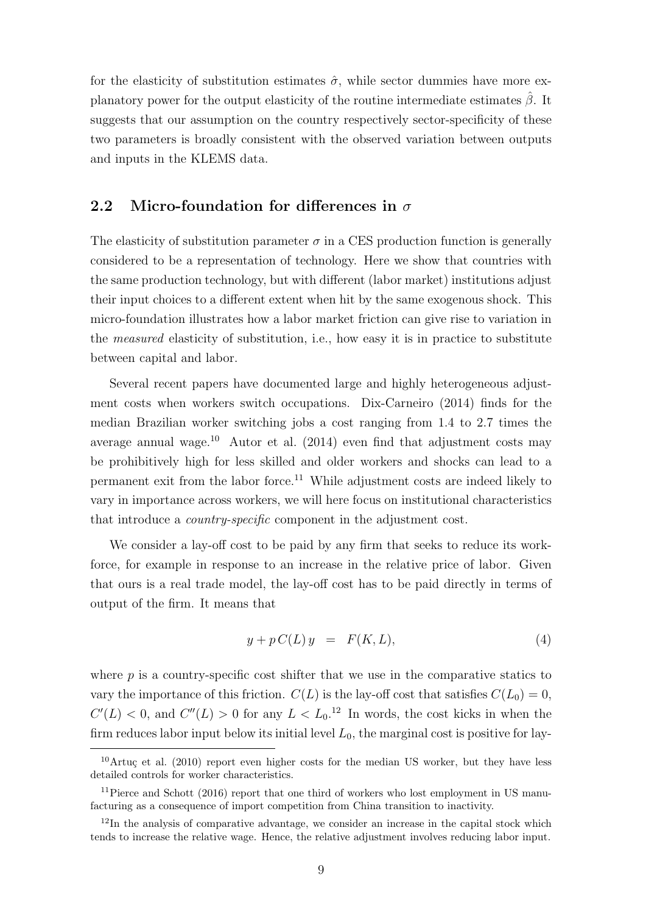for the elasticity of substitution estimates  $\hat{\sigma}$ , while sector dummies have more explanatory power for the output elasticity of the routine intermediate estimates  $\hat{\beta}$ . It suggests that our assumption on the country respectively sector-specificity of these two parameters is broadly consistent with the observed variation between outputs and inputs in the KLEMS data.

## 2.2 Micro-foundation for differences in  $\sigma$

The elasticity of substitution parameter  $\sigma$  in a CES production function is generally considered to be a representation of technology. Here we show that countries with the same production technology, but with different (labor market) institutions adjust their input choices to a different extent when hit by the same exogenous shock. This micro-foundation illustrates how a labor market friction can give rise to variation in the *measured* elasticity of substitution, i.e., how easy it is in practice to substitute between capital and labor.

Several recent papers have documented large and highly heterogeneous adjustment costs when workers switch occupations. Dix-Carneiro (2014) finds for the median Brazilian worker switching jobs a cost ranging from 1.4 to 2.7 times the average annual wage.<sup>10</sup> Autor et al.  $(2014)$  even find that adjustment costs may be prohibitively high for less skilled and older workers and shocks can lead to a permanent exit from the labor force.<sup>11</sup> While adjustment costs are indeed likely to vary in importance across workers, we will here focus on institutional characteristics that introduce a country-specific component in the adjustment cost.

We consider a lay-off cost to be paid by any firm that seeks to reduce its workforce, for example in response to an increase in the relative price of labor. Given that ours is a real trade model, the lay-off cost has to be paid directly in terms of output of the firm. It means that

$$
y + p C(L) y = F(K, L), \tag{4}
$$

where  $p$  is a country-specific cost shifter that we use in the comparative statics to vary the importance of this friction.  $C(L)$  is the lay-off cost that satisfies  $C(L_0) = 0$ ,  $C'(L) < 0$ , and  $C''(L) > 0$  for any  $L < L_0$ .<sup>12</sup> In words, the cost kicks in when the firm reduces labor input below its initial level  $L_0$ , the marginal cost is positive for lay-

 $10$ Artuc et al. (2010) report even higher costs for the median US worker, but they have less detailed controls for worker characteristics.

<sup>&</sup>lt;sup>11</sup>Pierce and Schott (2016) report that one third of workers who lost employment in US manufacturing as a consequence of import competition from China transition to inactivity.

 $12$ In the analysis of comparative advantage, we consider an increase in the capital stock which tends to increase the relative wage. Hence, the relative adjustment involves reducing labor input.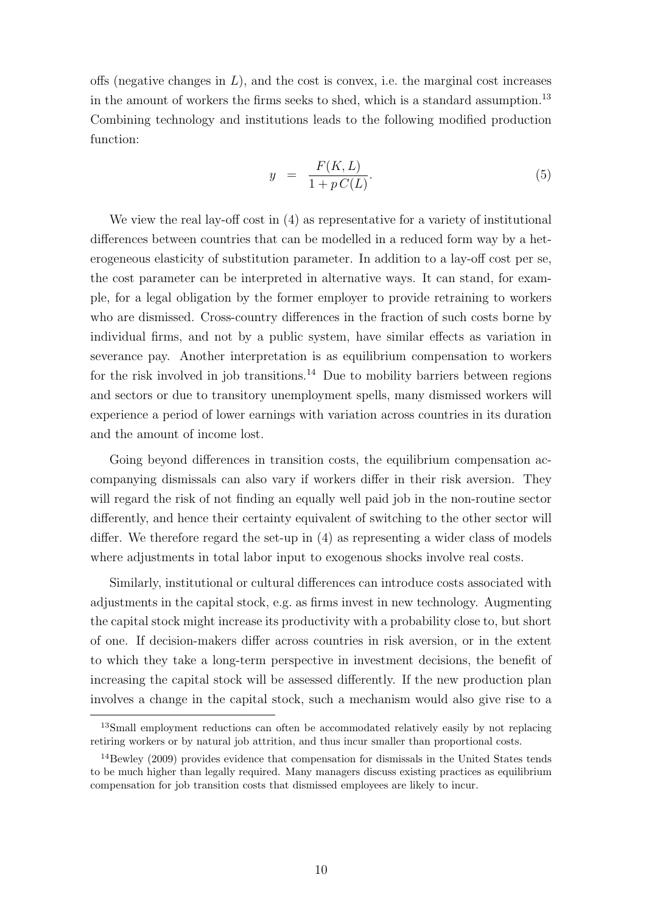offs (negative changes in  $L$ ), and the cost is convex, i.e. the marginal cost increases in the amount of workers the firms seeks to shed, which is a standard assumption.<sup>13</sup> Combining technology and institutions leads to the following modified production function:

$$
y = \frac{F(K, L)}{1 + p C(L)}.\tag{5}
$$

We view the real lay-off cost in (4) as representative for a variety of institutional differences between countries that can be modelled in a reduced form way by a heterogeneous elasticity of substitution parameter. In addition to a lay-off cost per se, the cost parameter can be interpreted in alternative ways. It can stand, for example, for a legal obligation by the former employer to provide retraining to workers who are dismissed. Cross-country differences in the fraction of such costs borne by individual firms, and not by a public system, have similar effects as variation in severance pay. Another interpretation is as equilibrium compensation to workers for the risk involved in job transitions.<sup>14</sup> Due to mobility barriers between regions and sectors or due to transitory unemployment spells, many dismissed workers will experience a period of lower earnings with variation across countries in its duration and the amount of income lost.

Going beyond differences in transition costs, the equilibrium compensation accompanying dismissals can also vary if workers differ in their risk aversion. They will regard the risk of not finding an equally well paid job in the non-routine sector differently, and hence their certainty equivalent of switching to the other sector will differ. We therefore regard the set-up in (4) as representing a wider class of models where adjustments in total labor input to exogenous shocks involve real costs.

Similarly, institutional or cultural differences can introduce costs associated with adjustments in the capital stock, e.g. as firms invest in new technology. Augmenting the capital stock might increase its productivity with a probability close to, but short of one. If decision-makers differ across countries in risk aversion, or in the extent to which they take a long-term perspective in investment decisions, the benefit of increasing the capital stock will be assessed differently. If the new production plan involves a change in the capital stock, such a mechanism would also give rise to a

<sup>13</sup>Small employment reductions can often be accommodated relatively easily by not replacing retiring workers or by natural job attrition, and thus incur smaller than proportional costs.

<sup>14</sup>Bewley (2009) provides evidence that compensation for dismissals in the United States tends to be much higher than legally required. Many managers discuss existing practices as equilibrium compensation for job transition costs that dismissed employees are likely to incur.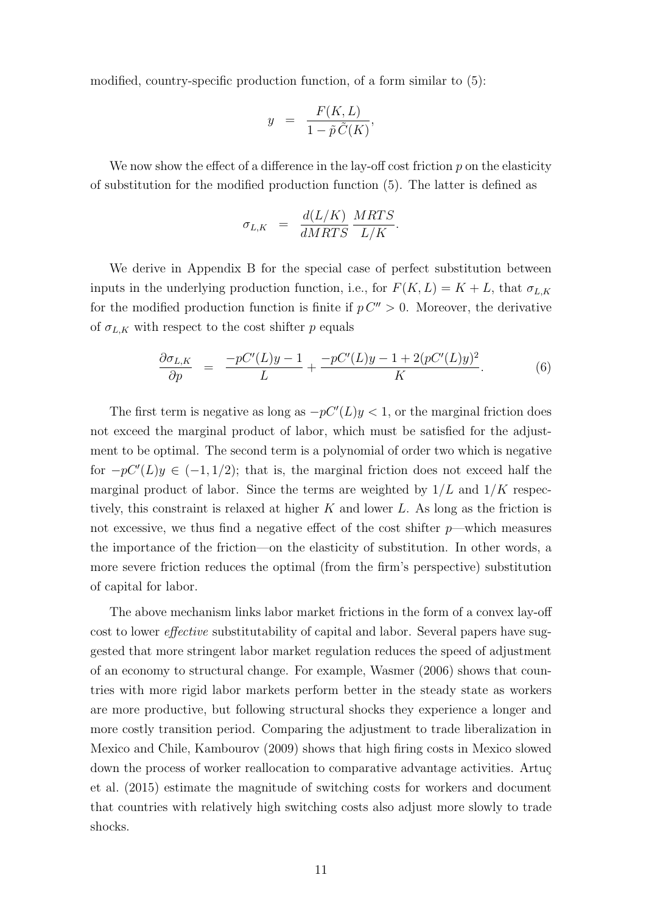modified, country-specific production function, of a form similar to (5):

$$
y = \frac{F(K, L)}{1 - \tilde{p}\,\tilde{C}(K)},
$$

We now show the effect of a difference in the lay-off cost friction  $p$  on the elasticity of substitution for the modified production function (5). The latter is defined as

$$
\sigma_{L,K} = \frac{d(L/K)}{dMRTS} \frac{MRTS}{L/K}.
$$

We derive in Appendix B for the special case of perfect substitution between inputs in the underlying production function, i.e., for  $F(K, L) = K + L$ , that  $\sigma_{L,K}$ for the modified production function is finite if  $p C'' > 0$ . Moreover, the derivative of  $\sigma_{L,K}$  with respect to the cost shifter p equals

$$
\frac{\partial \sigma_{L,K}}{\partial p} = \frac{-pC'(L)y - 1}{L} + \frac{-pC'(L)y - 1 + 2(pC'(L)y)^2}{K}.
$$
 (6)

The first term is negative as long as  $-pC'(L)y < 1$ , or the marginal friction does not exceed the marginal product of labor, which must be satisfied for the adjustment to be optimal. The second term is a polynomial of order two which is negative for  $-pC'(L)y \in (-1,1/2)$ ; that is, the marginal friction does not exceed half the marginal product of labor. Since the terms are weighted by  $1/L$  and  $1/K$  respectively, this constraint is relaxed at higher  $K$  and lower  $L$ . As long as the friction is not excessive, we thus find a negative effect of the cost shifter  $p$ —which measures the importance of the friction—on the elasticity of substitution. In other words, a more severe friction reduces the optimal (from the firm's perspective) substitution of capital for labor.

The above mechanism links labor market frictions in the form of a convex lay-off cost to lower effective substitutability of capital and labor. Several papers have suggested that more stringent labor market regulation reduces the speed of adjustment of an economy to structural change. For example, Wasmer (2006) shows that countries with more rigid labor markets perform better in the steady state as workers are more productive, but following structural shocks they experience a longer and more costly transition period. Comparing the adjustment to trade liberalization in Mexico and Chile, Kambourov (2009) shows that high firing costs in Mexico slowed down the process of worker reallocation to comparative advantage activities. Artug et al. (2015) estimate the magnitude of switching costs for workers and document that countries with relatively high switching costs also adjust more slowly to trade shocks.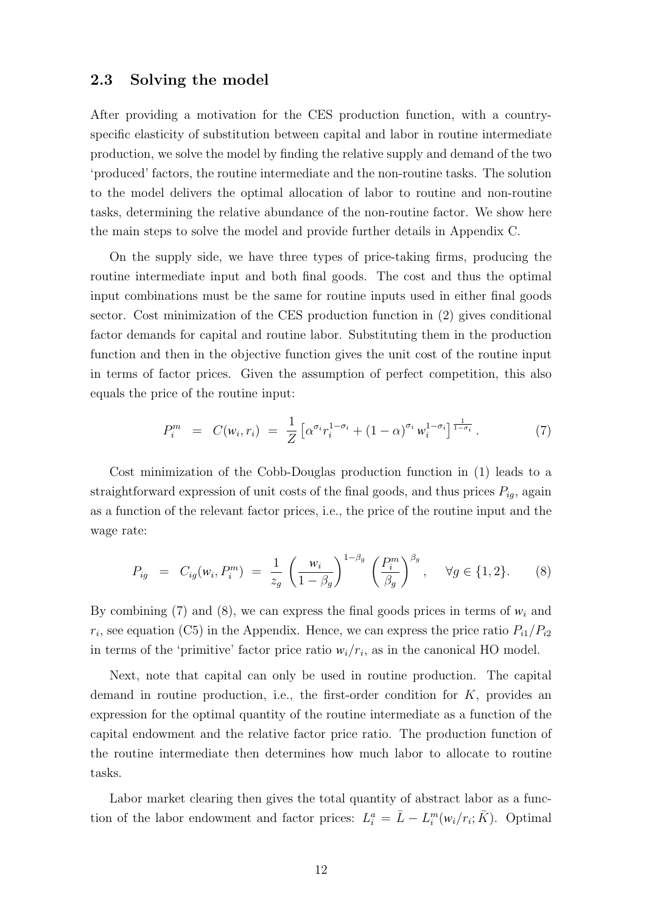### 2.3 Solving the model

After providing a motivation for the CES production function, with a countryspecific elasticity of substitution between capital and labor in routine intermediate production, we solve the model by finding the relative supply and demand of the two 'produced' factors, the routine intermediate and the non-routine tasks. The solution to the model delivers the optimal allocation of labor to routine and non-routine tasks, determining the relative abundance of the non-routine factor. We show here the main steps to solve the model and provide further details in Appendix C.

On the supply side, we have three types of price-taking firms, producing the routine intermediate input and both final goods. The cost and thus the optimal input combinations must be the same for routine inputs used in either final goods sector. Cost minimization of the CES production function in (2) gives conditional factor demands for capital and routine labor. Substituting them in the production function and then in the objective function gives the unit cost of the routine input in terms of factor prices. Given the assumption of perfect competition, this also equals the price of the routine input:

$$
P_i^m = C(w_i, r_i) = \frac{1}{Z} \left[ \alpha^{\sigma_i} r_i^{1-\sigma_i} + (1-\alpha)^{\sigma_i} w_i^{1-\sigma_i} \right]_{\frac{1}{1-\sigma_i}}^{\frac{1}{1-\sigma_i}}.
$$
 (7)

Cost minimization of the Cobb-Douglas production function in (1) leads to a straightforward expression of unit costs of the final goods, and thus prices  $P_{ig}$ , again as a function of the relevant factor prices, i.e., the price of the routine input and the wage rate:

$$
P_{ig} = C_{ig}(w_i, P_i^m) = \frac{1}{z_g} \left(\frac{w_i}{1 - \beta_g}\right)^{1 - \beta_g} \left(\frac{P_i^m}{\beta_g}\right)^{\beta_g}, \quad \forall g \in \{1, 2\}.
$$
 (8)

By combining  $(7)$  and  $(8)$ , we can express the final goods prices in terms of  $w_i$  and  $r_i$ , see equation (C5) in the Appendix. Hence, we can express the price ratio  $P_{i1}/P_{i2}$ in terms of the 'primitive' factor price ratio  $w_i/r_i$ , as in the canonical HO model.

Next, note that capital can only be used in routine production. The capital demand in routine production, i.e., the first-order condition for  $K$ , provides an expression for the optimal quantity of the routine intermediate as a function of the capital endowment and the relative factor price ratio. The production function of the routine intermediate then determines how much labor to allocate to routine tasks.

Labor market clearing then gives the total quantity of abstract labor as a function of the labor endowment and factor prices:  $L_i^a = \bar{L} - L_i^m(w_i/r_i; \bar{K})$ . Optimal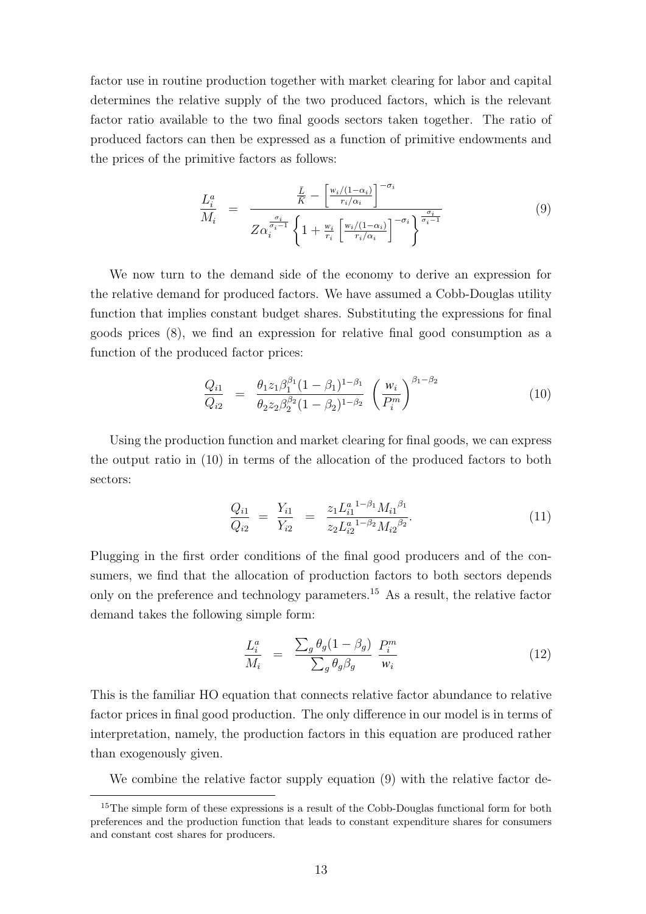factor use in routine production together with market clearing for labor and capital determines the relative supply of the two produced factors, which is the relevant factor ratio available to the two final goods sectors taken together. The ratio of produced factors can then be expressed as a function of primitive endowments and the prices of the primitive factors as follows:

$$
\frac{L_i^a}{M_i} = \frac{\frac{\bar{L}}{\bar{K}} - \left[\frac{w_i/(1-\alpha_i)}{r_i/\alpha_i}\right]^{-\sigma_i}}{Z\alpha_i^{\frac{\sigma_i}{\sigma_i-1}}\left\{1 + \frac{w_i}{r_i}\left[\frac{w_i/(1-\alpha_i)}{r_i/\alpha_i}\right]^{-\sigma_i}\right\}^{\frac{\sigma_i}{\sigma_i-1}}}
$$
\n(9)

We now turn to the demand side of the economy to derive an expression for the relative demand for produced factors. We have assumed a Cobb-Douglas utility function that implies constant budget shares. Substituting the expressions for final goods prices (8), we find an expression for relative final good consumption as a function of the produced factor prices:

$$
\frac{Q_{i1}}{Q_{i2}} = \frac{\theta_1 z_1 \beta_1^{\beta_1} (1 - \beta_1)^{1 - \beta_1}}{\theta_2 z_2 \beta_2^{\beta_2} (1 - \beta_2)^{1 - \beta_2}} \left(\frac{w_i}{P_i^m}\right)^{\beta_1 - \beta_2}
$$
(10)

Using the production function and market clearing for final goods, we can express the output ratio in (10) in terms of the allocation of the produced factors to both sectors:

$$
\frac{Q_{i1}}{Q_{i2}} = \frac{Y_{i1}}{Y_{i2}} = \frac{z_1 L_{i1}^{a}{}^{1-\beta_1} M_{i1}{}^{\beta_1}}{z_2 L_{i2}^{a}{}^{1-\beta_2} M_{i2}{}^{\beta_2}}.
$$
\n(11)

Plugging in the first order conditions of the final good producers and of the consumers, we find that the allocation of production factors to both sectors depends only on the preference and technology parameters.<sup>15</sup> As a result, the relative factor demand takes the following simple form:

$$
\frac{L_i^a}{M_i} = \frac{\sum_g \theta_g (1 - \beta_g)}{\sum_g \theta_g \beta_g} \frac{P_i^m}{w_i} \tag{12}
$$

This is the familiar HO equation that connects relative factor abundance to relative factor prices in final good production. The only difference in our model is in terms of interpretation, namely, the production factors in this equation are produced rather than exogenously given.

We combine the relative factor supply equation (9) with the relative factor de-

 $15$ The simple form of these expressions is a result of the Cobb-Douglas functional form for both preferences and the production function that leads to constant expenditure shares for consumers and constant cost shares for producers.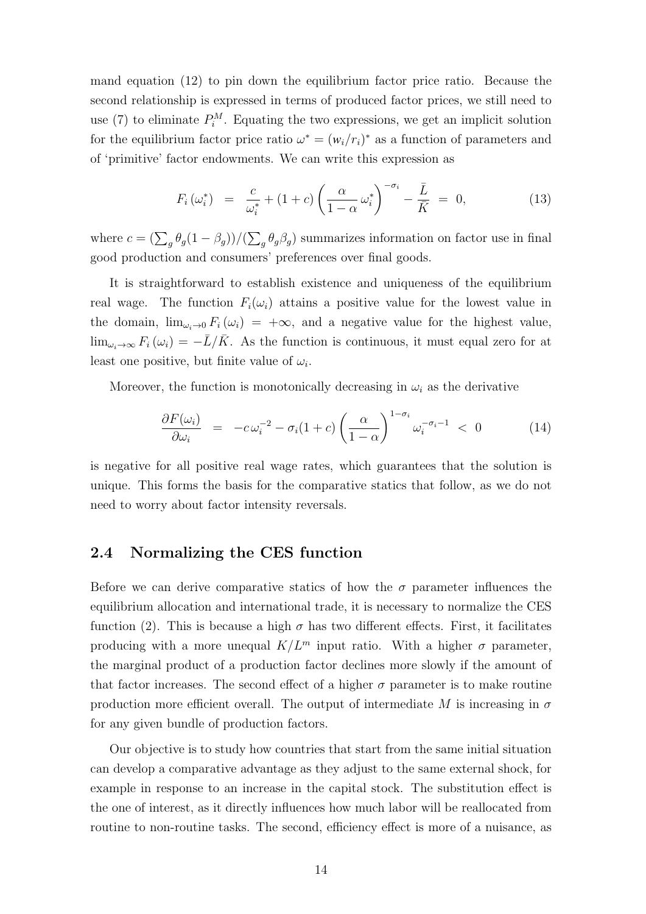mand equation (12) to pin down the equilibrium factor price ratio. Because the second relationship is expressed in terms of produced factor prices, we still need to use (7) to eliminate  $P_i^M$ . Equating the two expressions, we get an implicit solution for the equilibrium factor price ratio  $\omega^* = (w_i/r_i)^*$  as a function of parameters and of 'primitive' factor endowments. We can write this expression as

$$
F_i(\omega_i^*) = \frac{c}{\omega_i^*} + (1+c) \left(\frac{\alpha}{1-\alpha} \omega_i^*\right)^{-\sigma_i} - \frac{\bar{L}}{\bar{K}} = 0, \quad (13)
$$

where  $c = (\sum_g \theta_g (1 - \beta_g)) / (\sum_g \theta_g \beta_g)$  summarizes information on factor use in final good production and consumers' preferences over final goods.

It is straightforward to establish existence and uniqueness of the equilibrium real wage. The function  $F_i(\omega_i)$  attains a positive value for the lowest value in the domain,  $\lim_{\omega_i\to 0} F_i(\omega_i) = +\infty$ , and a negative value for the highest value,  $\lim_{\omega_i\to\infty}F_i(\omega_i)=-\bar{L}/\bar{K}$ . As the function is continuous, it must equal zero for at least one positive, but finite value of  $\omega_i$ .

Moreover, the function is monotonically decreasing in  $\omega_i$  as the derivative

$$
\frac{\partial F(\omega_i)}{\partial \omega_i} = -c\,\omega_i^{-2} - \sigma_i(1+c)\left(\frac{\alpha}{1-\alpha}\right)^{1-\sigma_i}\omega_i^{-\sigma_i-1} < 0 \tag{14}
$$

is negative for all positive real wage rates, which guarantees that the solution is unique. This forms the basis for the comparative statics that follow, as we do not need to worry about factor intensity reversals.

### 2.4 Normalizing the CES function

Before we can derive comparative statics of how the  $\sigma$  parameter influences the equilibrium allocation and international trade, it is necessary to normalize the CES function (2). This is because a high  $\sigma$  has two different effects. First, it facilitates producing with a more unequal  $K/L^m$  input ratio. With a higher  $\sigma$  parameter, the marginal product of a production factor declines more slowly if the amount of that factor increases. The second effect of a higher  $\sigma$  parameter is to make routine production more efficient overall. The output of intermediate M is increasing in  $\sigma$ for any given bundle of production factors.

Our objective is to study how countries that start from the same initial situation can develop a comparative advantage as they adjust to the same external shock, for example in response to an increase in the capital stock. The substitution effect is the one of interest, as it directly influences how much labor will be reallocated from routine to non-routine tasks. The second, efficiency effect is more of a nuisance, as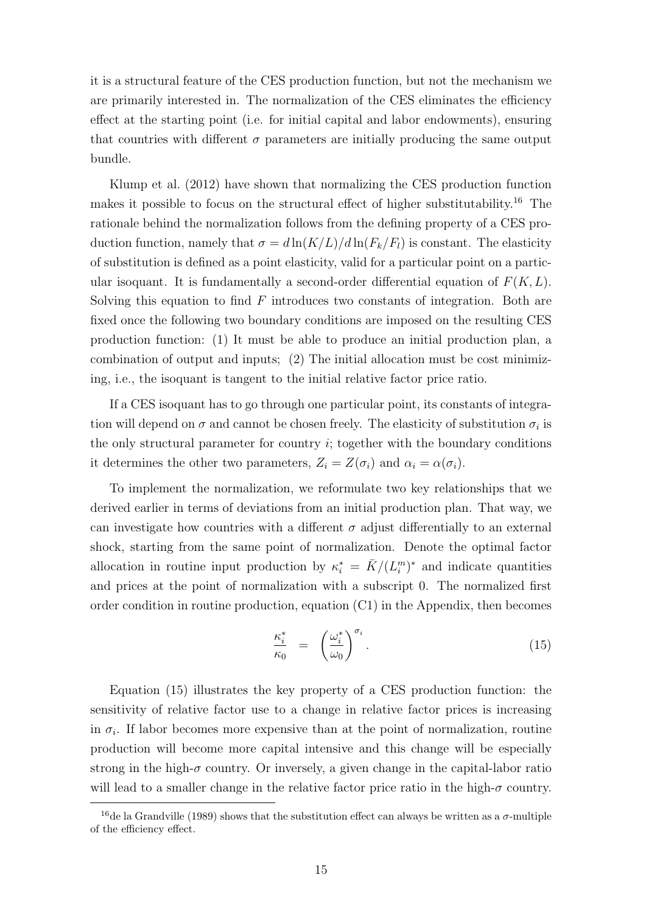it is a structural feature of the CES production function, but not the mechanism we are primarily interested in. The normalization of the CES eliminates the efficiency effect at the starting point (i.e. for initial capital and labor endowments), ensuring that countries with different  $\sigma$  parameters are initially producing the same output bundle.

Klump et al. (2012) have shown that normalizing the CES production function makes it possible to focus on the structural effect of higher substitutability.<sup>16</sup> The rationale behind the normalization follows from the defining property of a CES production function, namely that  $\sigma = d \ln(K/L)/d \ln(F_k/F_l)$  is constant. The elasticity of substitution is defined as a point elasticity, valid for a particular point on a particular isoquant. It is fundamentally a second-order differential equation of  $F(K, L)$ . Solving this equation to find  $F$  introduces two constants of integration. Both are fixed once the following two boundary conditions are imposed on the resulting CES production function: (1) It must be able to produce an initial production plan, a combination of output and inputs; (2) The initial allocation must be cost minimizing, i.e., the isoquant is tangent to the initial relative factor price ratio.

If a CES isoquant has to go through one particular point, its constants of integration will depend on  $\sigma$  and cannot be chosen freely. The elasticity of substitution  $\sigma_i$  is the only structural parameter for country  $i$ ; together with the boundary conditions it determines the other two parameters,  $Z_i = Z(\sigma_i)$  and  $\alpha_i = \alpha(\sigma_i)$ .

To implement the normalization, we reformulate two key relationships that we derived earlier in terms of deviations from an initial production plan. That way, we can investigate how countries with a different  $\sigma$  adjust differentially to an external shock, starting from the same point of normalization. Denote the optimal factor allocation in routine input production by  $\kappa_i^* = \bar{K}/(L_i^m)^*$  and indicate quantities and prices at the point of normalization with a subscript 0. The normalized first order condition in routine production, equation (C1) in the Appendix, then becomes

$$
\frac{\kappa_i^*}{\kappa_0} = \left(\frac{\omega_i^*}{\omega_0}\right)^{\sigma_i}.\tag{15}
$$

Equation (15) illustrates the key property of a CES production function: the sensitivity of relative factor use to a change in relative factor prices is increasing in  $\sigma_i$ . If labor becomes more expensive than at the point of normalization, routine production will become more capital intensive and this change will be especially strong in the high- $\sigma$  country. Or inversely, a given change in the capital-labor ratio will lead to a smaller change in the relative factor price ratio in the high- $\sigma$  country.

<sup>&</sup>lt;sup>16</sup>de la Grandville (1989) shows that the substitution effect can always be written as a  $\sigma$ -multiple of the efficiency effect.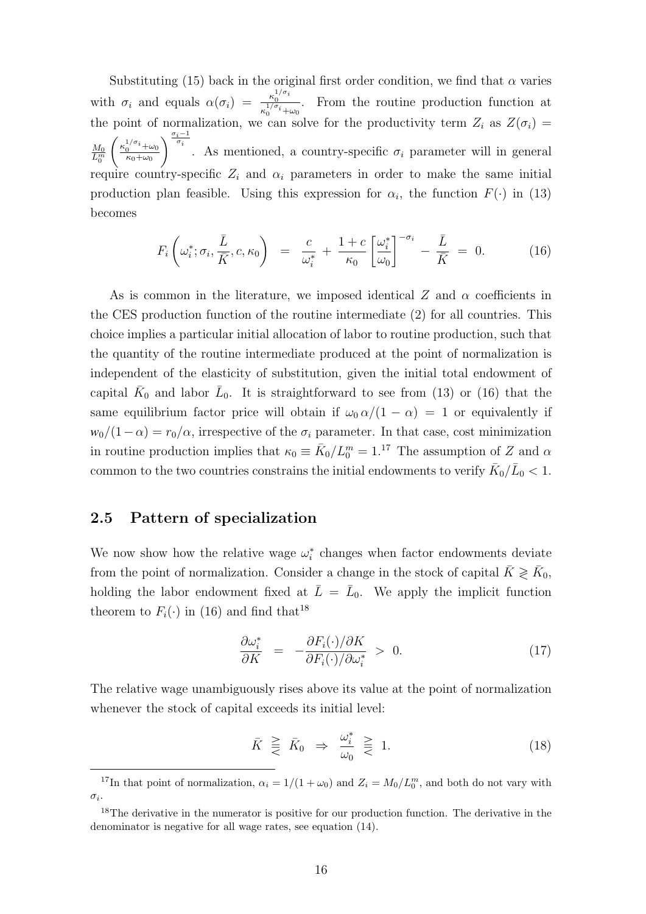Substituting (15) back in the original first order condition, we find that  $\alpha$  varies with  $\sigma_i$  and equals  $\alpha(\sigma_i) = \frac{\kappa_0^{1/\sigma_i}}{1/\sigma_i}$  $\kappa_0^{1/\sigma_i}+\omega_0$ . From the routine production function at the point of normalization, we can solve for the productivity term  $Z_i$  as  $Z(\sigma_i)$  =  $\frac{M_0}{L_0^m}$  $\int \frac{\kappa_0^{1/\sigma_i} + \omega_0}{\kappa_0^{1/\sigma_i}}$  $\kappa_0+\omega_0$  $\int_{-\frac{\sigma_i-1}{\sigma_i}}^{\frac{\sigma_i-1}{\sigma_i}}$ . As mentioned, a country-specific  $\sigma_i$  parameter will in general require country-specific  $Z_i$  and  $\alpha_i$  parameters in order to make the same initial production plan feasible. Using this expression for  $\alpha_i$ , the function  $F(\cdot)$  in (13) becomes

$$
F_i\left(\omega_i^*, \sigma_i, \frac{\bar{L}}{\bar{K}}, c, \kappa_0\right) = \frac{c}{\omega_i^*} + \frac{1+c}{\kappa_0} \left[\frac{\omega_i^*}{\omega_0}\right]^{-\sigma_i} - \frac{\bar{L}}{\bar{K}} = 0. \quad (16)
$$

As is common in the literature, we imposed identical Z and  $\alpha$  coefficients in the CES production function of the routine intermediate (2) for all countries. This choice implies a particular initial allocation of labor to routine production, such that the quantity of the routine intermediate produced at the point of normalization is independent of the elasticity of substitution, given the initial total endowment of capital  $\bar{K}_0$  and labor  $\bar{L}_0$ . It is straightforward to see from (13) or (16) that the same equilibrium factor price will obtain if  $\omega_0 \alpha/(1 - \alpha) = 1$  or equivalently if  $w_0/(1-\alpha) = r_0/\alpha$ , irrespective of the  $\sigma_i$  parameter. In that case, cost minimization in routine production implies that  $\kappa_0 \equiv \bar{K}_0 / L_0^m = 1$ .<sup>17</sup> The assumption of Z and  $\alpha$ common to the two countries constrains the initial endowments to verify  $\bar{K}_0/\bar{L}_0 < 1.$ 

### 2.5 Pattern of specialization

We now show how the relative wage  $\omega_i^*$  changes when factor endowments deviate from the point of normalization. Consider a change in the stock of capital  $\bar{K} \geqslant \bar{K}_0$ , holding the labor endowment fixed at  $\bar{L} = \bar{L}_0$ . We apply the implicit function theorem to  $F_i(\cdot)$  in (16) and find that<sup>18</sup>

$$
\frac{\partial \omega_i^*}{\partial K} = -\frac{\partial F_i(\cdot)/\partial K}{\partial F_i(\cdot)/\partial \omega_i^*} > 0.
$$
\n(17)

The relative wage unambiguously rises above its value at the point of normalization whenever the stock of capital exceeds its initial level:

$$
\bar{K} \geqslant \bar{K}_0 \Rightarrow \frac{\omega_i^*}{\omega_0} \geqslant 1. \tag{18}
$$

<sup>&</sup>lt;sup>17</sup>In that point of normalization,  $\alpha_i = 1/(1 + \omega_0)$  and  $Z_i = M_0/L_0^m$ , and both do not vary with  $\sigma_i$ .

 $18$ The derivative in the numerator is positive for our production function. The derivative in the denominator is negative for all wage rates, see equation (14).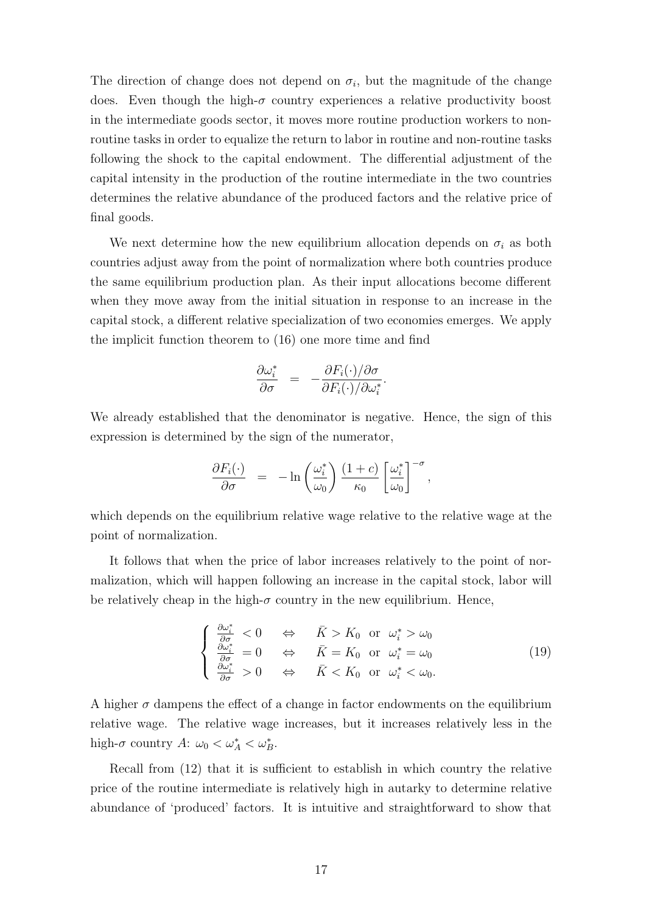The direction of change does not depend on  $\sigma_i$ , but the magnitude of the change does. Even though the high- $\sigma$  country experiences a relative productivity boost in the intermediate goods sector, it moves more routine production workers to nonroutine tasks in order to equalize the return to labor in routine and non-routine tasks following the shock to the capital endowment. The differential adjustment of the capital intensity in the production of the routine intermediate in the two countries determines the relative abundance of the produced factors and the relative price of final goods.

We next determine how the new equilibrium allocation depends on  $\sigma_i$  as both countries adjust away from the point of normalization where both countries produce the same equilibrium production plan. As their input allocations become different when they move away from the initial situation in response to an increase in the capital stock, a different relative specialization of two economies emerges. We apply the implicit function theorem to (16) one more time and find

$$
\frac{\partial \omega_i^*}{\partial \sigma} = -\frac{\partial F_i(\cdot)/\partial \sigma}{\partial F_i(\cdot)/\partial \omega_i^*}.
$$

We already established that the denominator is negative. Hence, the sign of this expression is determined by the sign of the numerator,

$$
\frac{\partial F_i(\cdot)}{\partial \sigma} = -\ln\left(\frac{\omega_i^*}{\omega_0}\right) \frac{(1+c)}{\kappa_0} \left[\frac{\omega_i^*}{\omega_0}\right]^{-\sigma},
$$

which depends on the equilibrium relative wage relative to the relative wage at the point of normalization.

It follows that when the price of labor increases relatively to the point of normalization, which will happen following an increase in the capital stock, labor will be relatively cheap in the high- $\sigma$  country in the new equilibrium. Hence,

$$
\begin{cases}\n\frac{\partial \omega_i^*}{\partial \sigma} < 0 \quad \Leftrightarrow \quad \bar{K} > K_0 \quad \text{or} \quad \omega_i^* > \omega_0 \\
\frac{\partial \omega_i^*}{\partial \sigma} &= 0 \quad \Leftrightarrow \quad \bar{K} = K_0 \quad \text{or} \quad \omega_i^* = \omega_0 \\
\frac{\partial \omega_i^*}{\partial \sigma} > 0 \quad \Leftrightarrow \quad \bar{K} < K_0 \quad \text{or} \quad \omega_i^* < \omega_0.\n\end{cases} \tag{19}
$$

A higher  $\sigma$  dampens the effect of a change in factor endowments on the equilibrium relative wage. The relative wage increases, but it increases relatively less in the high- $\sigma$  country  $A: \omega_0 < \omega_A^* < \omega_B^*$ .

Recall from (12) that it is sufficient to establish in which country the relative price of the routine intermediate is relatively high in autarky to determine relative abundance of 'produced' factors. It is intuitive and straightforward to show that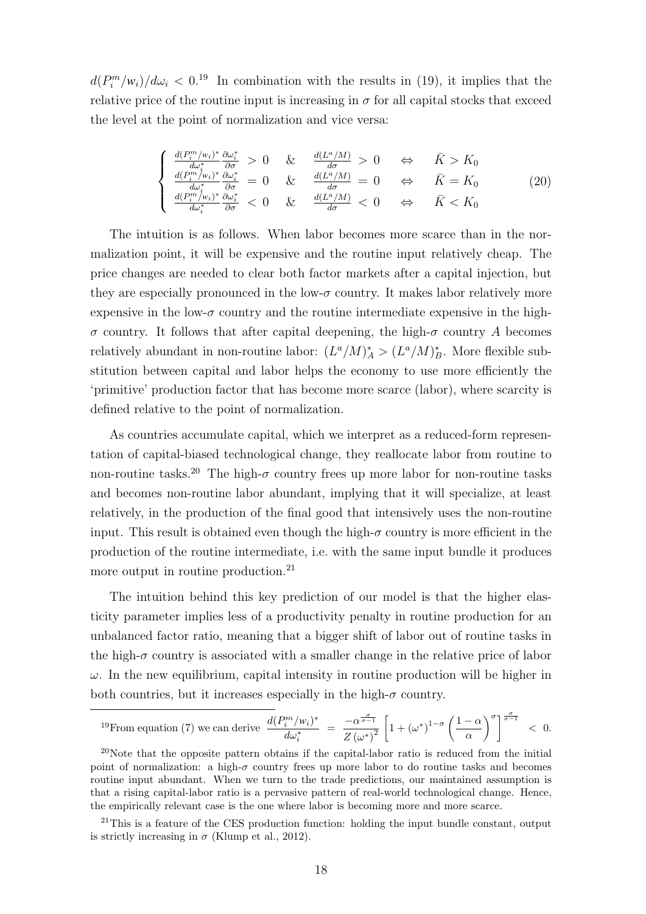$d(P_i^m/w_i)/d\omega_i < 0.^{19}$  In combination with the results in (19), it implies that the relative price of the routine input is increasing in  $\sigma$  for all capital stocks that exceed the level at the point of normalization and vice versa:

$$
\begin{cases}\n\frac{d(P_i^m/w_i)^*}{d\omega_i^*} \frac{\partial \omega_i^*}{\partial \sigma} > 0 & \& \frac{d(L^a/M)}{d\sigma} > 0 & \Leftrightarrow & \bar{K} > K_0 \\
\frac{d(P_i^m/w_i)^*}{d\omega_i^*} \frac{\partial \omega_i^*}{\partial \sigma} &= 0 & \& \frac{d(L^a/M)}{d\sigma} = 0 & \Leftrightarrow & \bar{K} = K_0 \\
\frac{d(P_i^m/w_i)^*}{d\omega_i^*} \frac{\partial \omega_i^*}{\partial \sigma} < 0 & \& \frac{d(L^a/M)}{d\sigma} < 0 & \Leftrightarrow & \bar{K} < K_0\n\end{cases}\n\tag{20}
$$

The intuition is as follows. When labor becomes more scarce than in the normalization point, it will be expensive and the routine input relatively cheap. The price changes are needed to clear both factor markets after a capital injection, but they are especially pronounced in the low- $\sigma$  country. It makes labor relatively more expensive in the low- $\sigma$  country and the routine intermediate expensive in the high- $\sigma$  country. It follows that after capital deepening, the high- $\sigma$  country A becomes relatively abundant in non-routine labor:  $(L^a/M)^*_A > (L^a/M)^*_B$ . More flexible substitution between capital and labor helps the economy to use more efficiently the 'primitive' production factor that has become more scarce (labor), where scarcity is defined relative to the point of normalization.

As countries accumulate capital, which we interpret as a reduced-form representation of capital-biased technological change, they reallocate labor from routine to non-routine tasks.<sup>20</sup> The high- $\sigma$  country frees up more labor for non-routine tasks and becomes non-routine labor abundant, implying that it will specialize, at least relatively, in the production of the final good that intensively uses the non-routine input. This result is obtained even though the high- $\sigma$  country is more efficient in the production of the routine intermediate, i.e. with the same input bundle it produces more output in routine production.<sup>21</sup>

The intuition behind this key prediction of our model is that the higher elasticity parameter implies less of a productivity penalty in routine production for an unbalanced factor ratio, meaning that a bigger shift of labor out of routine tasks in the high- $\sigma$  country is associated with a smaller change in the relative price of labor  $\omega$ . In the new equilibrium, capital intensity in routine production will be higher in both countries, but it increases especially in the high- $\sigma$  country.

$$
{}^{19}\text{From equation (7) we can derive } \frac{d(P_i^m/w_i)^*}{d\omega_i^*} = \frac{-\alpha^{\frac{\sigma}{\sigma-1}}}{Z(\omega^*)^2} \left[1 + (\omega^*)^{1-\sigma}\left(\frac{1-\alpha}{\alpha}\right)^{\sigma}\right]^{\frac{\sigma}{\sigma-1}} < 0.
$$

 $20$ Note that the opposite pattern obtains if the capital-labor ratio is reduced from the initial point of normalization: a high- $\sigma$  country frees up more labor to do routine tasks and becomes routine input abundant. When we turn to the trade predictions, our maintained assumption is that a rising capital-labor ratio is a pervasive pattern of real-world technological change. Hence, the empirically relevant case is the one where labor is becoming more and more scarce.

 $21$ This is a feature of the CES production function: holding the input bundle constant, output is strictly increasing in  $\sigma$  (Klump et al., 2012).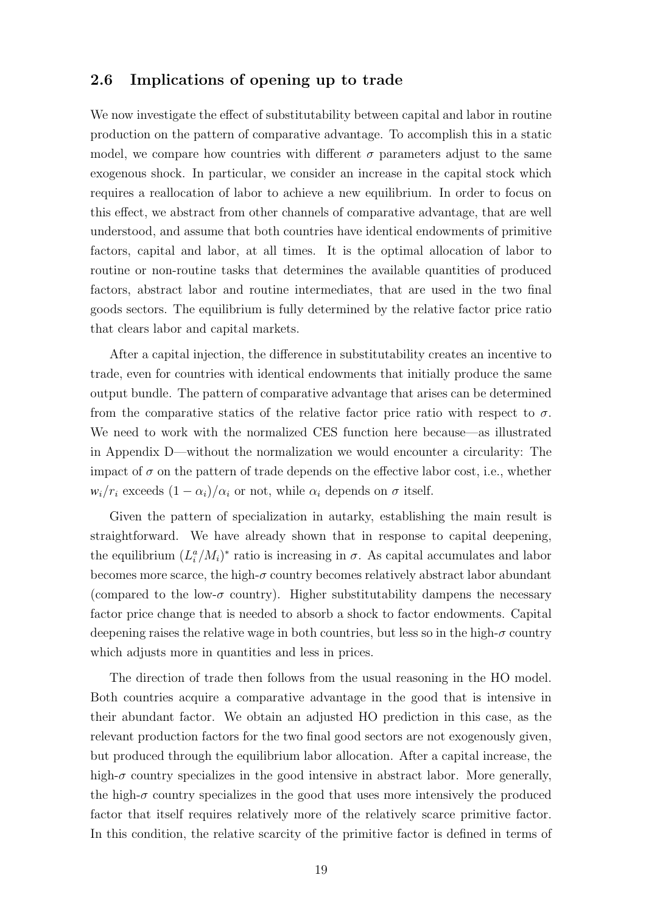### 2.6 Implications of opening up to trade

We now investigate the effect of substitutability between capital and labor in routine production on the pattern of comparative advantage. To accomplish this in a static model, we compare how countries with different  $\sigma$  parameters adjust to the same exogenous shock. In particular, we consider an increase in the capital stock which requires a reallocation of labor to achieve a new equilibrium. In order to focus on this effect, we abstract from other channels of comparative advantage, that are well understood, and assume that both countries have identical endowments of primitive factors, capital and labor, at all times. It is the optimal allocation of labor to routine or non-routine tasks that determines the available quantities of produced factors, abstract labor and routine intermediates, that are used in the two final goods sectors. The equilibrium is fully determined by the relative factor price ratio that clears labor and capital markets.

After a capital injection, the difference in substitutability creates an incentive to trade, even for countries with identical endowments that initially produce the same output bundle. The pattern of comparative advantage that arises can be determined from the comparative statics of the relative factor price ratio with respect to  $\sigma$ . We need to work with the normalized CES function here because—as illustrated in Appendix D—without the normalization we would encounter a circularity: The impact of  $\sigma$  on the pattern of trade depends on the effective labor cost, i.e., whether  $w_i/r_i$  exceeds  $(1 - \alpha_i)/\alpha_i$  or not, while  $\alpha_i$  depends on  $\sigma$  itself.

Given the pattern of specialization in autarky, establishing the main result is straightforward. We have already shown that in response to capital deepening, the equilibrium  $(L_i^a/M_i)^*$  ratio is increasing in  $\sigma$ . As capital accumulates and labor becomes more scarce, the high- $\sigma$  country becomes relatively abstract labor abundant (compared to the low- $\sigma$  country). Higher substitutability dampens the necessary factor price change that is needed to absorb a shock to factor endowments. Capital deepening raises the relative wage in both countries, but less so in the high- $\sigma$  country which adjusts more in quantities and less in prices.

The direction of trade then follows from the usual reasoning in the HO model. Both countries acquire a comparative advantage in the good that is intensive in their abundant factor. We obtain an adjusted HO prediction in this case, as the relevant production factors for the two final good sectors are not exogenously given, but produced through the equilibrium labor allocation. After a capital increase, the high- $\sigma$  country specializes in the good intensive in abstract labor. More generally, the high- $\sigma$  country specializes in the good that uses more intensively the produced factor that itself requires relatively more of the relatively scarce primitive factor. In this condition, the relative scarcity of the primitive factor is defined in terms of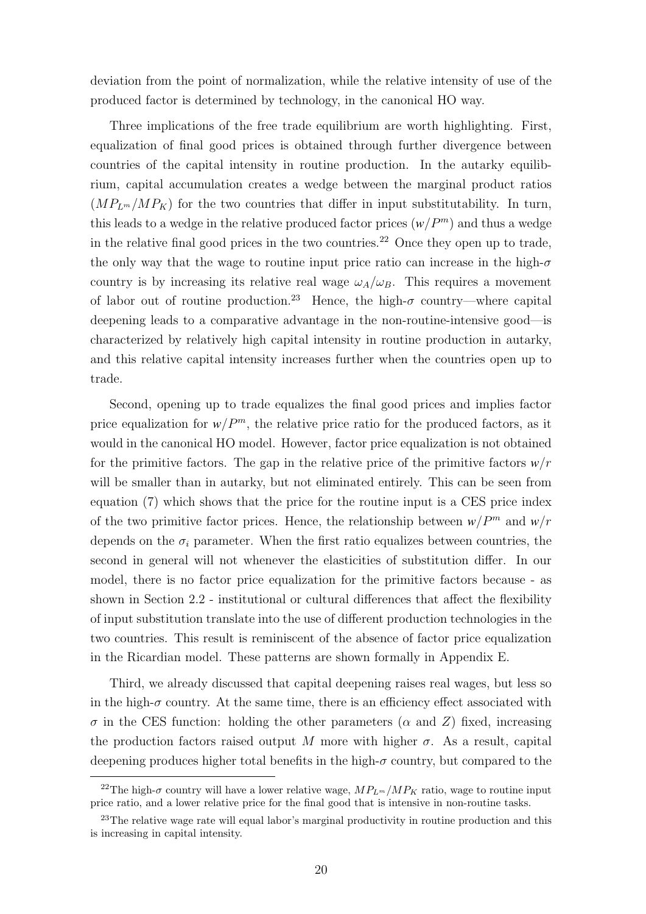deviation from the point of normalization, while the relative intensity of use of the produced factor is determined by technology, in the canonical HO way.

Three implications of the free trade equilibrium are worth highlighting. First, equalization of final good prices is obtained through further divergence between countries of the capital intensity in routine production. In the autarky equilibrium, capital accumulation creates a wedge between the marginal product ratios  $(MP_{L^m}/MP_K)$  for the two countries that differ in input substitutability. In turn, this leads to a wedge in the relative produced factor prices  $(w/P^m)$  and thus a wedge in the relative final good prices in the two countries.<sup>22</sup> Once they open up to trade, the only way that the wage to routine input price ratio can increase in the high- $\sigma$ country is by increasing its relative real wage  $\omega_A/\omega_B$ . This requires a movement of labor out of routine production.<sup>23</sup> Hence, the high- $\sigma$  country—where capital deepening leads to a comparative advantage in the non-routine-intensive good—is characterized by relatively high capital intensity in routine production in autarky, and this relative capital intensity increases further when the countries open up to trade.

Second, opening up to trade equalizes the final good prices and implies factor price equalization for  $w/P^m$ , the relative price ratio for the produced factors, as it would in the canonical HO model. However, factor price equalization is not obtained for the primitive factors. The gap in the relative price of the primitive factors *w*/r will be smaller than in autarky, but not eliminated entirely. This can be seen from equation (7) which shows that the price for the routine input is a CES price index of the two primitive factor prices. Hence, the relationship between  $w/P^m$  and  $w/r$ depends on the  $\sigma_i$  parameter. When the first ratio equalizes between countries, the second in general will not whenever the elasticities of substitution differ. In our model, there is no factor price equalization for the primitive factors because - as shown in Section 2.2 - institutional or cultural differences that affect the flexibility of input substitution translate into the use of different production technologies in the two countries. This result is reminiscent of the absence of factor price equalization in the Ricardian model. These patterns are shown formally in Appendix E.

Third, we already discussed that capital deepening raises real wages, but less so in the high- $\sigma$  country. At the same time, there is an efficiency effect associated with  $\sigma$  in the CES function: holding the other parameters ( $\alpha$  and  $Z$ ) fixed, increasing the production factors raised output M more with higher  $\sigma$ . As a result, capital deepening produces higher total benefits in the high- $\sigma$  country, but compared to the

<sup>&</sup>lt;sup>22</sup>The high- $\sigma$  country will have a lower relative wage,  $MP_{L^m}/MP_K$  ratio, wage to routine input price ratio, and a lower relative price for the final good that is intensive in non-routine tasks.

<sup>&</sup>lt;sup>23</sup>The relative wage rate will equal labor's marginal productivity in routine production and this is increasing in capital intensity.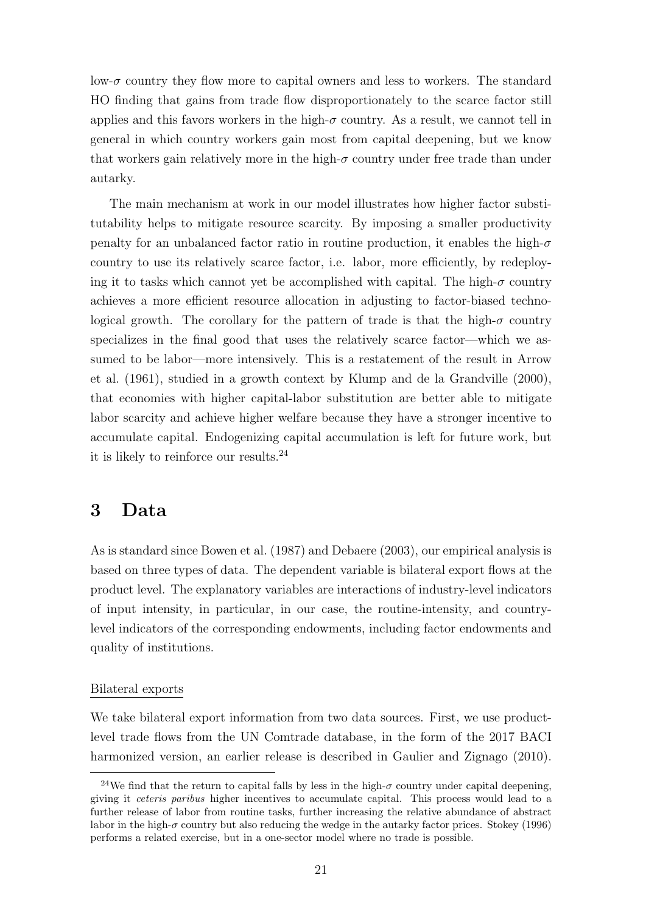low- $\sigma$  country they flow more to capital owners and less to workers. The standard HO finding that gains from trade flow disproportionately to the scarce factor still applies and this favors workers in the high- $\sigma$  country. As a result, we cannot tell in general in which country workers gain most from capital deepening, but we know that workers gain relatively more in the high- $\sigma$  country under free trade than under autarky.

The main mechanism at work in our model illustrates how higher factor substitutability helps to mitigate resource scarcity. By imposing a smaller productivity penalty for an unbalanced factor ratio in routine production, it enables the high- $\sigma$ country to use its relatively scarce factor, i.e. labor, more efficiently, by redeploying it to tasks which cannot yet be accomplished with capital. The high- $\sigma$  country achieves a more efficient resource allocation in adjusting to factor-biased technological growth. The corollary for the pattern of trade is that the high- $\sigma$  country specializes in the final good that uses the relatively scarce factor—which we assumed to be labor—more intensively. This is a restatement of the result in Arrow et al. (1961), studied in a growth context by Klump and de la Grandville (2000), that economies with higher capital-labor substitution are better able to mitigate labor scarcity and achieve higher welfare because they have a stronger incentive to accumulate capital. Endogenizing capital accumulation is left for future work, but it is likely to reinforce our results.<sup>24</sup>

## 3 Data

As is standard since Bowen et al. (1987) and Debaere (2003), our empirical analysis is based on three types of data. The dependent variable is bilateral export flows at the product level. The explanatory variables are interactions of industry-level indicators of input intensity, in particular, in our case, the routine-intensity, and countrylevel indicators of the corresponding endowments, including factor endowments and quality of institutions.

### Bilateral exports

We take bilateral export information from two data sources. First, we use productlevel trade flows from the UN Comtrade database, in the form of the 2017 BACI harmonized version, an earlier release is described in Gaulier and Zignago (2010).

<sup>&</sup>lt;sup>24</sup>We find that the return to capital falls by less in the high- $\sigma$  country under capital deepening, giving it ceteris paribus higher incentives to accumulate capital. This process would lead to a further release of labor from routine tasks, further increasing the relative abundance of abstract labor in the high- $\sigma$  country but also reducing the wedge in the autarky factor prices. Stokey (1996) performs a related exercise, but in a one-sector model where no trade is possible.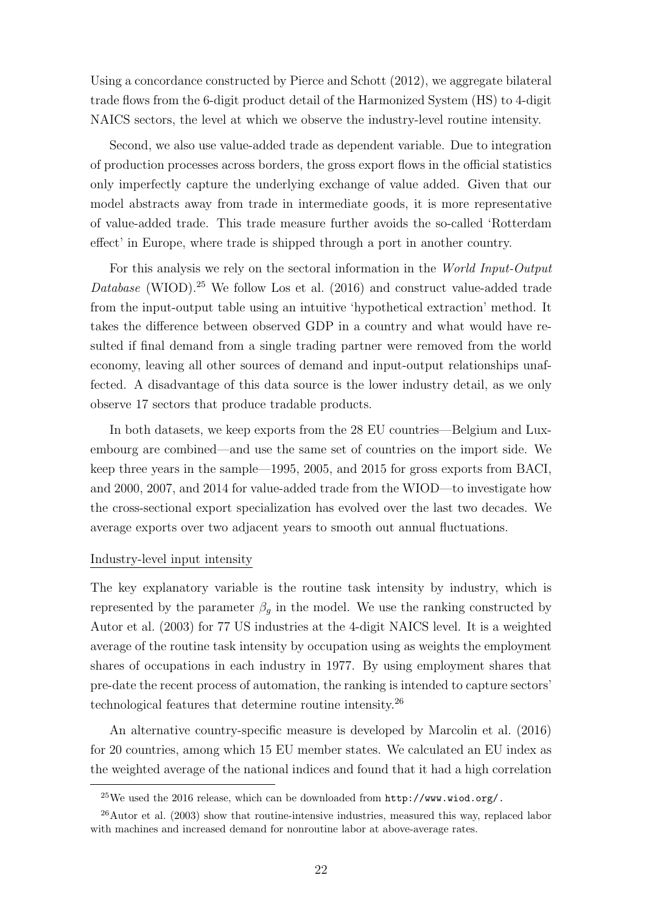Using a concordance constructed by Pierce and Schott (2012), we aggregate bilateral trade flows from the 6-digit product detail of the Harmonized System (HS) to 4-digit NAICS sectors, the level at which we observe the industry-level routine intensity.

Second, we also use value-added trade as dependent variable. Due to integration of production processes across borders, the gross export flows in the official statistics only imperfectly capture the underlying exchange of value added. Given that our model abstracts away from trade in intermediate goods, it is more representative of value-added trade. This trade measure further avoids the so-called 'Rotterdam effect' in Europe, where trade is shipped through a port in another country.

For this analysis we rely on the sectoral information in the World Input-Output Database (WIOD).<sup>25</sup> We follow Los et al.  $(2016)$  and construct value-added trade from the input-output table using an intuitive 'hypothetical extraction' method. It takes the difference between observed GDP in a country and what would have resulted if final demand from a single trading partner were removed from the world economy, leaving all other sources of demand and input-output relationships unaffected. A disadvantage of this data source is the lower industry detail, as we only observe 17 sectors that produce tradable products.

In both datasets, we keep exports from the 28 EU countries—Belgium and Luxembourg are combined—and use the same set of countries on the import side. We keep three years in the sample—1995, 2005, and 2015 for gross exports from BACI, and 2000, 2007, and 2014 for value-added trade from the WIOD—to investigate how the cross-sectional export specialization has evolved over the last two decades. We average exports over two adjacent years to smooth out annual fluctuations.

#### Industry-level input intensity

The key explanatory variable is the routine task intensity by industry, which is represented by the parameter  $\beta_g$  in the model. We use the ranking constructed by Autor et al. (2003) for 77 US industries at the 4-digit NAICS level. It is a weighted average of the routine task intensity by occupation using as weights the employment shares of occupations in each industry in 1977. By using employment shares that pre-date the recent process of automation, the ranking is intended to capture sectors' technological features that determine routine intensity.<sup>26</sup>

An alternative country-specific measure is developed by Marcolin et al. (2016) for 20 countries, among which 15 EU member states. We calculated an EU index as the weighted average of the national indices and found that it had a high correlation

 $^{25}$ We used the 2016 release, which can be downloaded from  $http://www.wiod.org/$ .

 $^{26}$ Autor et al. (2003) show that routine-intensive industries, measured this way, replaced labor with machines and increased demand for nonroutine labor at above-average rates.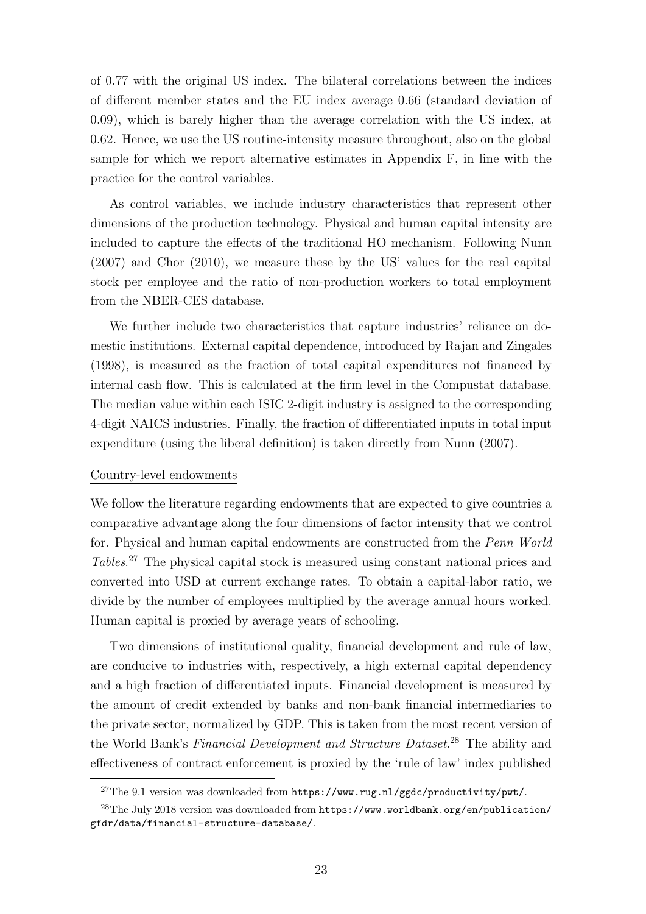of 0.77 with the original US index. The bilateral correlations between the indices of different member states and the EU index average 0.66 (standard deviation of 0.09), which is barely higher than the average correlation with the US index, at 0.62. Hence, we use the US routine-intensity measure throughout, also on the global sample for which we report alternative estimates in Appendix F, in line with the practice for the control variables.

As control variables, we include industry characteristics that represent other dimensions of the production technology. Physical and human capital intensity are included to capture the effects of the traditional HO mechanism. Following Nunn (2007) and Chor (2010), we measure these by the US' values for the real capital stock per employee and the ratio of non-production workers to total employment from the NBER-CES database.

We further include two characteristics that capture industries' reliance on domestic institutions. External capital dependence, introduced by Rajan and Zingales (1998), is measured as the fraction of total capital expenditures not financed by internal cash flow. This is calculated at the firm level in the Compustat database. The median value within each ISIC 2-digit industry is assigned to the corresponding 4-digit NAICS industries. Finally, the fraction of differentiated inputs in total input expenditure (using the liberal definition) is taken directly from Nunn (2007).

### Country-level endowments

We follow the literature regarding endowments that are expected to give countries a comparative advantage along the four dimensions of factor intensity that we control for. Physical and human capital endowments are constructed from the Penn World Tables. <sup>27</sup> The physical capital stock is measured using constant national prices and converted into USD at current exchange rates. To obtain a capital-labor ratio, we divide by the number of employees multiplied by the average annual hours worked. Human capital is proxied by average years of schooling.

Two dimensions of institutional quality, financial development and rule of law, are conducive to industries with, respectively, a high external capital dependency and a high fraction of differentiated inputs. Financial development is measured by the amount of credit extended by banks and non-bank financial intermediaries to the private sector, normalized by GDP. This is taken from the most recent version of the World Bank's Financial Development and Structure Dataset.<sup>28</sup> The ability and effectiveness of contract enforcement is proxied by the 'rule of law' index published

<sup>&</sup>lt;sup>27</sup>The 9.1 version was downloaded from https://www.rug.nl/ggdc/productivity/pwt/.

 $^{28}$ The July 2018 version was downloaded from https://www.worldbank.org/en/publication/ gfdr/data/financial-structure-database/.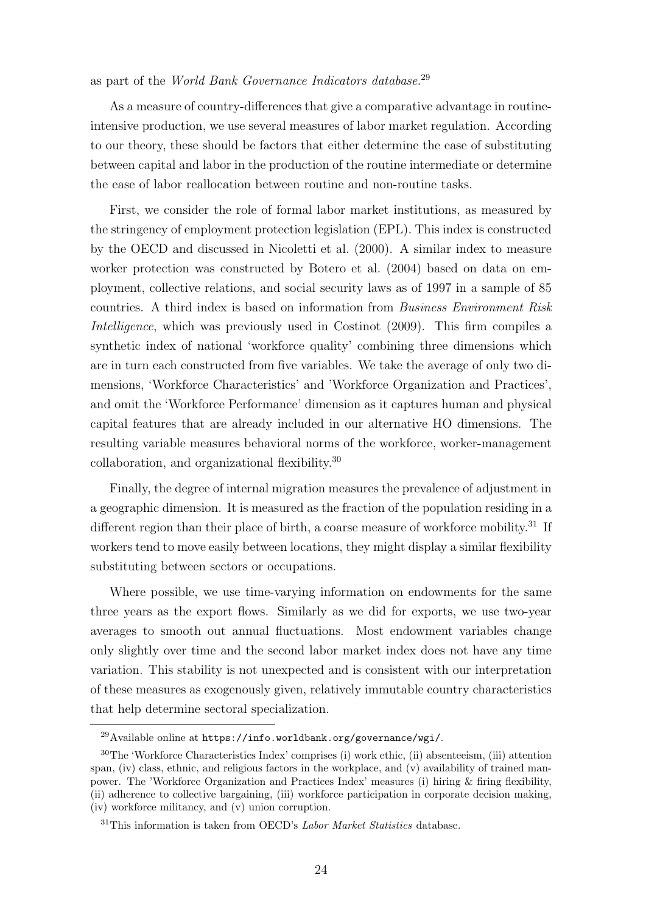### as part of the World Bank Governance Indicators database.<sup>29</sup>

As a measure of country-differences that give a comparative advantage in routineintensive production, we use several measures of labor market regulation. According to our theory, these should be factors that either determine the ease of substituting between capital and labor in the production of the routine intermediate or determine the ease of labor reallocation between routine and non-routine tasks.

First, we consider the role of formal labor market institutions, as measured by the stringency of employment protection legislation (EPL). This index is constructed by the OECD and discussed in Nicoletti et al. (2000). A similar index to measure worker protection was constructed by Botero et al. (2004) based on data on employment, collective relations, and social security laws as of 1997 in a sample of 85 countries. A third index is based on information from Business Environment Risk Intelligence, which was previously used in Costinot (2009). This firm compiles a synthetic index of national 'workforce quality' combining three dimensions which are in turn each constructed from five variables. We take the average of only two dimensions, 'Workforce Characteristics' and 'Workforce Organization and Practices', and omit the 'Workforce Performance' dimension as it captures human and physical capital features that are already included in our alternative HO dimensions. The resulting variable measures behavioral norms of the workforce, worker-management collaboration, and organizational flexibility.<sup>30</sup>

Finally, the degree of internal migration measures the prevalence of adjustment in a geographic dimension. It is measured as the fraction of the population residing in a different region than their place of birth, a coarse measure of workforce mobility.<sup>31</sup> If workers tend to move easily between locations, they might display a similar flexibility substituting between sectors or occupations.

Where possible, we use time-varying information on endowments for the same three years as the export flows. Similarly as we did for exports, we use two-year averages to smooth out annual fluctuations. Most endowment variables change only slightly over time and the second labor market index does not have any time variation. This stability is not unexpected and is consistent with our interpretation of these measures as exogenously given, relatively immutable country characteristics that help determine sectoral specialization.

<sup>29</sup>Available online at https://info.worldbank.org/governance/wgi/.

<sup>30</sup>The 'Workforce Characteristics Index' comprises (i) work ethic, (ii) absenteeism, (iii) attention span, (iv) class, ethnic, and religious factors in the workplace, and (v) availability of trained manpower. The 'Workforce Organization and Practices Index' measures (i) hiring & firing flexibility, (ii) adherence to collective bargaining, (iii) workforce participation in corporate decision making, (iv) workforce militancy, and (v) union corruption.

 $31$ This information is taken from OECD's *Labor Market Statistics* database.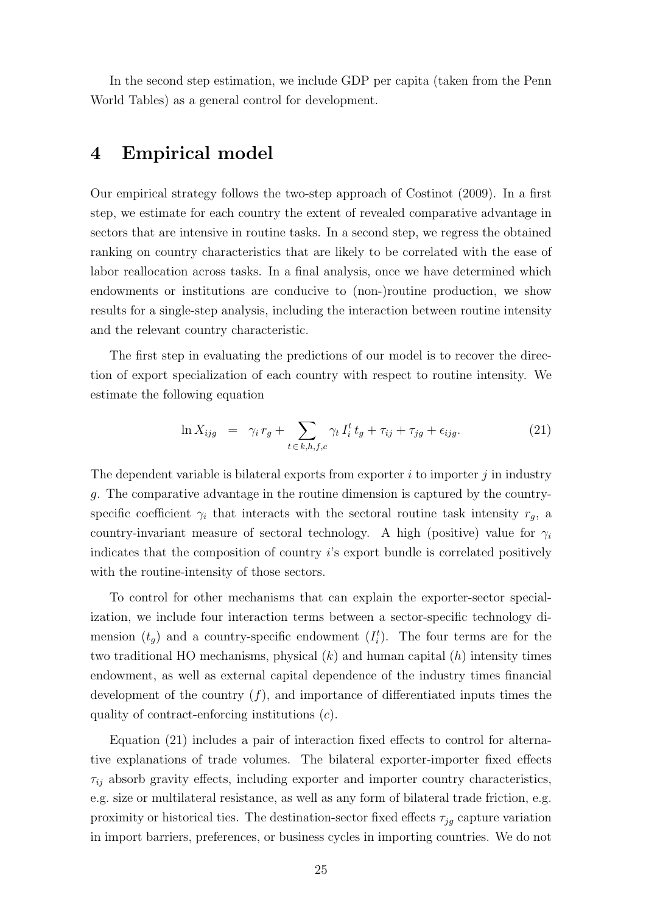In the second step estimation, we include GDP per capita (taken from the Penn World Tables) as a general control for development.

## 4 Empirical model

Our empirical strategy follows the two-step approach of Costinot (2009). In a first step, we estimate for each country the extent of revealed comparative advantage in sectors that are intensive in routine tasks. In a second step, we regress the obtained ranking on country characteristics that are likely to be correlated with the ease of labor reallocation across tasks. In a final analysis, once we have determined which endowments or institutions are conducive to (non-)routine production, we show results for a single-step analysis, including the interaction between routine intensity and the relevant country characteristic.

The first step in evaluating the predictions of our model is to recover the direction of export specialization of each country with respect to routine intensity. We estimate the following equation

$$
\ln X_{ijg} = \gamma_i r_g + \sum_{t \in k, h, f, c} \gamma_t I_i^t t_g + \tau_{ij} + \tau_{jg} + \epsilon_{ijg}.
$$
 (21)

The dependent variable is bilateral exports from exporter  $i$  to importer  $j$  in industry g. The comparative advantage in the routine dimension is captured by the countryspecific coefficient  $\gamma_i$  that interacts with the sectoral routine task intensity  $r_g$ , a country-invariant measure of sectoral technology. A high (positive) value for  $\gamma_i$ indicates that the composition of country i's export bundle is correlated positively with the routine-intensity of those sectors.

To control for other mechanisms that can explain the exporter-sector specialization, we include four interaction terms between a sector-specific technology dimension  $(t_g)$  and a country-specific endowment  $(I_i^t)$ . The four terms are for the two traditional HO mechanisms, physical  $(k)$  and human capital  $(h)$  intensity times endowment, as well as external capital dependence of the industry times financial development of the country  $(f)$ , and importance of differentiated inputs times the quality of contract-enforcing institutions (c).

Equation (21) includes a pair of interaction fixed effects to control for alternative explanations of trade volumes. The bilateral exporter-importer fixed effects  $\tau_{ij}$  absorb gravity effects, including exporter and importer country characteristics, e.g. size or multilateral resistance, as well as any form of bilateral trade friction, e.g. proximity or historical ties. The destination-sector fixed effects  $\tau_{jq}$  capture variation in import barriers, preferences, or business cycles in importing countries. We do not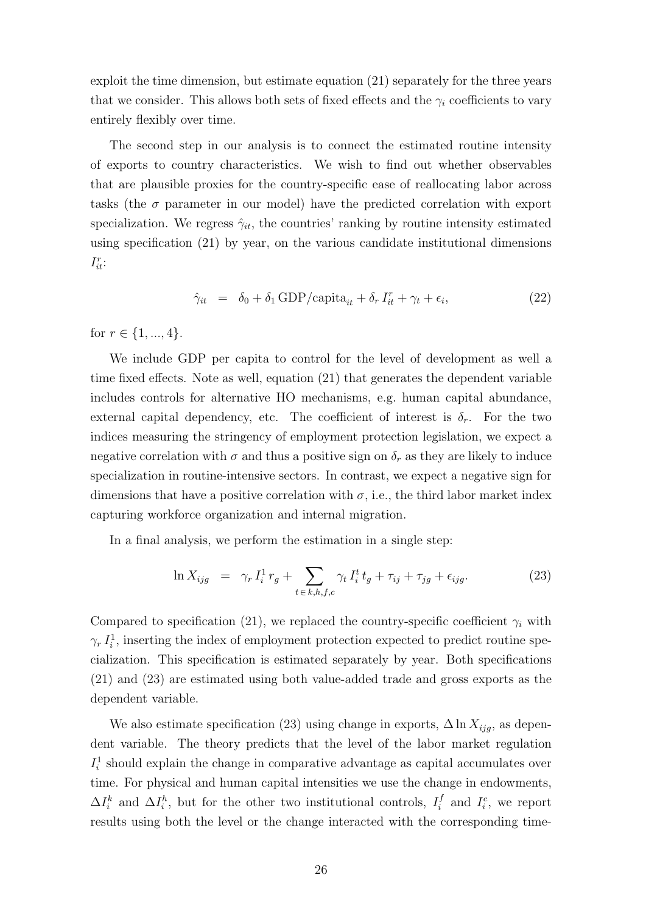exploit the time dimension, but estimate equation (21) separately for the three years that we consider. This allows both sets of fixed effects and the  $\gamma_i$  coefficients to vary entirely flexibly over time.

The second step in our analysis is to connect the estimated routine intensity of exports to country characteristics. We wish to find out whether observables that are plausible proxies for the country-specific ease of reallocating labor across tasks (the  $\sigma$  parameter in our model) have the predicted correlation with export specialization. We regress  $\hat{\gamma}_{it}$ , the countries' ranking by routine intensity estimated using specification (21) by year, on the various candidate institutional dimensions  $I_{it}^r$ :

$$
\hat{\gamma}_{it} = \delta_0 + \delta_1 \text{ GDP/capita}_{it} + \delta_r I_{it}^r + \gamma_t + \epsilon_i,
$$
\n(22)

for  $r \in \{1, ..., 4\}$ .

We include GDP per capita to control for the level of development as well a time fixed effects. Note as well, equation (21) that generates the dependent variable includes controls for alternative HO mechanisms, e.g. human capital abundance, external capital dependency, etc. The coefficient of interest is  $\delta_r$ . For the two indices measuring the stringency of employment protection legislation, we expect a negative correlation with  $\sigma$  and thus a positive sign on  $\delta_r$  as they are likely to induce specialization in routine-intensive sectors. In contrast, we expect a negative sign for dimensions that have a positive correlation with  $\sigma$ , i.e., the third labor market index capturing workforce organization and internal migration.

In a final analysis, we perform the estimation in a single step:

$$
\ln X_{ijg} = \gamma_r I_i^1 r_g + \sum_{t \in k, h, f, c} \gamma_t I_i^t t_g + \tau_{ij} + \tau_{jg} + \epsilon_{ijg}.
$$
 (23)

Compared to specification (21), we replaced the country-specific coefficient  $\gamma_i$  with  $\gamma_r I_i^1$ , inserting the index of employment protection expected to predict routine specialization. This specification is estimated separately by year. Both specifications (21) and (23) are estimated using both value-added trade and gross exports as the dependent variable.

We also estimate specification (23) using change in exports,  $\Delta \ln X_{ijg}$ , as dependent variable. The theory predicts that the level of the labor market regulation  $I_i^1$  should explain the change in comparative advantage as capital accumulates over time. For physical and human capital intensities we use the change in endowments,  $\Delta I_i^k$  and  $\Delta I_i^h$ , but for the other two institutional controls,  $I_i^f$  $I_i^f$  and  $I_i^c$ , we report results using both the level or the change interacted with the corresponding time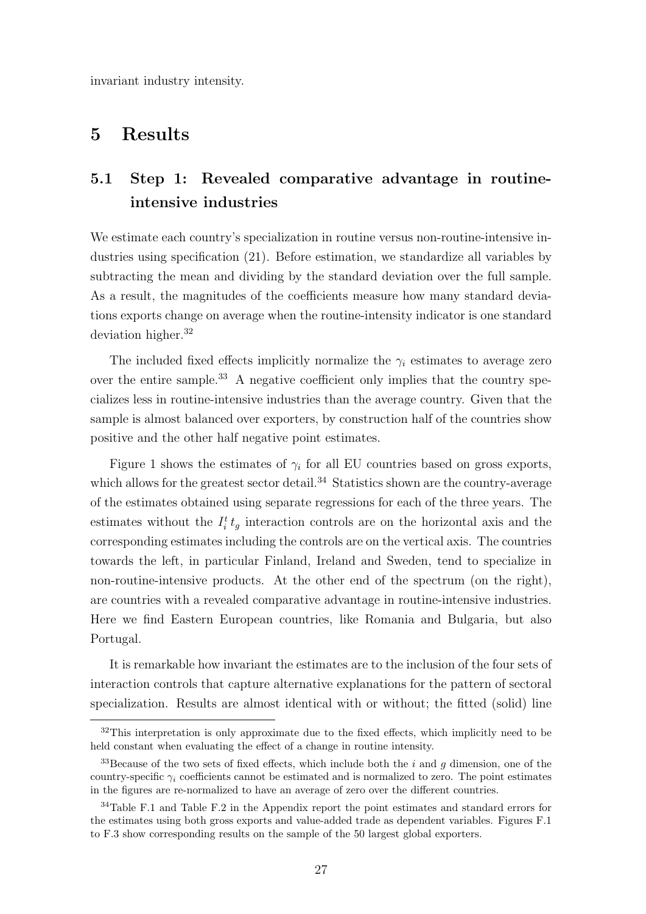invariant industry intensity.

# 5 Results

# 5.1 Step 1: Revealed comparative advantage in routineintensive industries

We estimate each country's specialization in routine versus non-routine-intensive industries using specification (21). Before estimation, we standardize all variables by subtracting the mean and dividing by the standard deviation over the full sample. As a result, the magnitudes of the coefficients measure how many standard deviations exports change on average when the routine-intensity indicator is one standard deviation higher.<sup>32</sup>

The included fixed effects implicitly normalize the  $\gamma_i$  estimates to average zero over the entire sample.<sup>33</sup> A negative coefficient only implies that the country specializes less in routine-intensive industries than the average country. Given that the sample is almost balanced over exporters, by construction half of the countries show positive and the other half negative point estimates.

Figure 1 shows the estimates of  $\gamma_i$  for all EU countries based on gross exports, which allows for the greatest sector detail.<sup>34</sup> Statistics shown are the country-average of the estimates obtained using separate regressions for each of the three years. The estimates without the  $I_i^t t_g$  interaction controls are on the horizontal axis and the corresponding estimates including the controls are on the vertical axis. The countries towards the left, in particular Finland, Ireland and Sweden, tend to specialize in non-routine-intensive products. At the other end of the spectrum (on the right), are countries with a revealed comparative advantage in routine-intensive industries. Here we find Eastern European countries, like Romania and Bulgaria, but also Portugal.

It is remarkable how invariant the estimates are to the inclusion of the four sets of interaction controls that capture alternative explanations for the pattern of sectoral specialization. Results are almost identical with or without; the fitted (solid) line

 $32$ This interpretation is only approximate due to the fixed effects, which implicitly need to be held constant when evaluating the effect of a change in routine intensity.

 $33$ Because of the two sets of fixed effects, which include both the i and g dimension, one of the country-specific  $\gamma_i$  coefficients cannot be estimated and is normalized to zero. The point estimates in the figures are re-normalized to have an average of zero over the different countries.

<sup>34</sup>Table F.1 and Table F.2 in the Appendix report the point estimates and standard errors for the estimates using both gross exports and value-added trade as dependent variables. Figures F.1 to F.3 show corresponding results on the sample of the 50 largest global exporters.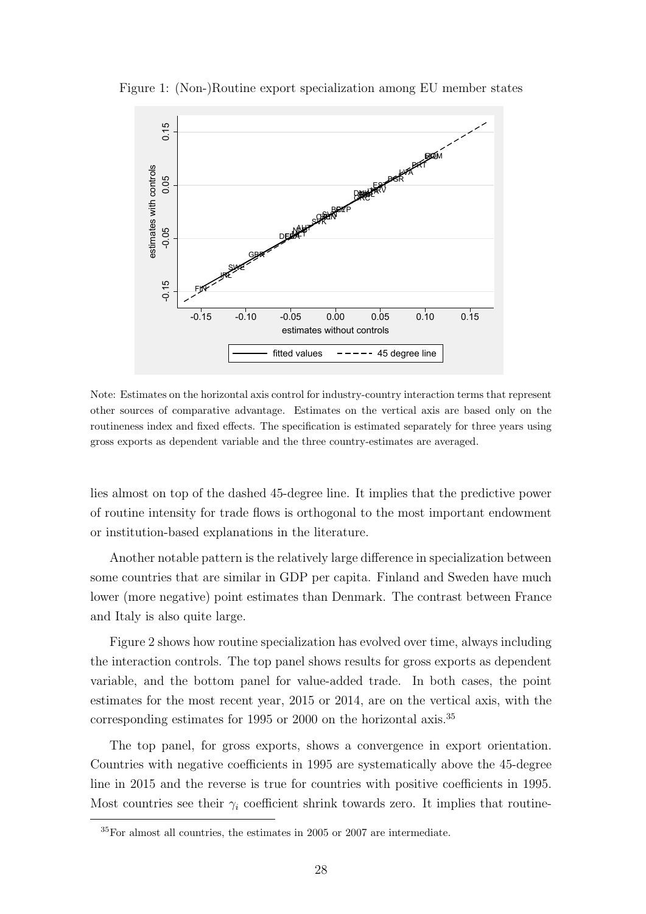

Figure 1: (Non-)Routine export specialization among EU member states

Note: Estimates on the horizontal axis control for industry-country interaction terms that represent other sources of comparative advantage. Estimates on the vertical axis are based only on the routineness index and fixed effects. The specification is estimated separately for three years using gross exports as dependent variable and the three country-estimates are averaged.

lies almost on top of the dashed 45-degree line. It implies that the predictive power of routine intensity for trade flows is orthogonal to the most important endowment or institution-based explanations in the literature.

Another notable pattern is the relatively large difference in specialization between some countries that are similar in GDP per capita. Finland and Sweden have much lower (more negative) point estimates than Denmark. The contrast between France and Italy is also quite large.

Figure 2 shows how routine specialization has evolved over time, always including the interaction controls. The top panel shows results for gross exports as dependent variable, and the bottom panel for value-added trade. In both cases, the point estimates for the most recent year, 2015 or 2014, are on the vertical axis, with the corresponding estimates for 1995 or 2000 on the horizontal axis.<sup>35</sup>

The top panel, for gross exports, shows a convergence in export orientation. Countries with negative coefficients in 1995 are systematically above the 45-degree line in 2015 and the reverse is true for countries with positive coefficients in 1995. Most countries see their  $\gamma_i$  coefficient shrink towards zero. It implies that routine-

 $35$ For almost all countries, the estimates in 2005 or 2007 are intermediate.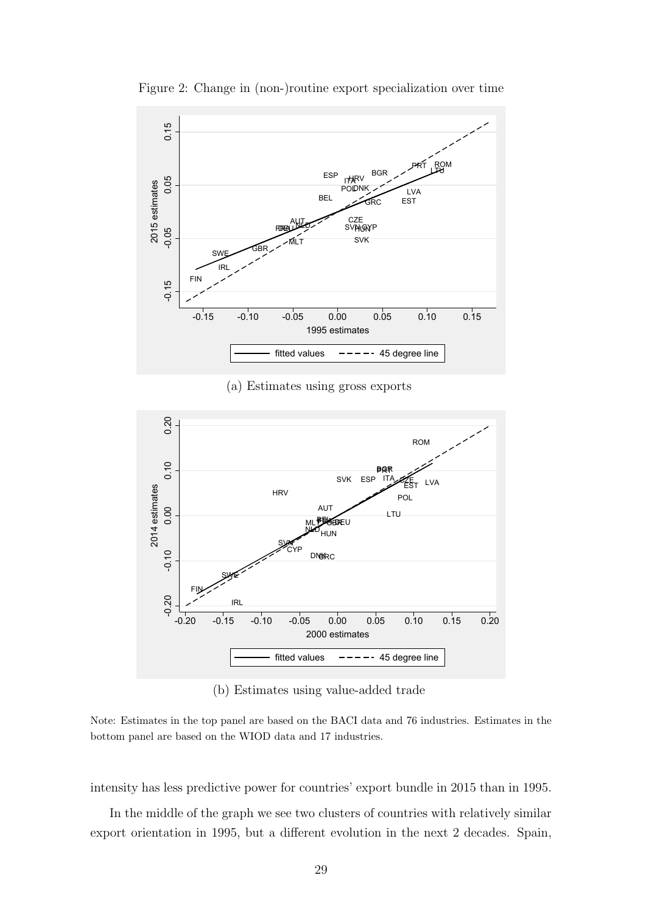

Figure 2: Change in (non-)routine export specialization over time



(b) Estimates using value-added trade

Note: Estimates in the top panel are based on the BACI data and 76 industries. Estimates in the bottom panel are based on the WIOD data and 17 industries.

intensity has less predictive power for countries' export bundle in 2015 than in 1995.

In the middle of the graph we see two clusters of countries with relatively similar export orientation in 1995, but a different evolution in the next 2 decades. Spain,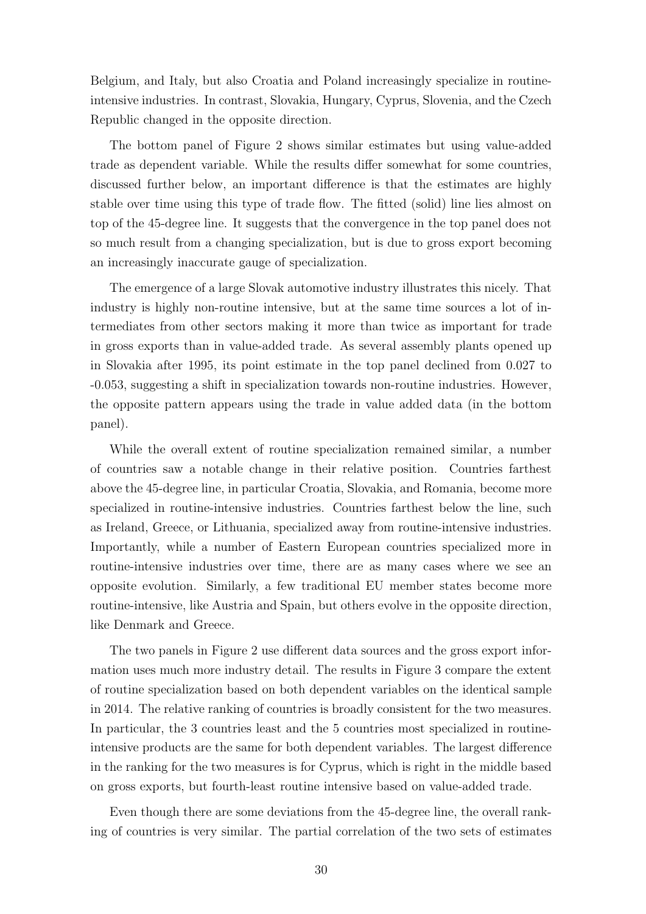Belgium, and Italy, but also Croatia and Poland increasingly specialize in routineintensive industries. In contrast, Slovakia, Hungary, Cyprus, Slovenia, and the Czech Republic changed in the opposite direction.

The bottom panel of Figure 2 shows similar estimates but using value-added trade as dependent variable. While the results differ somewhat for some countries, discussed further below, an important difference is that the estimates are highly stable over time using this type of trade flow. The fitted (solid) line lies almost on top of the 45-degree line. It suggests that the convergence in the top panel does not so much result from a changing specialization, but is due to gross export becoming an increasingly inaccurate gauge of specialization.

The emergence of a large Slovak automotive industry illustrates this nicely. That industry is highly non-routine intensive, but at the same time sources a lot of intermediates from other sectors making it more than twice as important for trade in gross exports than in value-added trade. As several assembly plants opened up in Slovakia after 1995, its point estimate in the top panel declined from 0.027 to -0.053, suggesting a shift in specialization towards non-routine industries. However, the opposite pattern appears using the trade in value added data (in the bottom panel).

While the overall extent of routine specialization remained similar, a number of countries saw a notable change in their relative position. Countries farthest above the 45-degree line, in particular Croatia, Slovakia, and Romania, become more specialized in routine-intensive industries. Countries farthest below the line, such as Ireland, Greece, or Lithuania, specialized away from routine-intensive industries. Importantly, while a number of Eastern European countries specialized more in routine-intensive industries over time, there are as many cases where we see an opposite evolution. Similarly, a few traditional EU member states become more routine-intensive, like Austria and Spain, but others evolve in the opposite direction, like Denmark and Greece.

The two panels in Figure 2 use different data sources and the gross export information uses much more industry detail. The results in Figure 3 compare the extent of routine specialization based on both dependent variables on the identical sample in 2014. The relative ranking of countries is broadly consistent for the two measures. In particular, the 3 countries least and the 5 countries most specialized in routineintensive products are the same for both dependent variables. The largest difference in the ranking for the two measures is for Cyprus, which is right in the middle based on gross exports, but fourth-least routine intensive based on value-added trade.

Even though there are some deviations from the 45-degree line, the overall ranking of countries is very similar. The partial correlation of the two sets of estimates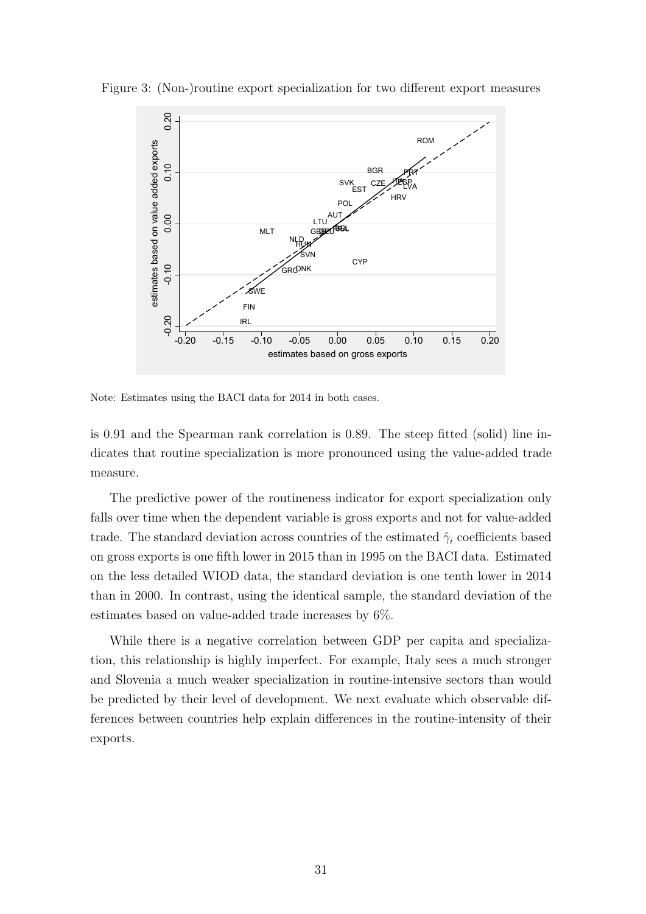

Figure 3: (Non-)routine export specialization for two different export measures

Note: Estimates using the BACI data for 2014 in both cases.

is 0.91 and the Spearman rank correlation is 0.89. The steep fitted (solid) line indicates that routine specialization is more pronounced using the value-added trade measure.

The predictive power of the routineness indicator for export specialization only falls over time when the dependent variable is gross exports and not for value-added trade. The standard deviation across countries of the estimated  $\hat{\gamma}_i$  coefficients based on gross exports is one fifth lower in 2015 than in 1995 on the BACI data. Estimated on the less detailed WIOD data, the standard deviation is one tenth lower in 2014 than in 2000. In contrast, using the identical sample, the standard deviation of the estimates based on value-added trade increases by 6%.

While there is a negative correlation between GDP per capita and specialization, this relationship is highly imperfect. For example, Italy sees a much stronger and Slovenia a much weaker specialization in routine-intensive sectors than would be predicted by their level of development. We next evaluate which observable differences between countries help explain differences in the routine-intensity of their exports.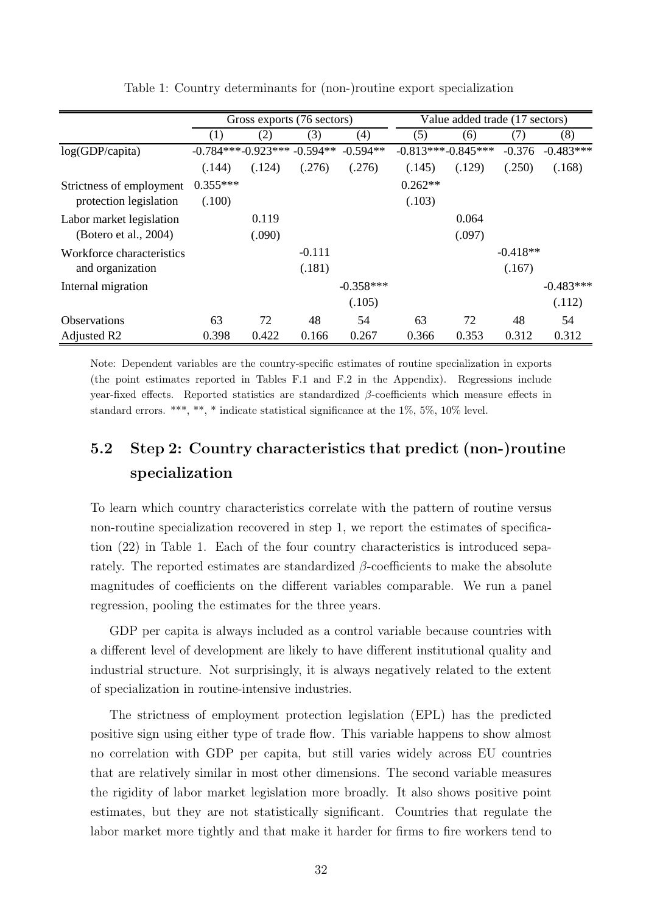|                           | Gross exports (76 sectors) |                              |          |             | Value added trade (17 sectors) |        |            |             |
|---------------------------|----------------------------|------------------------------|----------|-------------|--------------------------------|--------|------------|-------------|
|                           | (1)                        | (2)                          | (3)      | (4)         | (5)                            | (6)    | (7)        | (8)         |
| log(GDP/capita)           |                            | $-0.784***-0.923***-0.594**$ |          | $-0.594**$  | $-0.813***-0.845***$           |        | $-0.376$   | $-0.483***$ |
|                           | (.144)                     | (.124)                       | (.276)   | (.276)      | (.145)                         | (.129) | (.250)     | (.168)      |
| Strictness of employment  | $0.355***$                 |                              |          |             | $0.262**$                      |        |            |             |
| protection legislation    | (.100)                     |                              |          |             | (.103)                         |        |            |             |
| Labor market legislation  |                            | 0.119                        |          |             |                                | 0.064  |            |             |
| (Botero et al., 2004)     |                            | (.090)                       |          |             |                                | (.097) |            |             |
| Workforce characteristics |                            |                              | $-0.111$ |             |                                |        | $-0.418**$ |             |
| and organization          |                            |                              | (.181)   |             |                                |        | (.167)     |             |
| Internal migration        |                            |                              |          | $-0.358***$ |                                |        |            | $-0.483***$ |
|                           |                            |                              |          | (.105)      |                                |        |            | (.112)      |
| <b>Observations</b>       | 63                         | 72                           | 48       | 54          | 63                             | 72     | 48         | 54          |
| Adjusted R <sub>2</sub>   | 0.398                      | 0.422                        | 0.166    | 0.267       | 0.366                          | 0.353  | 0.312      | 0.312       |

Table 1: Country determinants for (non-)routine export specialization

Note: Dependent variables are the country-specific estimates of routine specialization in exports (the point estimates reported in Tables F.1 and F.2 in the Appendix). Regressions include year-fixed effects. Reported statistics are standardized  $\beta$ -coefficients which measure effects in standard errors. \*\*\*, \*\*, \* indicate statistical significance at the  $1\%$ ,  $5\%$ ,  $10\%$  level.

# 5.2 Step 2: Country characteristics that predict (non-)routine specialization

To learn which country characteristics correlate with the pattern of routine versus non-routine specialization recovered in step 1, we report the estimates of specification (22) in Table 1. Each of the four country characteristics is introduced separately. The reported estimates are standardized  $\beta$ -coefficients to make the absolute magnitudes of coefficients on the different variables comparable. We run a panel regression, pooling the estimates for the three years.

GDP per capita is always included as a control variable because countries with a different level of development are likely to have different institutional quality and industrial structure. Not surprisingly, it is always negatively related to the extent of specialization in routine-intensive industries.

The strictness of employment protection legislation (EPL) has the predicted positive sign using either type of trade flow. This variable happens to show almost no correlation with GDP per capita, but still varies widely across EU countries that are relatively similar in most other dimensions. The second variable measures the rigidity of labor market legislation more broadly. It also shows positive point estimates, but they are not statistically significant. Countries that regulate the labor market more tightly and that make it harder for firms to fire workers tend to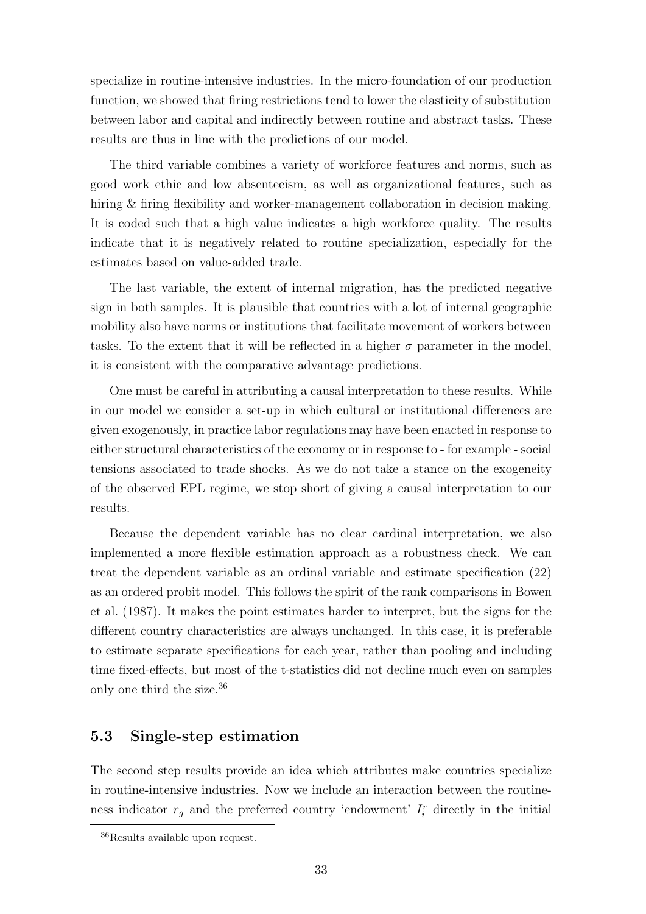specialize in routine-intensive industries. In the micro-foundation of our production function, we showed that firing restrictions tend to lower the elasticity of substitution between labor and capital and indirectly between routine and abstract tasks. These results are thus in line with the predictions of our model.

The third variable combines a variety of workforce features and norms, such as good work ethic and low absenteeism, as well as organizational features, such as hiring & firing flexibility and worker-management collaboration in decision making. It is coded such that a high value indicates a high workforce quality. The results indicate that it is negatively related to routine specialization, especially for the estimates based on value-added trade.

The last variable, the extent of internal migration, has the predicted negative sign in both samples. It is plausible that countries with a lot of internal geographic mobility also have norms or institutions that facilitate movement of workers between tasks. To the extent that it will be reflected in a higher  $\sigma$  parameter in the model, it is consistent with the comparative advantage predictions.

One must be careful in attributing a causal interpretation to these results. While in our model we consider a set-up in which cultural or institutional differences are given exogenously, in practice labor regulations may have been enacted in response to either structural characteristics of the economy or in response to - for example - social tensions associated to trade shocks. As we do not take a stance on the exogeneity of the observed EPL regime, we stop short of giving a causal interpretation to our results.

Because the dependent variable has no clear cardinal interpretation, we also implemented a more flexible estimation approach as a robustness check. We can treat the dependent variable as an ordinal variable and estimate specification (22) as an ordered probit model. This follows the spirit of the rank comparisons in Bowen et al. (1987). It makes the point estimates harder to interpret, but the signs for the different country characteristics are always unchanged. In this case, it is preferable to estimate separate specifications for each year, rather than pooling and including time fixed-effects, but most of the t-statistics did not decline much even on samples only one third the size.<sup>36</sup>

### 5.3 Single-step estimation

The second step results provide an idea which attributes make countries specialize in routine-intensive industries. Now we include an interaction between the routineness indicator  $r_g$  and the preferred country 'endowment'  $I_i^r$  directly in the initial

<sup>36</sup>Results available upon request.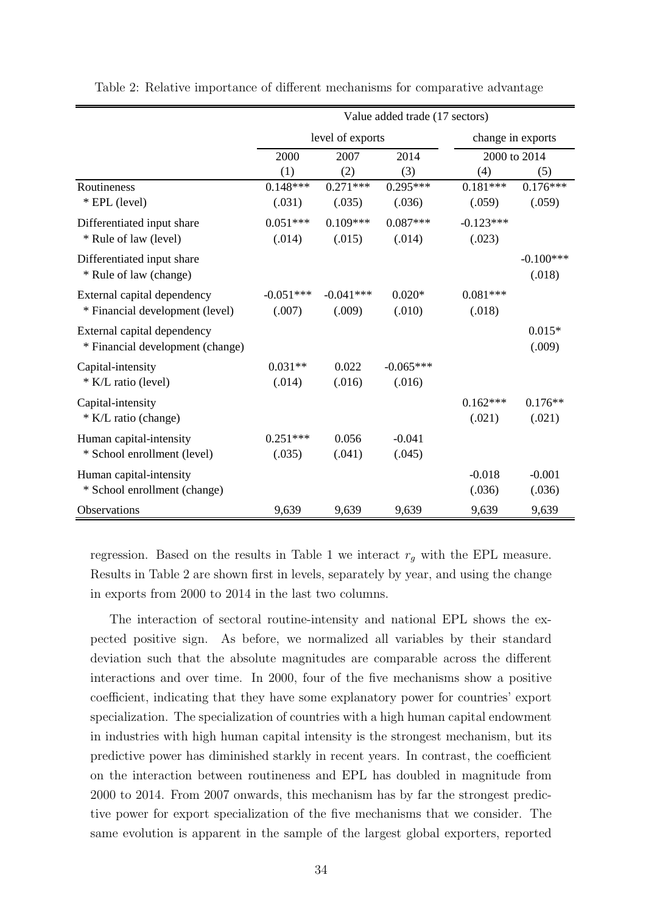|                                  | Value added trade (17 sectors) |                  |             |                   |              |  |  |
|----------------------------------|--------------------------------|------------------|-------------|-------------------|--------------|--|--|
|                                  |                                | level of exports |             | change in exports |              |  |  |
|                                  | 2000                           | 2007             | 2014        |                   | 2000 to 2014 |  |  |
|                                  | (1)                            | (2)              | (3)         | (4)               | (5)          |  |  |
| Routineness                      | $0.148***$                     | $0.271***$       | $0.295***$  | $0.181***$        | $0.176***$   |  |  |
| * EPL (level)                    | (.031)                         | (.035)           | (.036)      | (.059)            | (.059)       |  |  |
| Differentiated input share       | $0.051***$                     | $0.109***$       | $0.087***$  | $-0.123***$       |              |  |  |
| * Rule of law (level)            | (.014)                         | (.015)           | (.014)      | (.023)            |              |  |  |
| Differentiated input share       |                                |                  |             |                   | $-0.100***$  |  |  |
| * Rule of law (change)           |                                |                  |             |                   | (.018)       |  |  |
| External capital dependency      | $-0.051***$                    | $-0.041***$      | $0.020*$    | $0.081***$        |              |  |  |
| * Financial development (level)  | (.007)                         | (.009)           | (.010)      | (.018)            |              |  |  |
| External capital dependency      |                                |                  |             |                   | $0.015*$     |  |  |
| * Financial development (change) |                                |                  |             |                   | (.009)       |  |  |
| Capital-intensity                | $0.031**$                      | 0.022            | $-0.065***$ |                   |              |  |  |
| * K/L ratio (level)              | (.014)                         | (.016)           | (.016)      |                   |              |  |  |
| Capital-intensity                |                                |                  |             | $0.162***$        | $0.176**$    |  |  |
| * K/L ratio (change)             |                                |                  |             | (.021)            | (.021)       |  |  |
| Human capital-intensity          | $0.251***$                     | 0.056            | $-0.041$    |                   |              |  |  |
| * School enrollment (level)      | (.035)                         | (.041)           | (.045)      |                   |              |  |  |
| Human capital-intensity          |                                |                  |             | $-0.018$          | $-0.001$     |  |  |
| * School enrollment (change)     |                                |                  |             | (.036)            | (.036)       |  |  |
| Observations                     | 9,639                          | 9,639            | 9,639       | 9,639             | 9,639        |  |  |

Table 2: Relative importance of different mechanisms for comparative advantage

regression. Based on the results in Table 1 we interact  $r<sub>g</sub>$  with the EPL measure. Results in Table 2 are shown first in levels, separately by year, and using the change in exports from 2000 to 2014 in the last two columns.

The interaction of sectoral routine-intensity and national EPL shows the expected positive sign. As before, we normalized all variables by their standard deviation such that the absolute magnitudes are comparable across the different interactions and over time. In 2000, four of the five mechanisms show a positive coefficient, indicating that they have some explanatory power for countries' export specialization. The specialization of countries with a high human capital endowment in industries with high human capital intensity is the strongest mechanism, but its predictive power has diminished starkly in recent years. In contrast, the coefficient on the interaction between routineness and EPL has doubled in magnitude from 2000 to 2014. From 2007 onwards, this mechanism has by far the strongest predictive power for export specialization of the five mechanisms that we consider. The same evolution is apparent in the sample of the largest global exporters, reported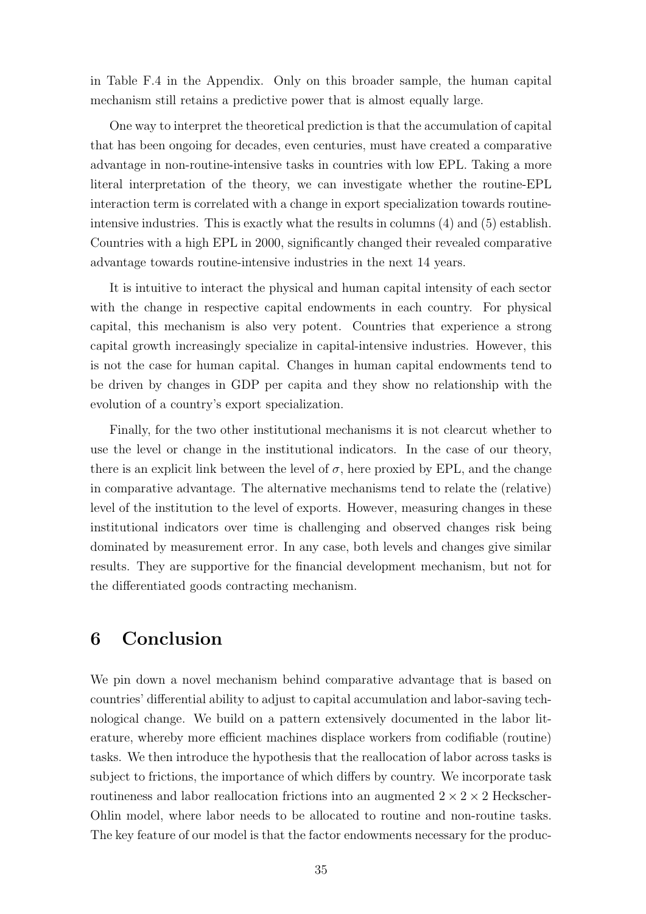in Table F.4 in the Appendix. Only on this broader sample, the human capital mechanism still retains a predictive power that is almost equally large.

One way to interpret the theoretical prediction is that the accumulation of capital that has been ongoing for decades, even centuries, must have created a comparative advantage in non-routine-intensive tasks in countries with low EPL. Taking a more literal interpretation of the theory, we can investigate whether the routine-EPL interaction term is correlated with a change in export specialization towards routineintensive industries. This is exactly what the results in columns (4) and (5) establish. Countries with a high EPL in 2000, significantly changed their revealed comparative advantage towards routine-intensive industries in the next 14 years.

It is intuitive to interact the physical and human capital intensity of each sector with the change in respective capital endowments in each country. For physical capital, this mechanism is also very potent. Countries that experience a strong capital growth increasingly specialize in capital-intensive industries. However, this is not the case for human capital. Changes in human capital endowments tend to be driven by changes in GDP per capita and they show no relationship with the evolution of a country's export specialization.

Finally, for the two other institutional mechanisms it is not clearcut whether to use the level or change in the institutional indicators. In the case of our theory, there is an explicit link between the level of  $\sigma$ , here proxied by EPL, and the change in comparative advantage. The alternative mechanisms tend to relate the (relative) level of the institution to the level of exports. However, measuring changes in these institutional indicators over time is challenging and observed changes risk being dominated by measurement error. In any case, both levels and changes give similar results. They are supportive for the financial development mechanism, but not for the differentiated goods contracting mechanism.

# 6 Conclusion

We pin down a novel mechanism behind comparative advantage that is based on countries' differential ability to adjust to capital accumulation and labor-saving technological change. We build on a pattern extensively documented in the labor literature, whereby more efficient machines displace workers from codifiable (routine) tasks. We then introduce the hypothesis that the reallocation of labor across tasks is subject to frictions, the importance of which differs by country. We incorporate task routineness and labor reallocation frictions into an augmented  $2 \times 2 \times 2$  Heckscher-Ohlin model, where labor needs to be allocated to routine and non-routine tasks. The key feature of our model is that the factor endowments necessary for the produc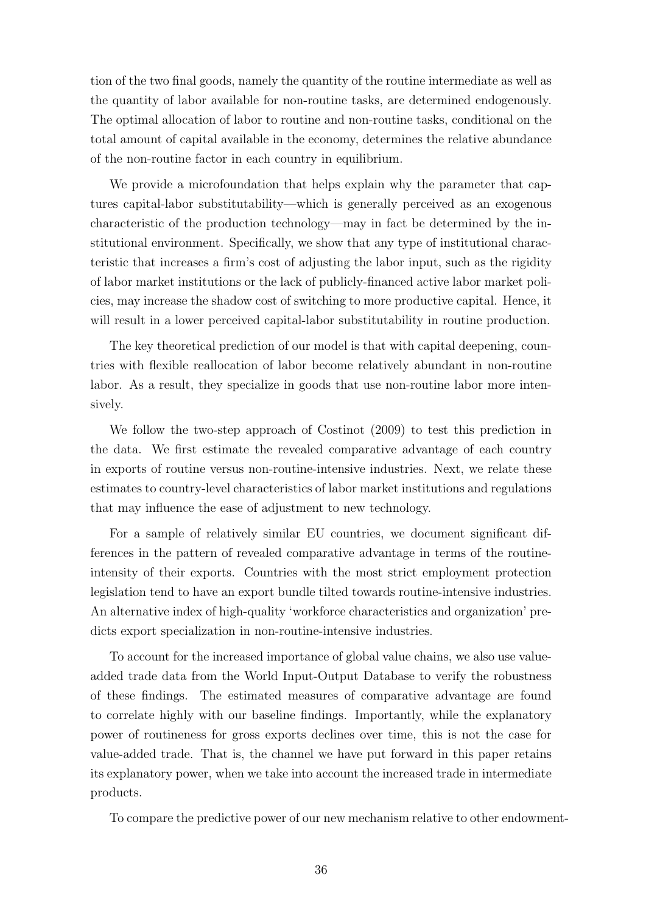tion of the two final goods, namely the quantity of the routine intermediate as well as the quantity of labor available for non-routine tasks, are determined endogenously. The optimal allocation of labor to routine and non-routine tasks, conditional on the total amount of capital available in the economy, determines the relative abundance of the non-routine factor in each country in equilibrium.

We provide a microfoundation that helps explain why the parameter that captures capital-labor substitutability—which is generally perceived as an exogenous characteristic of the production technology—may in fact be determined by the institutional environment. Specifically, we show that any type of institutional characteristic that increases a firm's cost of adjusting the labor input, such as the rigidity of labor market institutions or the lack of publicly-financed active labor market policies, may increase the shadow cost of switching to more productive capital. Hence, it will result in a lower perceived capital-labor substitutability in routine production.

The key theoretical prediction of our model is that with capital deepening, countries with flexible reallocation of labor become relatively abundant in non-routine labor. As a result, they specialize in goods that use non-routine labor more intensively.

We follow the two-step approach of Costinot (2009) to test this prediction in the data. We first estimate the revealed comparative advantage of each country in exports of routine versus non-routine-intensive industries. Next, we relate these estimates to country-level characteristics of labor market institutions and regulations that may influence the ease of adjustment to new technology.

For a sample of relatively similar EU countries, we document significant differences in the pattern of revealed comparative advantage in terms of the routineintensity of their exports. Countries with the most strict employment protection legislation tend to have an export bundle tilted towards routine-intensive industries. An alternative index of high-quality 'workforce characteristics and organization' predicts export specialization in non-routine-intensive industries.

To account for the increased importance of global value chains, we also use valueadded trade data from the World Input-Output Database to verify the robustness of these findings. The estimated measures of comparative advantage are found to correlate highly with our baseline findings. Importantly, while the explanatory power of routineness for gross exports declines over time, this is not the case for value-added trade. That is, the channel we have put forward in this paper retains its explanatory power, when we take into account the increased trade in intermediate products.

To compare the predictive power of our new mechanism relative to other endowment-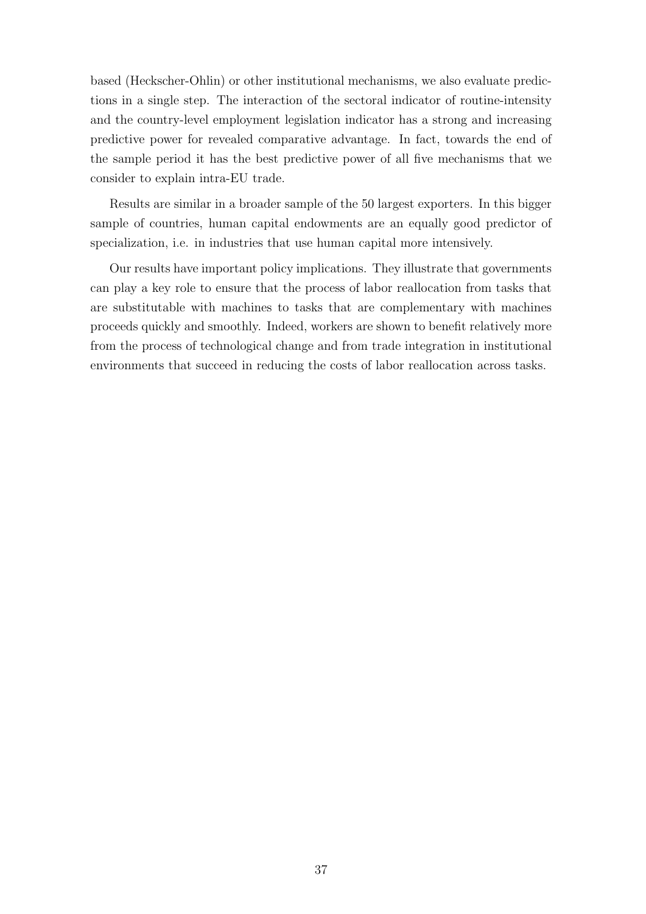based (Heckscher-Ohlin) or other institutional mechanisms, we also evaluate predictions in a single step. The interaction of the sectoral indicator of routine-intensity and the country-level employment legislation indicator has a strong and increasing predictive power for revealed comparative advantage. In fact, towards the end of the sample period it has the best predictive power of all five mechanisms that we consider to explain intra-EU trade.

Results are similar in a broader sample of the 50 largest exporters. In this bigger sample of countries, human capital endowments are an equally good predictor of specialization, i.e. in industries that use human capital more intensively.

Our results have important policy implications. They illustrate that governments can play a key role to ensure that the process of labor reallocation from tasks that are substitutable with machines to tasks that are complementary with machines proceeds quickly and smoothly. Indeed, workers are shown to benefit relatively more from the process of technological change and from trade integration in institutional environments that succeed in reducing the costs of labor reallocation across tasks.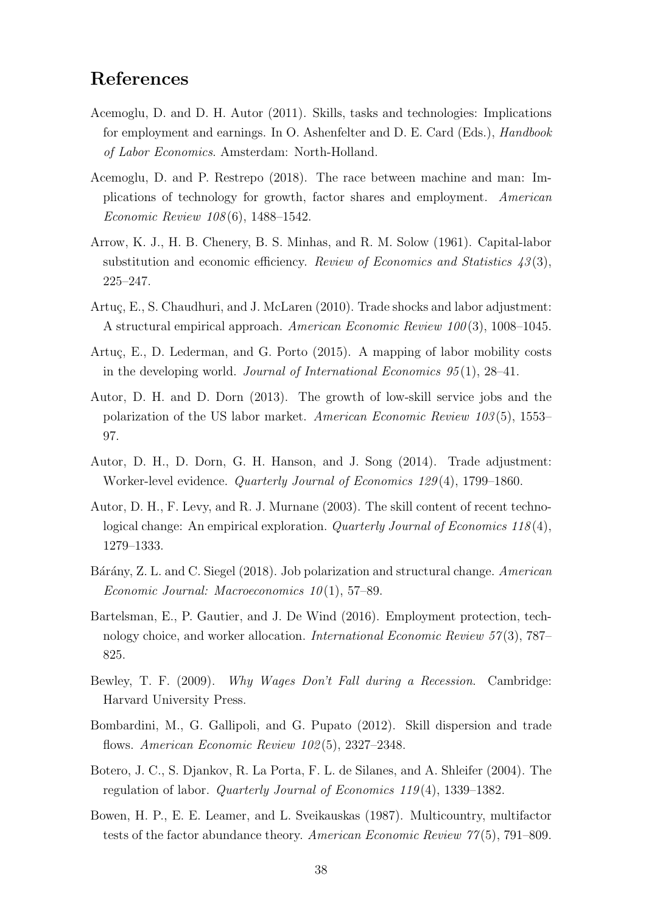# References

- Acemoglu, D. and D. H. Autor (2011). Skills, tasks and technologies: Implications for employment and earnings. In O. Ashenfelter and D. E. Card (Eds.), Handbook of Labor Economics. Amsterdam: North-Holland.
- Acemoglu, D. and P. Restrepo (2018). The race between machine and man: Implications of technology for growth, factor shares and employment. American Economic Review 108 (6), 1488–1542.
- Arrow, K. J., H. B. Chenery, B. S. Minhas, and R. M. Solow (1961). Capital-labor substitution and economic efficiency. Review of Economics and Statistics  $43(3)$ , 225–247.
- Artuç, E., S. Chaudhuri, and J. McLaren (2010). Trade shocks and labor adjustment: A structural empirical approach. American Economic Review 100 (3), 1008–1045.
- Artuç, E., D. Lederman, and G. Porto  $(2015)$ . A mapping of labor mobility costs in the developing world. Journal of International Economics  $95(1)$ ,  $28-41$ .
- Autor, D. H. and D. Dorn (2013). The growth of low-skill service jobs and the polarization of the US labor market. American Economic Review 103 (5), 1553– 97.
- Autor, D. H., D. Dorn, G. H. Hanson, and J. Song (2014). Trade adjustment: Worker-level evidence. Quarterly Journal of Economics 129 (4), 1799–1860.
- Autor, D. H., F. Levy, and R. J. Murnane (2003). The skill content of recent technological change: An empirical exploration. Quarterly Journal of Economics 118(4), 1279–1333.
- Bárány, Z. L. and C. Siegel (2018). Job polarization and structural change. American Economic Journal: Macroeconomics  $10(1)$ , 57–89.
- Bartelsman, E., P. Gautier, and J. De Wind (2016). Employment protection, technology choice, and worker allocation. International Economic Review 57 (3), 787– 825.
- Bewley, T. F. (2009). Why Wages Don't Fall during a Recession. Cambridge: Harvard University Press.
- Bombardini, M., G. Gallipoli, and G. Pupato (2012). Skill dispersion and trade flows. American Economic Review 102 (5), 2327–2348.
- Botero, J. C., S. Djankov, R. La Porta, F. L. de Silanes, and A. Shleifer (2004). The regulation of labor. Quarterly Journal of Economics 119 (4), 1339–1382.
- Bowen, H. P., E. E. Leamer, and L. Sveikauskas (1987). Multicountry, multifactor tests of the factor abundance theory. American Economic Review 77(5), 791–809.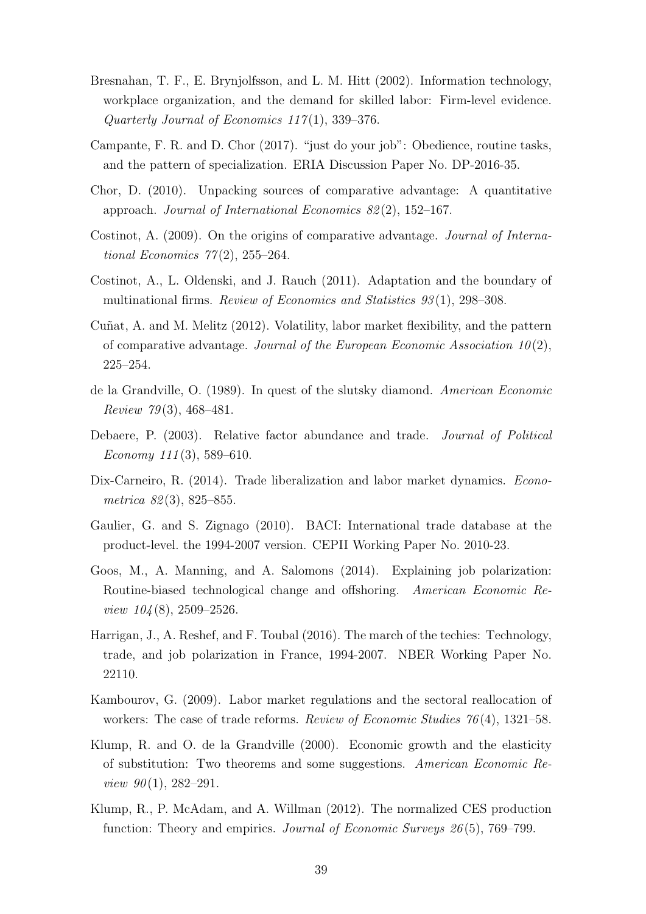- Bresnahan, T. F., E. Brynjolfsson, and L. M. Hitt (2002). Information technology, workplace organization, and the demand for skilled labor: Firm-level evidence. Quarterly Journal of Economics  $117(1)$ , 339-376.
- Campante, F. R. and D. Chor (2017). "just do your job": Obedience, routine tasks, and the pattern of specialization. ERIA Discussion Paper No. DP-2016-35.
- Chor, D. (2010). Unpacking sources of comparative advantage: A quantitative approach. Journal of International Economics 82 (2), 152–167.
- Costinot, A. (2009). On the origins of comparative advantage. Journal of International Economics  $77(2)$ , 255–264.
- Costinot, A., L. Oldenski, and J. Rauch (2011). Adaptation and the boundary of multinational firms. Review of Economics and Statistics 93 (1), 298–308.
- Cuñat, A. and M. Melitz (2012). Volatility, labor market flexibility, and the pattern of comparative advantage. Journal of the European Economic Association  $10(2)$ , 225–254.
- de la Grandville, O. (1989). In quest of the slutsky diamond. American Economic *Review 79* (3), 468–481.
- Debaere, P. (2003). Relative factor abundance and trade. Journal of Political Economy  $111(3)$ , 589–610.
- Dix-Carneiro, R. (2014). Trade liberalization and labor market dynamics. *Econo*metrica 82(3), 825–855.
- Gaulier, G. and S. Zignago (2010). BACI: International trade database at the product-level. the 1994-2007 version. CEPII Working Paper No. 2010-23.
- Goos, M., A. Manning, and A. Salomons (2014). Explaining job polarization: Routine-biased technological change and offshoring. American Economic Review  $104(8)$ , 2509–2526.
- Harrigan, J., A. Reshef, and F. Toubal (2016). The march of the techies: Technology, trade, and job polarization in France, 1994-2007. NBER Working Paper No. 22110.
- Kambourov, G. (2009). Labor market regulations and the sectoral reallocation of workers: The case of trade reforms. Review of Economic Studies 76(4), 1321–58.
- Klump, R. and O. de la Grandville (2000). Economic growth and the elasticity of substitution: Two theorems and some suggestions. American Economic Review  $90(1)$ , 282-291.
- Klump, R., P. McAdam, and A. Willman (2012). The normalized CES production function: Theory and empirics. *Journal of Economic Surveys 26* $(5)$ , 769–799.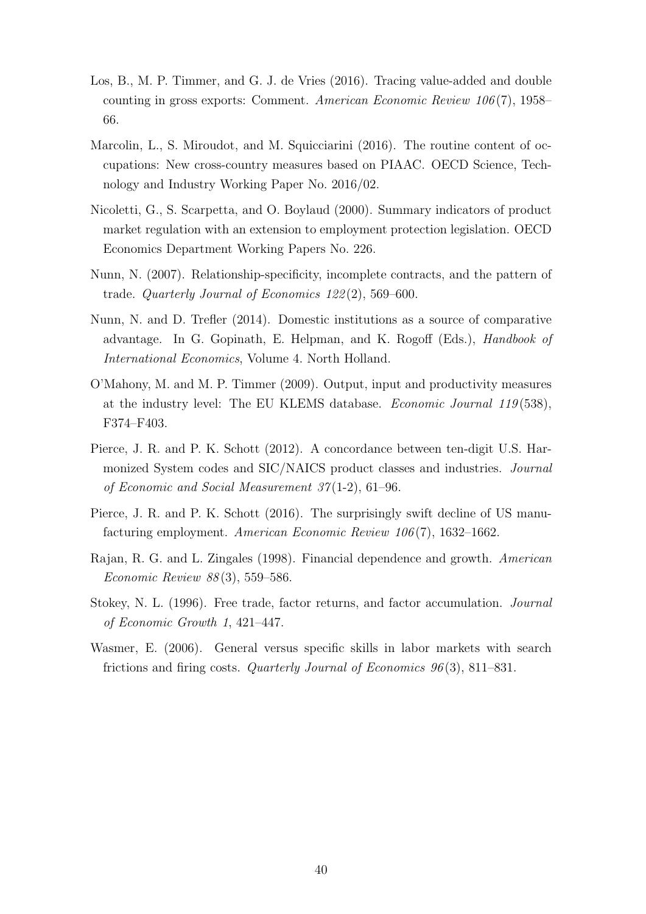- Los, B., M. P. Timmer, and G. J. de Vries (2016). Tracing value-added and double counting in gross exports: Comment. American Economic Review 106 (7), 1958– 66.
- Marcolin, L., S. Miroudot, and M. Squicciarini (2016). The routine content of occupations: New cross-country measures based on PIAAC. OECD Science, Technology and Industry Working Paper No. 2016/02.
- Nicoletti, G., S. Scarpetta, and O. Boylaud (2000). Summary indicators of product market regulation with an extension to employment protection legislation. OECD Economics Department Working Papers No. 226.
- Nunn, N. (2007). Relationship-specificity, incomplete contracts, and the pattern of trade. Quarterly Journal of Economics 122 (2), 569–600.
- Nunn, N. and D. Trefler (2014). Domestic institutions as a source of comparative advantage. In G. Gopinath, E. Helpman, and K. Rogoff (Eds.), Handbook of International Economics, Volume 4. North Holland.
- O'Mahony, M. and M. P. Timmer (2009). Output, input and productivity measures at the industry level: The EU KLEMS database. Economic Journal 119 (538), F374–F403.
- Pierce, J. R. and P. K. Schott (2012). A concordance between ten-digit U.S. Harmonized System codes and SIC/NAICS product classes and industries. Journal of Economic and Social Measurement 37 (1-2), 61–96.
- Pierce, J. R. and P. K. Schott (2016). The surprisingly swift decline of US manufacturing employment. American Economic Review 106 (7), 1632–1662.
- Rajan, R. G. and L. Zingales (1998). Financial dependence and growth. American Economic Review 88 (3), 559–586.
- Stokey, N. L. (1996). Free trade, factor returns, and factor accumulation. Journal of Economic Growth 1, 421–447.
- Wasmer, E. (2006). General versus specific skills in labor markets with search frictions and firing costs. Quarterly Journal of Economics 96 (3), 811–831.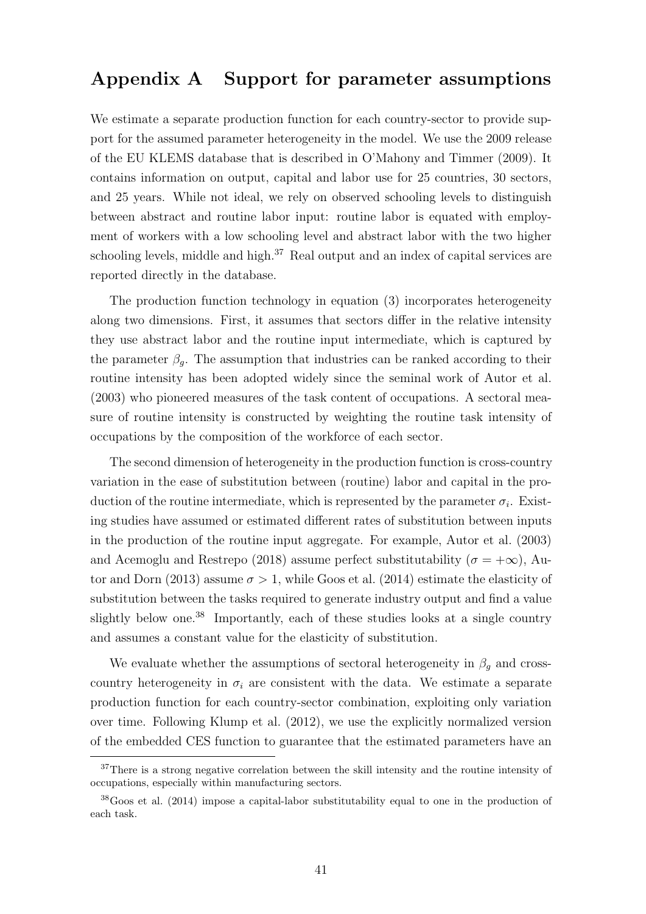# Appendix A Support for parameter assumptions

We estimate a separate production function for each country-sector to provide support for the assumed parameter heterogeneity in the model. We use the 2009 release of the EU KLEMS database that is described in O'Mahony and Timmer (2009). It contains information on output, capital and labor use for 25 countries, 30 sectors, and 25 years. While not ideal, we rely on observed schooling levels to distinguish between abstract and routine labor input: routine labor is equated with employment of workers with a low schooling level and abstract labor with the two higher schooling levels, middle and high.<sup>37</sup> Real output and an index of capital services are reported directly in the database.

The production function technology in equation (3) incorporates heterogeneity along two dimensions. First, it assumes that sectors differ in the relative intensity they use abstract labor and the routine input intermediate, which is captured by the parameter  $\beta_q$ . The assumption that industries can be ranked according to their routine intensity has been adopted widely since the seminal work of Autor et al. (2003) who pioneered measures of the task content of occupations. A sectoral measure of routine intensity is constructed by weighting the routine task intensity of occupations by the composition of the workforce of each sector.

The second dimension of heterogeneity in the production function is cross-country variation in the ease of substitution between (routine) labor and capital in the production of the routine intermediate, which is represented by the parameter  $\sigma_i$ . Existing studies have assumed or estimated different rates of substitution between inputs in the production of the routine input aggregate. For example, Autor et al. (2003) and Acemoglu and Restrepo (2018) assume perfect substitutability ( $\sigma = +\infty$ ), Autor and Dorn (2013) assume  $\sigma > 1$ , while Goos et al. (2014) estimate the elasticity of substitution between the tasks required to generate industry output and find a value slightly below one.<sup>38</sup> Importantly, each of these studies looks at a single country and assumes a constant value for the elasticity of substitution.

We evaluate whether the assumptions of sectoral heterogeneity in  $\beta_q$  and crosscountry heterogeneity in  $\sigma_i$  are consistent with the data. We estimate a separate production function for each country-sector combination, exploiting only variation over time. Following Klump et al. (2012), we use the explicitly normalized version of the embedded CES function to guarantee that the estimated parameters have an

<sup>&</sup>lt;sup>37</sup>There is a strong negative correlation between the skill intensity and the routine intensity of occupations, especially within manufacturing sectors.

<sup>38</sup>Goos et al. (2014) impose a capital-labor substitutability equal to one in the production of each task.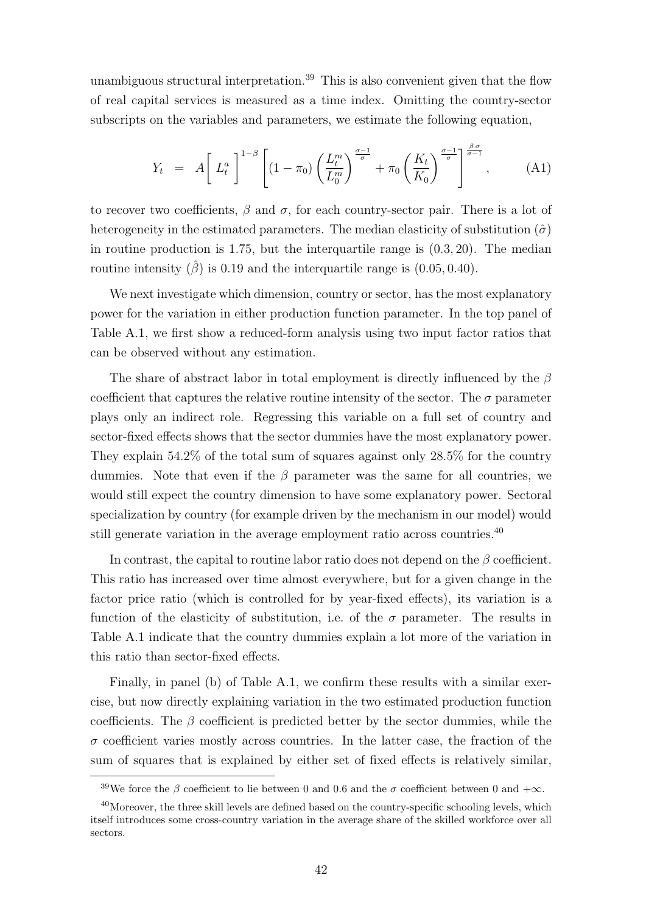unambiguous structural interpretation.<sup>39</sup> This is also convenient given that the flow of real capital services is measured as a time index. Omitting the country-sector subscripts on the variables and parameters, we estimate the following equation,

$$
Y_t = A \left[ L_t^a \right]^{1-\beta} \left[ (1-\pi_0) \left( \frac{L_t^m}{L_0^m} \right)^{\frac{\sigma-1}{\sigma}} + \pi_0 \left( \frac{K_t}{K_0} \right)^{\frac{\sigma-1}{\sigma}} \right]^{\frac{\beta \sigma}{\sigma-1}}, \quad (A1)
$$

to recover two coefficients,  $\beta$  and  $\sigma$ , for each country-sector pair. There is a lot of heterogeneity in the estimated parameters. The median elasticity of substitution  $(\hat{\sigma})$ in routine production is 1.75, but the interquartile range is (0.3, 20). The median routine intensity  $(\hat{\beta})$  is 0.19 and the interquartile range is  $(0.05, 0.40)$ .

We next investigate which dimension, country or sector, has the most explanatory power for the variation in either production function parameter. In the top panel of Table A.1, we first show a reduced-form analysis using two input factor ratios that can be observed without any estimation.

The share of abstract labor in total employment is directly influenced by the  $\beta$ coefficient that captures the relative routine intensity of the sector. The  $\sigma$  parameter plays only an indirect role. Regressing this variable on a full set of country and sector-fixed effects shows that the sector dummies have the most explanatory power. They explain 54.2% of the total sum of squares against only 28.5% for the country dummies. Note that even if the  $\beta$  parameter was the same for all countries, we would still expect the country dimension to have some explanatory power. Sectoral specialization by country (for example driven by the mechanism in our model) would still generate variation in the average employment ratio across countries.<sup>40</sup>

In contrast, the capital to routine labor ratio does not depend on the  $\beta$  coefficient. This ratio has increased over time almost everywhere, but for a given change in the factor price ratio (which is controlled for by year-fixed effects), its variation is a function of the elasticity of substitution, i.e. of the  $\sigma$  parameter. The results in Table A.1 indicate that the country dummies explain a lot more of the variation in this ratio than sector-fixed effects.

Finally, in panel (b) of Table A.1, we confirm these results with a similar exercise, but now directly explaining variation in the two estimated production function coefficients. The  $\beta$  coefficient is predicted better by the sector dummies, while the  $\sigma$  coefficient varies mostly across countries. In the latter case, the fraction of the sum of squares that is explained by either set of fixed effects is relatively similar,

<sup>&</sup>lt;sup>39</sup>We force the  $\beta$  coefficient to lie between 0 and 0.6 and the  $\sigma$  coefficient between 0 and + $\infty$ .

<sup>&</sup>lt;sup>40</sup>Moreover, the three skill levels are defined based on the country-specific schooling levels, which itself introduces some cross-country variation in the average share of the skilled workforce over all sectors.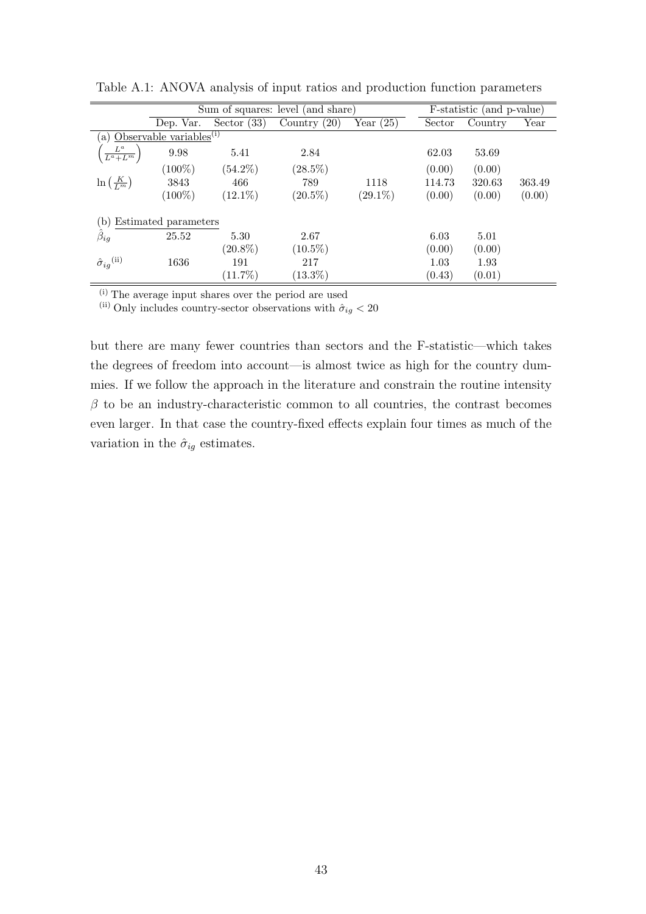|                                      |                                         | Sum of squares: level (and share) | F-statistic (and p-value) |             |        |         |        |
|--------------------------------------|-----------------------------------------|-----------------------------------|---------------------------|-------------|--------|---------|--------|
|                                      | Dep. Var.                               | Sector $(33)$                     | Country $(20)$            | Year $(25)$ | Sector | Country | Year   |
|                                      | (a) Observable variables <sup>(i)</sup> |                                   |                           |             |        |         |        |
| $\frac{L^a}{L^a+L^m}$                | 9.98                                    | 5.41                              | 2.84                      |             | 62.03  | 53.69   |        |
|                                      | $(100\%)$                               | $(54.2\%)$                        | $(28.5\%)$                |             | (0.00) | (0.00)  |        |
| $\ln\left(\frac{K}{L^m}\right)$      | 3843                                    | 466                               | 789                       | 1118        | 114.73 | 320.63  | 363.49 |
|                                      | $(100\%)$                               | $(12.1\%)$                        | $(20.5\%)$                | $(29.1\%)$  | (0.00) | (0.00)  | (0.00) |
| Estimated parameters<br>$\mathsf{b}$ |                                         |                                   |                           |             |        |         |        |
| $\hat{\beta}_{ig}$                   | 25.52                                   | 5.30                              | 2.67                      |             | 6.03   | 5.01    |        |
|                                      |                                         | $(20.8\%)$                        | $(10.5\%)$                |             | (0.00) | (0.00)  |        |
| $\hat{\sigma}_{ig}^{\text{(ii)}}$    | 1636                                    | 191                               | 217                       |             | 1.03   | 1.93    |        |
|                                      |                                         | $(11.7\%)$                        | $(13.3\%)$                |             | (0.43) | (0.01)  |        |

Table A.1: ANOVA analysis of input ratios and production function parameters

 $\frac{1}{2}$  (i) The average input shares over the period are used

(ii) Only includes country-sector observations with  $\hat{\sigma}_{ig} < 20$ 

but there are many fewer countries than sectors and the F-statistic—which takes the degrees of freedom into account—is almost twice as high for the country dummies. If we follow the approach in the literature and constrain the routine intensity  $\beta$  to be an industry-characteristic common to all countries, the contrast becomes even larger. In that case the country-fixed effects explain four times as much of the variation in the  $\hat{\sigma}_{iq}$  estimates.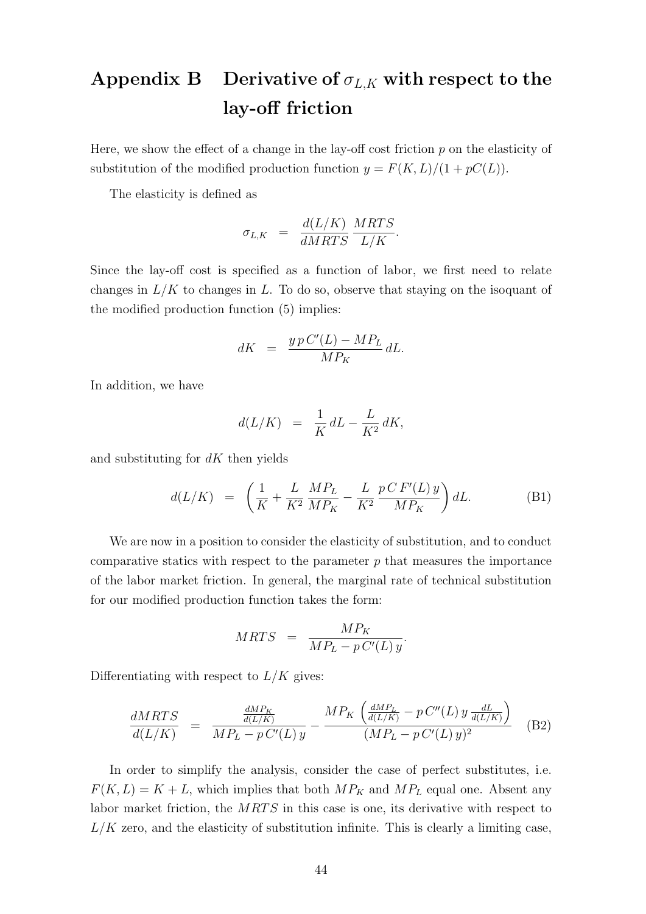# Appendix B Derivative of  $\sigma_{L,K}$  with respect to the lay-off friction

Here, we show the effect of a change in the lay-off cost friction  $p$  on the elasticity of substitution of the modified production function  $y = F(K, L)/(1 + pC(L))$ .

The elasticity is defined as

$$
\sigma_{L,K} = \frac{d(L/K)}{dMRTS} \frac{MRTS}{L/K}.
$$

Since the lay-off cost is specified as a function of labor, we first need to relate changes in  $L/K$  to changes in L. To do so, observe that staying on the isoquant of the modified production function (5) implies:

$$
dK \;\;=\;\; \frac{y\,p\,C'(L)-MP_L}{MP_K}\,dL.
$$

In addition, we have

$$
d(L/K) = \frac{1}{K} dL - \frac{L}{K^2} dK,
$$

and substituting for  $dK$  then yields

$$
d(L/K) = \left(\frac{1}{K} + \frac{L}{K^2} \frac{MP_L}{MP_K} - \frac{L}{K^2} \frac{p \, CF'(L) \, y}{MP_K}\right) dL. \tag{B1}
$$

We are now in a position to consider the elasticity of substitution, and to conduct comparative statics with respect to the parameter  $p$  that measures the importance of the labor market friction. In general, the marginal rate of technical substitution for our modified production function takes the form:

$$
MRTS = \frac{MP_K}{MP_L - pC'(L)y}.
$$

Differentiating with respect to  $L/K$  gives:

$$
\frac{dMRTS}{d(L/K)} = \frac{\frac{dMP_K}{d(L/K)}}{MP_L - pC'(L)y} - \frac{MP_K \left(\frac{dMP_L}{d(L/K)} - pC''(L)y \frac{dL}{d(L/K)}\right)}{(MP_L - pC'(L)y)^2}
$$
(B2)

In order to simplify the analysis, consider the case of perfect substitutes, i.e.  $F(K, L) = K + L$ , which implies that both  $MP_K$  and  $MP_L$  equal one. Absent any labor market friction, the MRTS in this case is one, its derivative with respect to  $L/K$  zero, and the elasticity of substitution infinite. This is clearly a limiting case,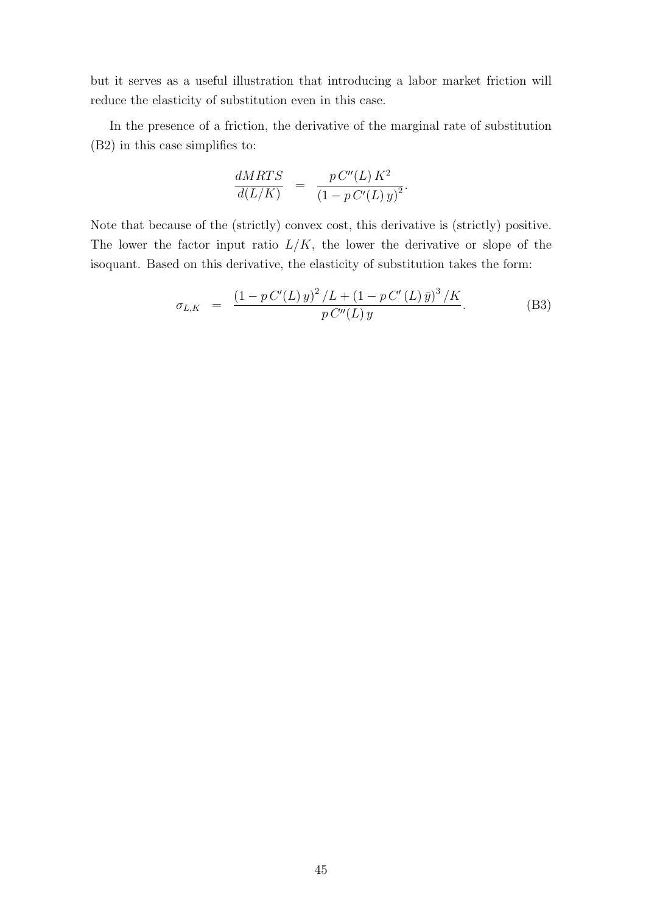but it serves as a useful illustration that introducing a labor market friction will reduce the elasticity of substitution even in this case.

In the presence of a friction, the derivative of the marginal rate of substitution (B2) in this case simplifies to:

$$
\frac{dMRTS}{d(L/K)} = \frac{p C''(L) K^2}{(1 - p C'(L) y)^2}.
$$

Note that because of the (strictly) convex cost, this derivative is (strictly) positive. The lower the factor input ratio  $L/K$ , the lower the derivative or slope of the isoquant. Based on this derivative, the elasticity of substitution takes the form:

$$
\sigma_{L,K} = \frac{(1 - p C'(L) y)^2 / L + (1 - p C'(L) \bar{y})^3 / K}{p C''(L) y}.
$$
 (B3)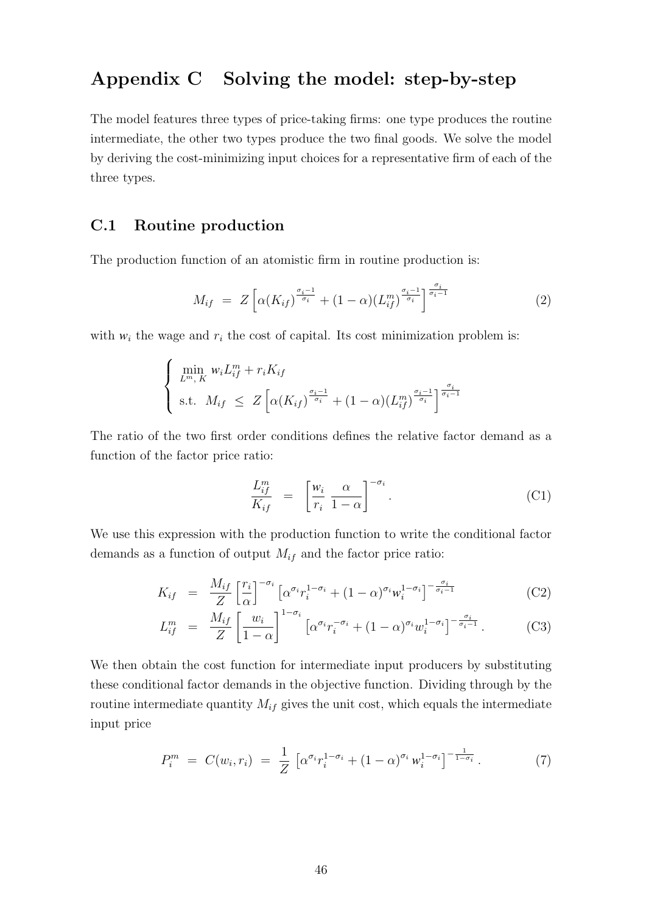# Appendix C Solving the model: step-by-step

The model features three types of price-taking firms: one type produces the routine intermediate, the other two types produce the two final goods. We solve the model by deriving the cost-minimizing input choices for a representative firm of each of the three types.

## C.1 Routine production

The production function of an atomistic firm in routine production is:

$$
M_{if} = Z \left[ \alpha(K_{if})^{\frac{\sigma_i - 1}{\sigma_i}} + (1 - \alpha)(L_{if}^m)^{\frac{\sigma_i - 1}{\sigma_i}} \right]^{\frac{\sigma_i}{\sigma_i - 1}}
$$
(2)

with  $w_i$  the wage and  $r_i$  the cost of capital. Its cost minimization problem is:

$$
\begin{cases} \min_{L^m, K} w_i L_{if}^m + r_i K_{if} \\ \text{s.t.} \quad M_{if} \leq Z \left[ \alpha(K_{if})^{\frac{\sigma_i - 1}{\sigma_i}} + (1 - \alpha)(L_{if}^m)^{\frac{\sigma_i - 1}{\sigma_i}} \right]^{\frac{\sigma_i}{\sigma_i - 1}} \end{cases}
$$

The ratio of the two first order conditions defines the relative factor demand as a function of the factor price ratio:

$$
\frac{L_{if}^{m}}{K_{if}} = \left[\frac{w_{i}}{r_{i}} \frac{\alpha}{1-\alpha}\right]^{-\sigma_{i}}.
$$
\n(C1)

We use this expression with the production function to write the conditional factor demands as a function of output  $M_{if}$  and the factor price ratio:

$$
K_{if} = \frac{M_{if}}{Z} \left[ \frac{r_i}{\alpha} \right]^{-\sigma_i} \left[ \alpha^{\sigma_i} r_i^{1-\sigma_i} + (1-\alpha)^{\sigma_i} w_i^{1-\sigma_i} \right]^{-\frac{\sigma_i}{\sigma_i - 1}} \tag{C2}
$$

$$
L_{if}^{m} = \frac{M_{if}}{Z} \left[ \frac{w_{i}}{1-\alpha} \right]^{1-\sigma_{i}} \left[ \alpha^{\sigma_{i}} r_{i}^{-\sigma_{i}} + (1-\alpha)^{\sigma_{i}} w_{i}^{1-\sigma_{i}} \right]^{-\frac{\sigma_{i}}{\sigma_{i}-1}}.
$$
 (C3)

We then obtain the cost function for intermediate input producers by substituting these conditional factor demands in the objective function. Dividing through by the routine intermediate quantity  $M_{if}$  gives the unit cost, which equals the intermediate input price

$$
P_i^m = C(w_i, r_i) = \frac{1}{Z} \left[ \alpha^{\sigma_i} r_i^{1-\sigma_i} + (1-\alpha)^{\sigma_i} w_i^{1-\sigma_i} \right]^{-\frac{1}{1-\sigma_i}}.
$$
 (7)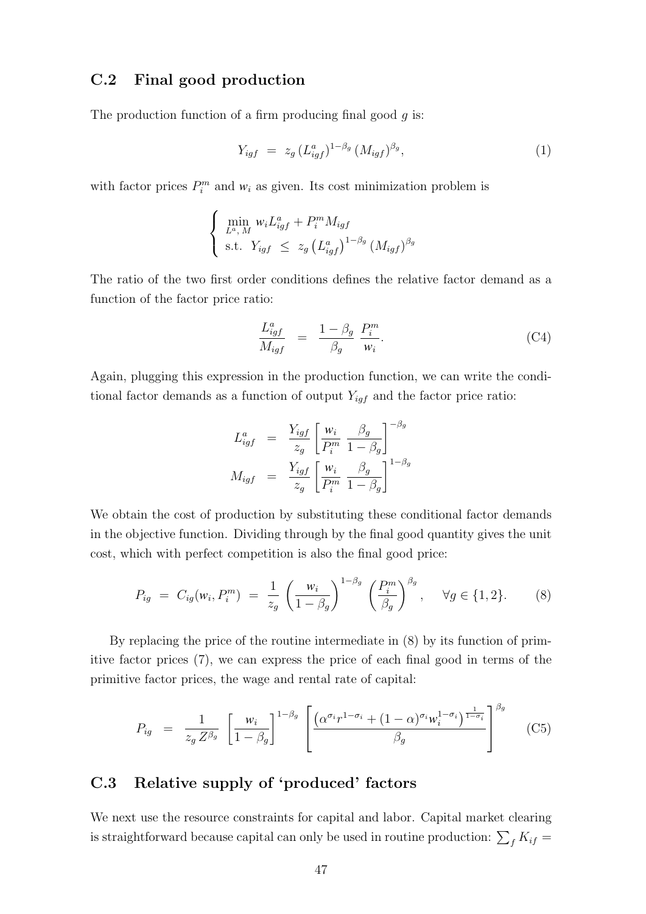## C.2 Final good production

The production function of a firm producing final good  $q$  is:

$$
Y_{igf} = z_g \left( L_{igf}^a \right)^{1-\beta_g} \left( M_{igf} \right)^{\beta_g}, \tag{1}
$$

with factor prices  $P_i^m$  and  $w_i$  as given. Its cost minimization problem is

$$
\begin{cases} \n\min_{L^a, M} w_i L_{igf}^a + P_i^m M_{igf} \\
\text{s.t. } Y_{igf} \leq z_g \left( L_{igf}^a \right)^{1-\beta_g} \left( M_{igf} \right)^{\beta_g}\n\end{cases}
$$

The ratio of the two first order conditions defines the relative factor demand as a function of the factor price ratio:

$$
\frac{L_{igf}^a}{M_{igf}} = \frac{1 - \beta_g}{\beta_g} \frac{P_i^m}{w_i}.
$$
\n(C4)

Again, plugging this expression in the production function, we can write the conditional factor demands as a function of output  $Y_{igf}$  and the factor price ratio:

$$
L_{igf}^{a} = \frac{Y_{igf}}{z_g} \left[ \frac{w_i}{P_i^m} \frac{\beta_g}{1 - \beta_g} \right]^{-\beta_g}
$$

$$
M_{igf} = \frac{Y_{igf}}{z_g} \left[ \frac{w_i}{P_i^m} \frac{\beta_g}{1 - \beta_g} \right]^{1 - \beta_g}
$$

We obtain the cost of production by substituting these conditional factor demands in the objective function. Dividing through by the final good quantity gives the unit cost, which with perfect competition is also the final good price:

$$
P_{ig} = C_{ig}(w_i, P_i^m) = \frac{1}{z_g} \left(\frac{w_i}{1 - \beta_g}\right)^{1 - \beta_g} \left(\frac{P_i^m}{\beta_g}\right)^{\beta_g}, \quad \forall g \in \{1, 2\}.
$$
 (8)

By replacing the price of the routine intermediate in (8) by its function of primitive factor prices (7), we can express the price of each final good in terms of the primitive factor prices, the wage and rental rate of capital:

$$
P_{ig} = \frac{1}{z_g Z^{\beta_g}} \left[ \frac{w_i}{1 - \beta_g} \right]^{1 - \beta_g} \left[ \frac{(\alpha^{\sigma_i} r^{1 - \sigma_i} + (1 - \alpha)^{\sigma_i} w_i^{1 - \sigma_i})^{\frac{1}{1 - \sigma_i}}}{\beta_g} \right]^{\beta_g} \tag{C5}
$$

## C.3 Relative supply of 'produced' factors

We next use the resource constraints for capital and labor. Capital market clearing is straightforward because capital can only be used in routine production:  $\sum_{f} K_{if} =$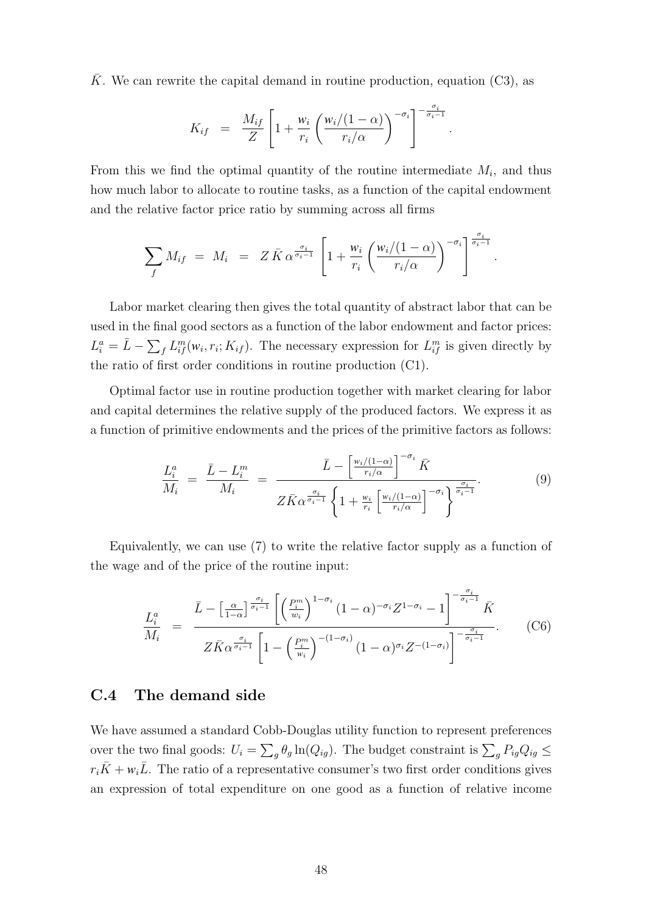$\overline{K}$ . We can rewrite the capital demand in routine production, equation (C3), as

$$
K_{if} = \frac{M_{if}}{Z} \left[ 1 + \frac{w_i}{r_i} \left( \frac{w_i/(1-\alpha)}{r_i/\alpha} \right)^{-\sigma_i} \right]^{-\frac{\sigma_i}{\sigma_i - 1}}.
$$

From this we find the optimal quantity of the routine intermediate  $M_i$ , and thus how much labor to allocate to routine tasks, as a function of the capital endowment and the relative factor price ratio by summing across all firms

$$
\sum_{f} M_{if} = M_{i} = Z \bar{K} \alpha^{\frac{\sigma_{i}}{\sigma_{i}-1}} \left[ 1 + \frac{w_{i}}{r_{i}} \left( \frac{w_{i}/(1-\alpha)}{r_{i}/\alpha} \right)^{-\sigma_{i}} \right]^{\frac{\sigma_{i}}{\sigma_{i}-1}}
$$

.

Labor market clearing then gives the total quantity of abstract labor that can be used in the final good sectors as a function of the labor endowment and factor prices:  $L_i^a = \bar{L} - \sum_f L_{if}^m(w_i, r_i; K_{if})$ . The necessary expression for  $L_{if}^m$  is given directly by the ratio of first order conditions in routine production (C1).

Optimal factor use in routine production together with market clearing for labor and capital determines the relative supply of the produced factors. We express it as a function of primitive endowments and the prices of the primitive factors as follows:

$$
\frac{L_i^a}{M_i} = \frac{\bar{L} - L_i^m}{M_i} = \frac{\bar{L} - \left[\frac{w_i/(1-\alpha)}{r_i/\alpha}\right]^{-\sigma_i} \bar{K}}{Z\bar{K}\alpha^{\frac{\sigma_i}{\sigma_i - 1}} \left\{1 + \frac{w_i}{r_i} \left[\frac{w_i/(1-\alpha)}{r_i/\alpha}\right]^{-\sigma_i}\right\}^{\frac{\sigma_i}{\sigma_i - 1}}}.
$$
\n(9)

Equivalently, we can use (7) to write the relative factor supply as a function of the wage and of the price of the routine input:

$$
\frac{L_i^a}{M_i} = \frac{\bar{L} - \left[\frac{\alpha}{1-\alpha}\right]^{\frac{\sigma_i}{\sigma_i-1}} \left[\left(\frac{P_i^m}{w_i}\right)^{1-\sigma_i} (1-\alpha)^{-\sigma_i} Z^{1-\sigma_i} - 1\right]^{-\frac{\sigma_i}{\sigma_i-1}} \bar{K}}{Z \bar{K} \alpha^{\frac{\sigma_i}{\sigma_i-1}} \left[1 - \left(\frac{P_i^m}{w_i}\right)^{-(1-\sigma_i)} (1-\alpha)^{\sigma_i} Z^{-(1-\sigma_i)}\right]^{-\frac{\sigma_i}{\sigma_i-1}}}.
$$
(C6)

## C.4 The demand side

We have assumed a standard Cobb-Douglas utility function to represent preferences over the two final goods:  $U_i = \sum_g \theta_g \ln(Q_{ig})$ . The budget constraint is  $\sum_g P_{ig}Q_{ig} \leq$  $r_i\bar{K} + w_i\bar{L}$ . The ratio of a representative consumer's two first order conditions gives an expression of total expenditure on one good as a function of relative income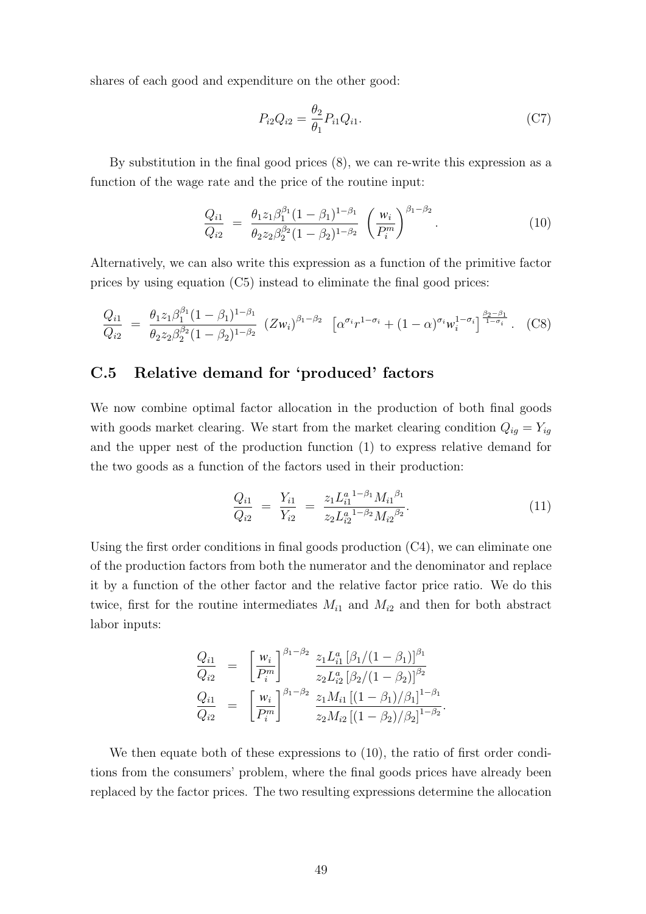shares of each good and expenditure on the other good:

$$
P_{i2}Q_{i2} = \frac{\theta_2}{\theta_1} P_{i1}Q_{i1}.
$$
\n(C7)

By substitution in the final good prices (8), we can re-write this expression as a function of the wage rate and the price of the routine input:

$$
\frac{Q_{i1}}{Q_{i2}} = \frac{\theta_1 z_1 \beta_1^{\beta_1} (1 - \beta_1)^{1 - \beta_1}}{\theta_2 z_2 \beta_2^{\beta_2} (1 - \beta_2)^{1 - \beta_2}} \left(\frac{w_i}{P_i^m}\right)^{\beta_1 - \beta_2}.
$$
\n(10)

Alternatively, we can also write this expression as a function of the primitive factor prices by using equation (C5) instead to eliminate the final good prices:

$$
\frac{Q_{i1}}{Q_{i2}} = \frac{\theta_1 z_1 \beta_1^{\beta_1} (1 - \beta_1)^{1 - \beta_1}}{\theta_2 z_2 \beta_2^{\beta_2} (1 - \beta_2)^{1 - \beta_2}} \left(Z w_i\right)^{\beta_1 - \beta_2} \left[\alpha^{\sigma_i} r^{1 - \sigma_i} + (1 - \alpha)^{\sigma_i} w_i^{1 - \sigma_i}\right]^{\frac{\beta_2 - \beta_1}{1 - \sigma_i}}. \tag{C8}
$$

## C.5 Relative demand for 'produced' factors

We now combine optimal factor allocation in the production of both final goods with goods market clearing. We start from the market clearing condition  $Q_{ig} = Y_{ig}$ and the upper nest of the production function (1) to express relative demand for the two goods as a function of the factors used in their production:

$$
\frac{Q_{i1}}{Q_{i2}} = \frac{Y_{i1}}{Y_{i2}} = \frac{z_1 L_{i1}^{a \ 1 - \beta_1} M_{i1}^{\beta_1}}{z_2 L_{i2}^{a \ 1 - \beta_2} M_{i2}^{\beta_2}}.
$$
\n(11)

Using the first order conditions in final goods production (C4), we can eliminate one of the production factors from both the numerator and the denominator and replace it by a function of the other factor and the relative factor price ratio. We do this twice, first for the routine intermediates  $M_{i1}$  and  $M_{i2}$  and then for both abstract labor inputs:

$$
\frac{Q_{i1}}{Q_{i2}} = \left[\frac{w_i}{P_i^m}\right]^{\beta_1 - \beta_2} \frac{z_1 L_{i1}^a [\beta_1/(1-\beta_1)]^{\beta_1}}{z_2 L_{i2}^a [\beta_2/(1-\beta_2)]^{\beta_2}}
$$
  
\n
$$
\frac{Q_{i1}}{Q_{i2}} = \left[\frac{w_i}{P_i^m}\right]^{\beta_1 - \beta_2} \frac{z_1 M_{i1} [(1-\beta_1)/\beta_1]^{1-\beta_1}}{z_2 M_{i2} [(1-\beta_2)/\beta_2]^{1-\beta_2}}.
$$

We then equate both of these expressions to  $(10)$ , the ratio of first order conditions from the consumers' problem, where the final goods prices have already been replaced by the factor prices. The two resulting expressions determine the allocation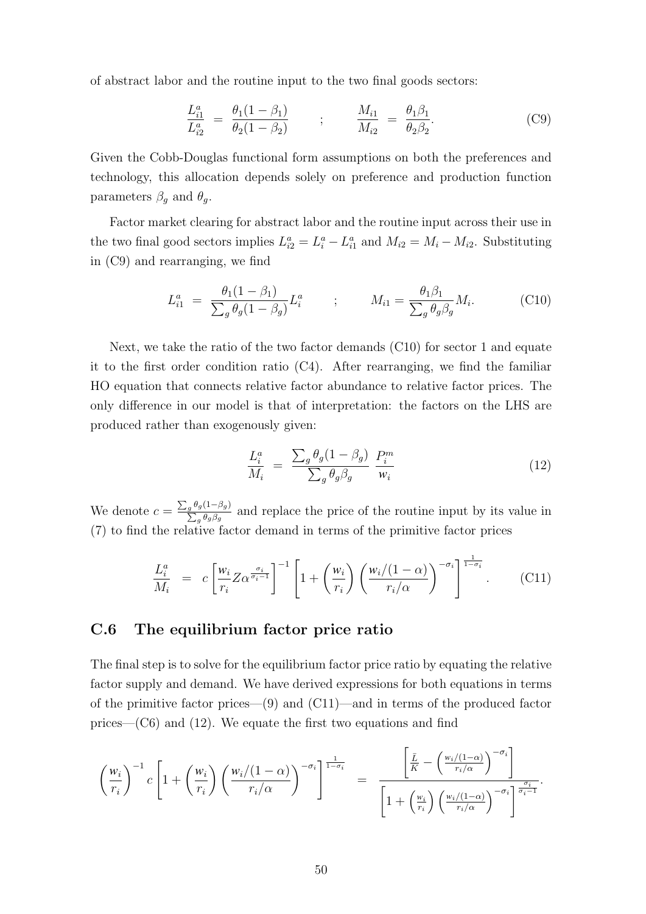of abstract labor and the routine input to the two final goods sectors:

$$
\frac{L_{i1}^a}{L_{i2}^a} = \frac{\theta_1 (1 - \beta_1)}{\theta_2 (1 - \beta_2)} \qquad ; \qquad \frac{M_{i1}}{M_{i2}} = \frac{\theta_1 \beta_1}{\theta_2 \beta_2}.
$$
 (C9)

Given the Cobb-Douglas functional form assumptions on both the preferences and technology, this allocation depends solely on preference and production function parameters  $\beta_g$  and  $\theta_g$ .

Factor market clearing for abstract labor and the routine input across their use in the two final good sectors implies  $L_{i2}^a = L_i^a - L_{i1}^a$  and  $M_{i2} = M_i - M_{i2}$ . Substituting in (C9) and rearranging, we find

$$
L_{i1}^{a} = \frac{\theta_{1}(1-\beta_{1})}{\sum_{g} \theta_{g}(1-\beta_{g})} L_{i}^{a} \qquad ; \qquad M_{i1} = \frac{\theta_{1}\beta_{1}}{\sum_{g} \theta_{g}\beta_{g}} M_{i}.
$$
 (C10)

Next, we take the ratio of the two factor demands (C10) for sector 1 and equate it to the first order condition ratio  $(C4)$ . After rearranging, we find the familiar HO equation that connects relative factor abundance to relative factor prices. The only difference in our model is that of interpretation: the factors on the LHS are produced rather than exogenously given:

$$
\frac{L_i^a}{M_i} = \frac{\sum_g \theta_g (1 - \beta_g)}{\sum_g \theta_g \beta_g} \frac{P_i^m}{w_i} \tag{12}
$$

We denote  $c = \frac{\sum_g \theta_g (1-\beta_g)}{\sum_g \theta_g}$  $\frac{g^{g}g(1-p_g)}{\sum_g \theta_g \beta_g}$  and replace the price of the routine input by its value in (7) to find the relative factor demand in terms of the primitive factor prices

$$
\frac{L_i^a}{M_i} = c \left[ \frac{w_i}{r_i} Z \alpha^{\frac{\sigma_i}{\sigma_i - 1}} \right]^{-1} \left[ 1 + \left( \frac{w_i}{r_i} \right) \left( \frac{w_i/(1 - \alpha)}{r_i/\alpha} \right)^{-\sigma_i} \right]^{\frac{1}{1 - \sigma_i}}.
$$
 (C11)

### C.6 The equilibrium factor price ratio

The final step is to solve for the equilibrium factor price ratio by equating the relative factor supply and demand. We have derived expressions for both equations in terms of the primitive factor prices—(9) and (C11)—and in terms of the produced factor prices— $(C6)$  and  $(12)$ . We equate the first two equations and find

$$
\left(\frac{w_i}{r_i}\right)^{-1} c \left[1 + \left(\frac{w_i}{r_i}\right) \left(\frac{w_i/(1-\alpha)}{r_i/\alpha}\right)^{-\sigma_i}\right]^{\frac{1}{1-\sigma_i}} = \frac{\left[\frac{\bar{L}}{K} - \left(\frac{w_i/(1-\alpha)}{r_i/\alpha}\right)^{-\sigma_i}\right]}{\left[1 + \left(\frac{w_i}{r_i}\right) \left(\frac{w_i/(1-\alpha)}{r_i/\alpha}\right)^{-\sigma_i}\right]^{\frac{\sigma_i}{\sigma_i-1}}}.
$$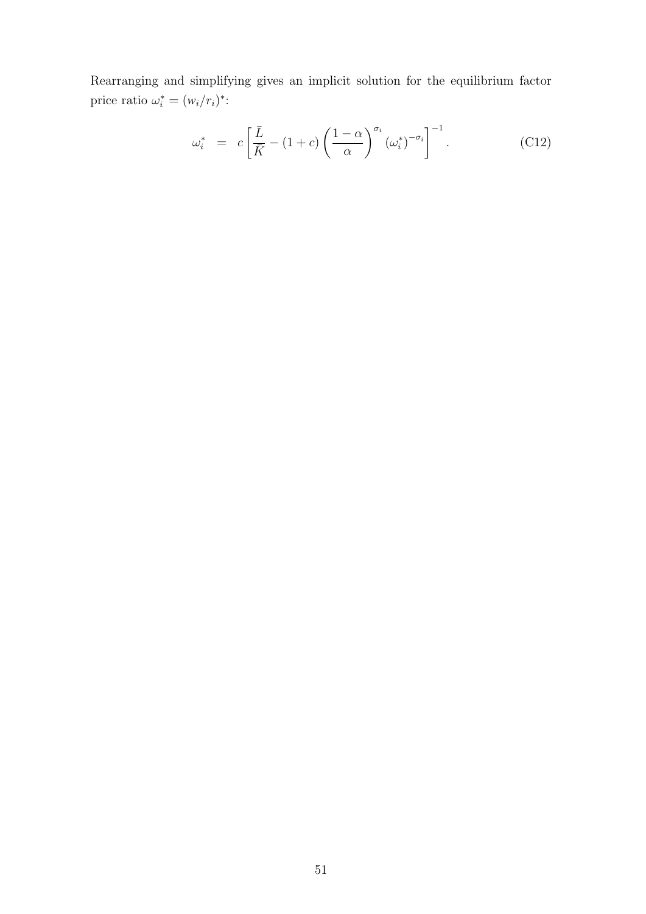Rearranging and simplifying gives an implicit solution for the equilibrium factor price ratio  $\omega_i^* = (w_i/r_i)^*$ :

$$
\omega_i^* = c \left[ \frac{\bar{L}}{\bar{K}} - (1+c) \left( \frac{1-\alpha}{\alpha} \right)^{\sigma_i} \left( \omega_i^* \right)^{-\sigma_i} \right]^{-1} . \tag{C12}
$$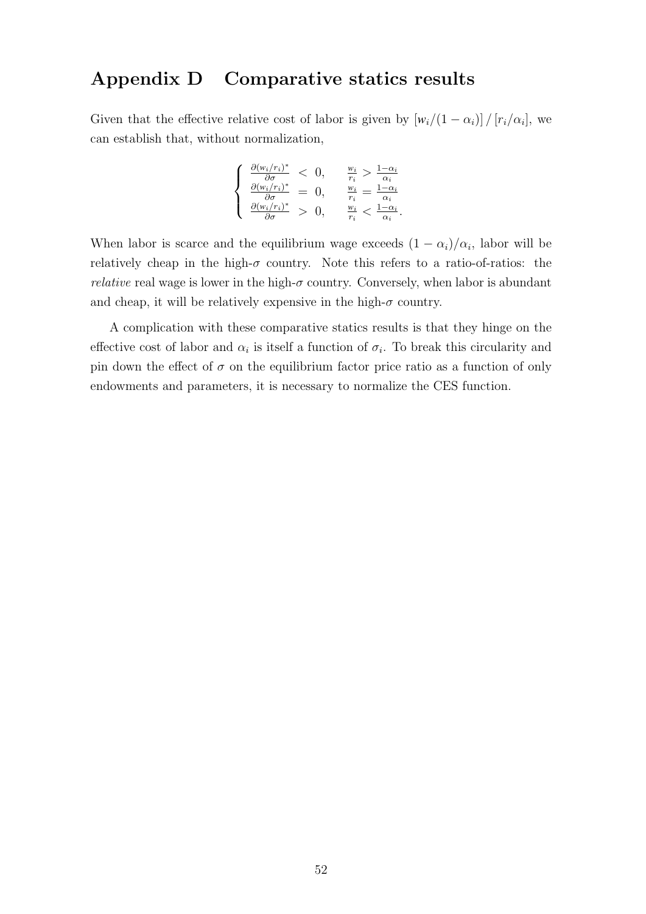## Appendix D Comparative statics results

Given that the effective relative cost of labor is given by  $\left[w_i/(1-\alpha_i)\right]/\left[r_i/\alpha_i\right]$ , we can establish that, without normalization,

$$
\begin{cases} \n\frac{\partial (w_i/r_i)^*}{\partial \sigma} < 0, \quad \frac{w_i}{r_i} > \frac{1-\alpha_i}{\alpha_i} \\
\frac{\partial (w_i/r_i)^*}{\partial \sigma} &= 0, \quad \frac{w_i}{r_i} = \frac{1-\alpha_i}{\alpha_i} \\
\frac{\partial (w_i/r_i)^*}{\partial \sigma} > 0, \quad \frac{w_i}{r_i} < \frac{1-\alpha_i}{\alpha_i}.\n\end{cases}
$$

When labor is scarce and the equilibrium wage exceeds  $(1 - \alpha_i)/\alpha_i$ , labor will be relatively cheap in the high- $\sigma$  country. Note this refers to a ratio-of-ratios: the *relative* real wage is lower in the high- $\sigma$  country. Conversely, when labor is abundant and cheap, it will be relatively expensive in the high- $\sigma$  country.

A complication with these comparative statics results is that they hinge on the effective cost of labor and  $\alpha_i$  is itself a function of  $\sigma_i$ . To break this circularity and pin down the effect of  $\sigma$  on the equilibrium factor price ratio as a function of only endowments and parameters, it is necessary to normalize the CES function.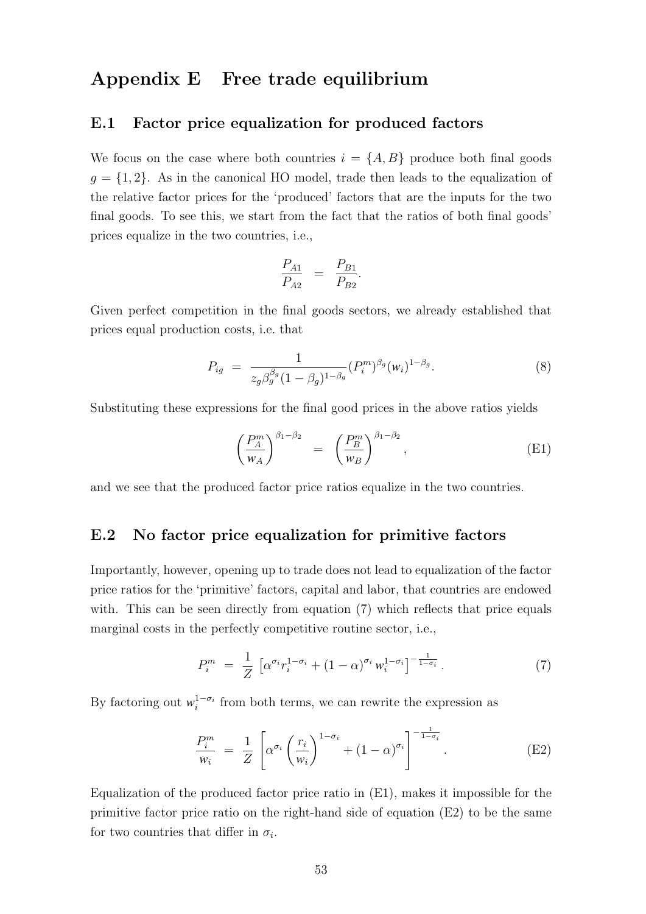## Appendix E Free trade equilibrium

### E.1 Factor price equalization for produced factors

We focus on the case where both countries  $i = \{A, B\}$  produce both final goods  $g = \{1, 2\}$ . As in the canonical HO model, trade then leads to the equalization of the relative factor prices for the 'produced' factors that are the inputs for the two final goods. To see this, we start from the fact that the ratios of both final goods' prices equalize in the two countries, i.e.,

$$
\frac{P_{A1}}{P_{A2}} = \frac{P_{B1}}{P_{B2}}.
$$

Given perfect competition in the final goods sectors, we already established that prices equal production costs, i.e. that

$$
P_{ig} = \frac{1}{z_g \beta_g^{\beta_g} (1 - \beta_g)^{1 - \beta_g}} (P_i^m)^{\beta_g} (w_i)^{1 - \beta_g}.
$$
 (8)

Substituting these expressions for the final good prices in the above ratios yields

$$
\left(\frac{P_A^m}{w_A}\right)^{\beta_1-\beta_2} = \left(\frac{P_B^m}{w_B}\right)^{\beta_1-\beta_2},\tag{E1}
$$

and we see that the produced factor price ratios equalize in the two countries.

### E.2 No factor price equalization for primitive factors

Importantly, however, opening up to trade does not lead to equalization of the factor price ratios for the 'primitive' factors, capital and labor, that countries are endowed with. This can be seen directly from equation (7) which reflects that price equals marginal costs in the perfectly competitive routine sector, i.e.,

$$
P_i^m = \frac{1}{Z} \left[ \alpha^{\sigma_i} r_i^{1-\sigma_i} + (1-\alpha)^{\sigma_i} w_i^{1-\sigma_i} \right]^{-\frac{1}{1-\sigma_i}}.
$$
 (7)

By factoring out  $w_i^{1-\sigma_i}$  from both terms, we can rewrite the expression as

$$
\frac{P_i^m}{w_i} = \frac{1}{Z} \left[ \alpha^{\sigma_i} \left( \frac{r_i}{w_i} \right)^{1 - \sigma_i} + (1 - \alpha)^{\sigma_i} \right]^{-\frac{1}{1 - \sigma_i}}.
$$
 (E2)

Equalization of the produced factor price ratio in (E1), makes it impossible for the primitive factor price ratio on the right-hand side of equation (E2) to be the same for two countries that differ in  $\sigma_i$ .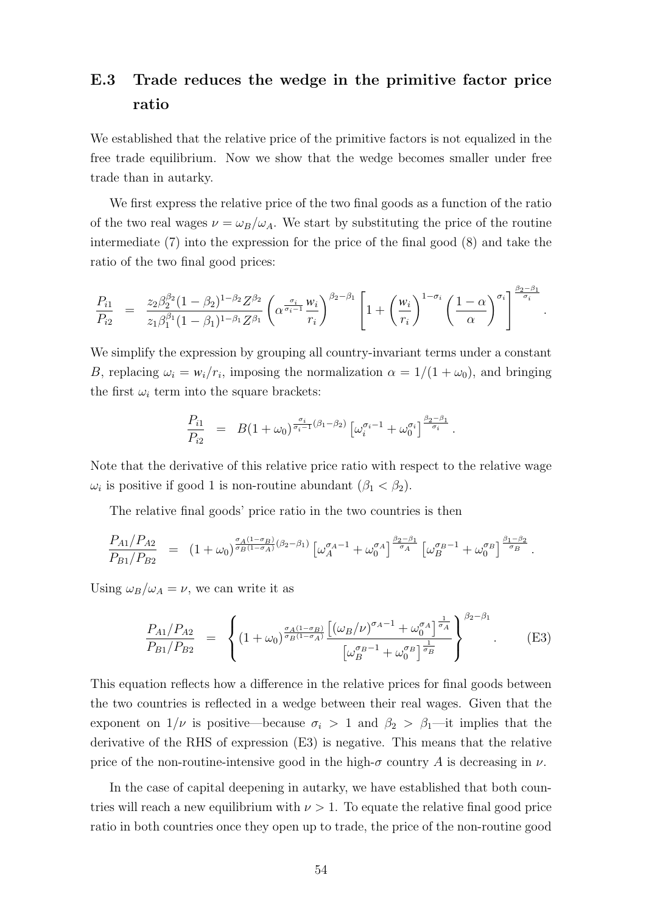# E.3 Trade reduces the wedge in the primitive factor price ratio

We established that the relative price of the primitive factors is not equalized in the free trade equilibrium. Now we show that the wedge becomes smaller under free trade than in autarky.

We first express the relative price of the two final goods as a function of the ratio of the two real wages  $\nu = \omega_B/\omega_A$ . We start by substituting the price of the routine intermediate (7) into the expression for the price of the final good (8) and take the ratio of the two final good prices:

$$
\frac{P_{i1}}{P_{i2}} = \frac{z_2 \beta_2^{\beta_2} (1 - \beta_2)^{1 - \beta_2} Z^{\beta_2}}{z_1 \beta_1^{\beta_1} (1 - \beta_1)^{1 - \beta_1} Z^{\beta_1}} \left( \alpha^{\frac{\sigma_i}{\sigma_i - 1}} \frac{w_i}{r_i} \right)^{\beta_2 - \beta_1} \left[ 1 + \left( \frac{w_i}{r_i} \right)^{1 - \sigma_i} \left( \frac{1 - \alpha}{\alpha} \right)^{\sigma_i} \right]^{\frac{\beta_2 - \beta_1}{\sigma_i}}
$$

.

We simplify the expression by grouping all country-invariant terms under a constant B, replacing  $\omega_i = \frac{w_i}{r_i}$ , imposing the normalization  $\alpha = \frac{1}{(1 + \omega_0)}$ , and bringing the first  $\omega_i$  term into the square brackets:

$$
\frac{P_{i1}}{P_{i2}} = B(1+\omega_0)^{\frac{\sigma_i}{\sigma_i-1}(\beta_1-\beta_2)} \left[\omega_i^{\sigma_i-1} + \omega_0^{\sigma_i}\right]^{\frac{\beta_2-\beta_1}{\sigma_i}}.
$$

Note that the derivative of this relative price ratio with respect to the relative wage  $\omega_i$  is positive if good 1 is non-routine abundant  $(\beta_1 < \beta_2)$ .

The relative final goods' price ratio in the two countries is then

$$
\frac{P_{A1}/P_{A2}}{P_{B1}/P_{B2}} = (1+\omega_0)^{\frac{\sigma_A(1-\sigma_B)}{\sigma_B(1-\sigma_A)}(\beta_2-\beta_1)} \left[\omega_A^{\sigma_A-1} + \omega_0^{\sigma_A}\right]^{\frac{\beta_2-\beta_1}{\sigma_A}} \left[\omega_B^{\sigma_B-1} + \omega_0^{\sigma_B}\right]^{\frac{\beta_1-\beta_2}{\sigma_B}}.
$$

Using  $\omega_B/\omega_A = \nu$ , we can write it as

$$
\frac{P_{A1}/P_{A2}}{P_{B1}/P_{B2}} = \left\{ (1 + \omega_0)^{\frac{\sigma_A(1 - \sigma_B)}{\sigma_B(1 - \sigma_A)}} \frac{\left[ (\omega_B/\nu)^{\sigma_A - 1} + \omega_0^{\sigma_A} \right]_{\sigma_A}^{\frac{1}{\sigma_A}}}{\left[ \omega_B^{\sigma_B - 1} + \omega_0^{\sigma_B} \right]_{\sigma_B}^{\frac{1}{\sigma_B}}} \right\}^{\beta_2 - \beta_1} . \tag{E3}
$$

This equation reflects how a difference in the relative prices for final goods between the two countries is reflected in a wedge between their real wages. Given that the exponent on  $1/\nu$  is positive—because  $\sigma_i > 1$  and  $\beta_2 > \beta_1$ —it implies that the derivative of the RHS of expression (E3) is negative. This means that the relative price of the non-routine-intensive good in the high- $\sigma$  country A is decreasing in  $\nu$ .

In the case of capital deepening in autarky, we have established that both countries will reach a new equilibrium with  $\nu > 1$ . To equate the relative final good price ratio in both countries once they open up to trade, the price of the non-routine good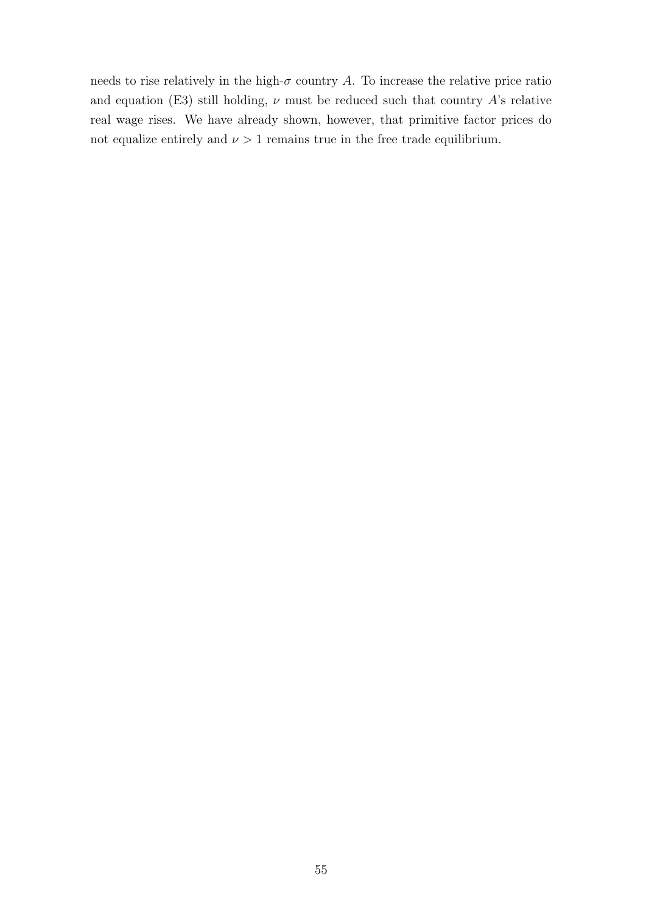needs to rise relatively in the high- $\sigma$  country A. To increase the relative price ratio and equation (E3) still holding,  $\nu$  must be reduced such that country A's relative real wage rises. We have already shown, however, that primitive factor prices do not equalize entirely and  $\nu > 1$  remains true in the free trade equilibrium.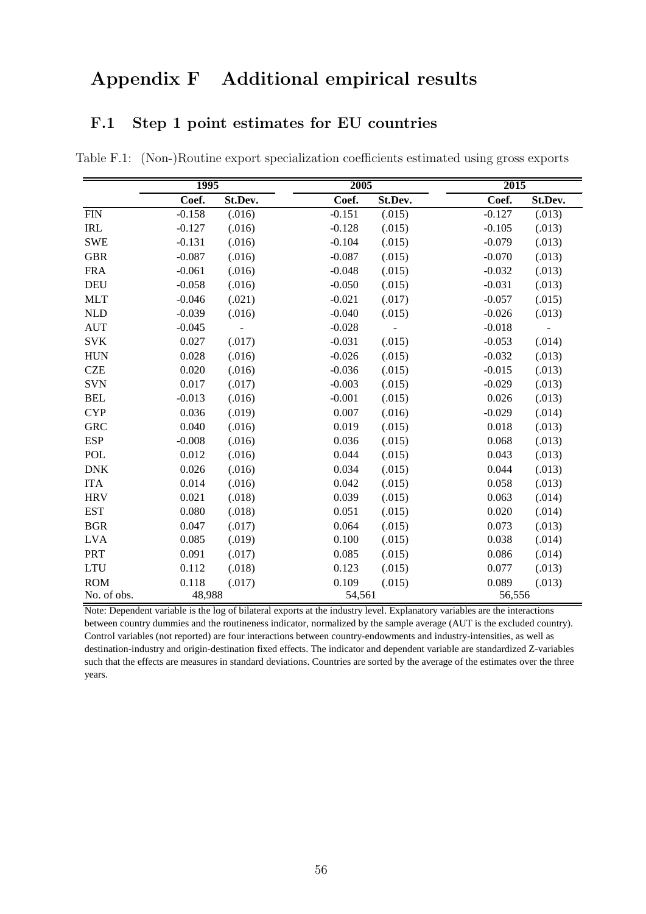# Appendix F Additional empirical results

## F.1 Step 1 point estimates for EU countries

Table F.1: (Non-)Routine export specialization coefficients estimated using gross exports

|             | 1995     |         | 2005     |         | 2015     |         |
|-------------|----------|---------|----------|---------|----------|---------|
|             | Coef.    | St.Dev. | Coef.    | St.Dev. | Coef.    | St.Dev. |
| <b>FIN</b>  | $-0.158$ | (.016)  | $-0.151$ | (.015)  | $-0.127$ | (.013)  |
| <b>IRL</b>  | $-0.127$ | (.016)  | $-0.128$ | (.015)  | $-0.105$ | (.013)  |
| <b>SWE</b>  | $-0.131$ | (.016)  | $-0.104$ | (.015)  | $-0.079$ | (.013)  |
| <b>GBR</b>  | $-0.087$ | (.016)  | $-0.087$ | (.015)  | $-0.070$ | (.013)  |
| <b>FRA</b>  | $-0.061$ | (.016)  | $-0.048$ | (.015)  | $-0.032$ | (.013)  |
| DEU         | $-0.058$ | (.016)  | $-0.050$ | (.015)  | $-0.031$ | (.013)  |
| <b>MLT</b>  | $-0.046$ | (.021)  | $-0.021$ | (.017)  | $-0.057$ | (.015)  |
| <b>NLD</b>  | $-0.039$ | (.016)  | $-0.040$ | (.015)  | $-0.026$ | (.013)  |
| <b>AUT</b>  | $-0.045$ |         | $-0.028$ |         | $-0.018$ |         |
| <b>SVK</b>  | 0.027    | (.017)  | $-0.031$ | (.015)  | $-0.053$ | (.014)  |
| <b>HUN</b>  | 0.028    | (.016)  | $-0.026$ | (.015)  | $-0.032$ | (.013)  |
| <b>CZE</b>  | 0.020    | (.016)  | $-0.036$ | (.015)  | $-0.015$ | (.013)  |
| <b>SVN</b>  | 0.017    | (.017)  | $-0.003$ | (.015)  | $-0.029$ | (.013)  |
| <b>BEL</b>  | $-0.013$ | (.016)  | $-0.001$ | (.015)  | 0.026    | (.013)  |
| <b>CYP</b>  | 0.036    | (.019)  | 0.007    | (.016)  | $-0.029$ | (.014)  |
| <b>GRC</b>  | 0.040    | (.016)  | 0.019    | (.015)  | 0.018    | (.013)  |
| <b>ESP</b>  | $-0.008$ | (.016)  | 0.036    | (.015)  | 0.068    | (.013)  |
| POL         | 0.012    | (.016)  | 0.044    | (.015)  | 0.043    | (.013)  |
| <b>DNK</b>  | 0.026    | (.016)  | 0.034    | (.015)  | 0.044    | (.013)  |
| <b>ITA</b>  | 0.014    | (.016)  | 0.042    | (.015)  | 0.058    | (.013)  |
| <b>HRV</b>  | 0.021    | (.018)  | 0.039    | (.015)  | 0.063    | (.014)  |
| <b>EST</b>  | 0.080    | (.018)  | 0.051    | (.015)  | 0.020    | (.014)  |
| <b>BGR</b>  | 0.047    | (.017)  | 0.064    | (.015)  | 0.073    | (.013)  |
| <b>LVA</b>  | 0.085    | (.019)  | 0.100    | (.015)  | 0.038    | (.014)  |
| PRT         | 0.091    | (.017)  | 0.085    | (.015)  | 0.086    | (.014)  |
| <b>LTU</b>  | 0.112    | (.018)  | 0.123    | (.015)  | 0.077    | (.013)  |
| <b>ROM</b>  | 0.118    | (.017)  | 0.109    | (.015)  | 0.089    | (.013)  |
| No. of obs. | 48,988   |         | 54,561   |         | 56,556   |         |

Note: Dependent variable is the log of bilateral exports at the industry level. Explanatory variables are the interactions between country dummies and the routineness indicator, normalized by the sample average (AUT is the excluded country). Control variables (not reported) are four interactions between country-endowments and industry-intensities, as well as destination-industry and origin-destination fixed effects. The indicator and dependent variable are standardized Z-variables such that the effects are measures in standard deviations. Countries are sorted by the average of the estimates over the three years.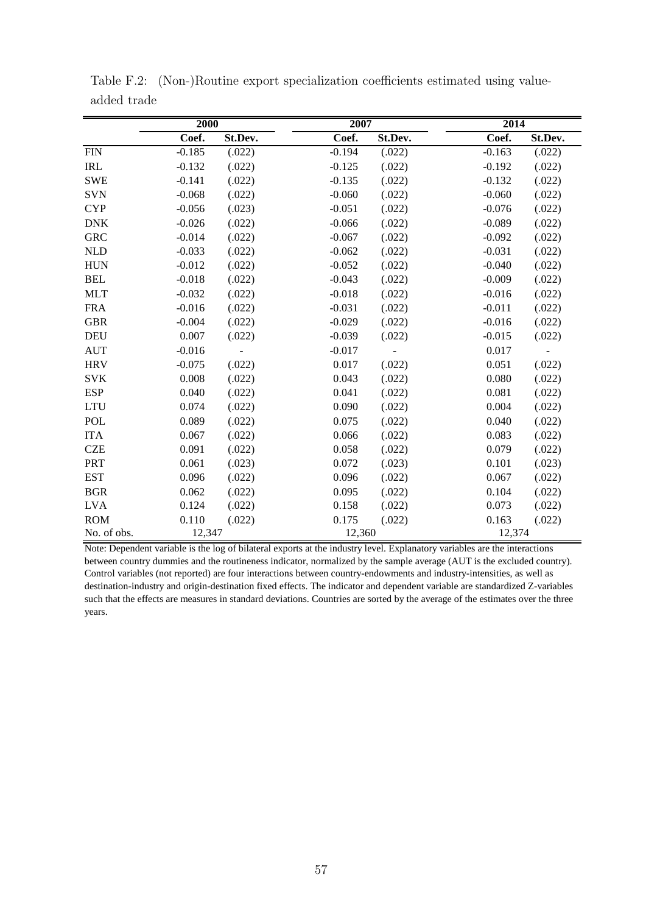|             | 2000     |         | 2007     |                | 2014     |                          |
|-------------|----------|---------|----------|----------------|----------|--------------------------|
|             | Coef.    | St.Dev. | Coef.    | St.Dev.        | Coef.    | St.Dev.                  |
| <b>FIN</b>  | $-0.185$ | (.022)  | $-0.194$ | (.022)         | $-0.163$ | (.022)                   |
| IRL         | $-0.132$ | (.022)  | $-0.125$ | (.022)         | $-0.192$ | (.022)                   |
| <b>SWE</b>  | $-0.141$ | (.022)  | $-0.135$ | (.022)         | $-0.132$ | (.022)                   |
| <b>SVN</b>  | $-0.068$ | (.022)  | $-0.060$ | (.022)         | $-0.060$ | (.022)                   |
| <b>CYP</b>  | $-0.056$ | (.023)  | $-0.051$ | (.022)         | $-0.076$ | (.022)                   |
| <b>DNK</b>  | $-0.026$ | (.022)  | $-0.066$ | (.022)         | $-0.089$ | (.022)                   |
| <b>GRC</b>  | $-0.014$ | (.022)  | $-0.067$ | (.022)         | $-0.092$ | (.022)                   |
| <b>NLD</b>  | $-0.033$ | (.022)  | $-0.062$ | (.022)         | $-0.031$ | (.022)                   |
| <b>HUN</b>  | $-0.012$ | (.022)  | $-0.052$ | (.022)         | $-0.040$ | (.022)                   |
| <b>BEL</b>  | $-0.018$ | (.022)  | $-0.043$ | (.022)         | $-0.009$ | (.022)                   |
| <b>MLT</b>  | $-0.032$ | (.022)  | $-0.018$ | (.022)         | $-0.016$ | (.022)                   |
| <b>FRA</b>  | $-0.016$ | (.022)  | $-0.031$ | (.022)         | $-0.011$ | (.022)                   |
| <b>GBR</b>  | $-0.004$ | (.022)  | $-0.029$ | (.022)         | $-0.016$ | (.022)                   |
| <b>DEU</b>  | 0.007    | (.022)  | $-0.039$ | (.022)         | $-0.015$ | (.022)                   |
| <b>AUT</b>  | $-0.016$ | -       | $-0.017$ | $\blacksquare$ | 0.017    | $\overline{\phantom{a}}$ |
| <b>HRV</b>  | $-0.075$ | (.022)  | 0.017    | (.022)         | 0.051    | (.022)                   |
| <b>SVK</b>  | 0.008    | (.022)  | 0.043    | (.022)         | 0.080    | (.022)                   |
| <b>ESP</b>  | 0.040    | (.022)  | 0.041    | (.022)         | 0.081    | (.022)                   |
| <b>LTU</b>  | 0.074    | (.022)  | 0.090    | (.022)         | 0.004    | (.022)                   |
| <b>POL</b>  | 0.089    | (.022)  | 0.075    | (.022)         | 0.040    | (.022)                   |
| <b>ITA</b>  | 0.067    | (.022)  | 0.066    | (.022)         | 0.083    | (.022)                   |
| <b>CZE</b>  | 0.091    | (.022)  | 0.058    | (.022)         | 0.079    | (.022)                   |
| PRT         | 0.061    | (.023)  | 0.072    | (.023)         | 0.101    | (.023)                   |
| <b>EST</b>  | 0.096    | (.022)  | 0.096    | (.022)         | 0.067    | (.022)                   |
| <b>BGR</b>  | 0.062    | (.022)  | 0.095    | (.022)         | 0.104    | (.022)                   |
| <b>LVA</b>  | 0.124    | (.022)  | 0.158    | (.022)         | 0.073    | (.022)                   |
| <b>ROM</b>  | 0.110    | (.022)  | 0.175    | (.022)         | 0.163    | (.022)                   |
| No. of obs. | 12,347   |         | 12,360   |                | 12,374   |                          |

Table F.2: (Non-)Routine export specialization coefficients estimated using valueadded trade

Note: Dependent variable is the log of bilateral exports at the industry level. Explanatory variables are the interactions between country dummies and the routineness indicator, normalized by the sample average (AUT is the excluded country). Control variables (not reported) are four interactions between country-endowments and industry-intensities, as well as destination-industry and origin-destination fixed effects. The indicator and dependent variable are standardized Z-variables such that the effects are measures in standard deviations. Countries are sorted by the average of the estimates over the three years.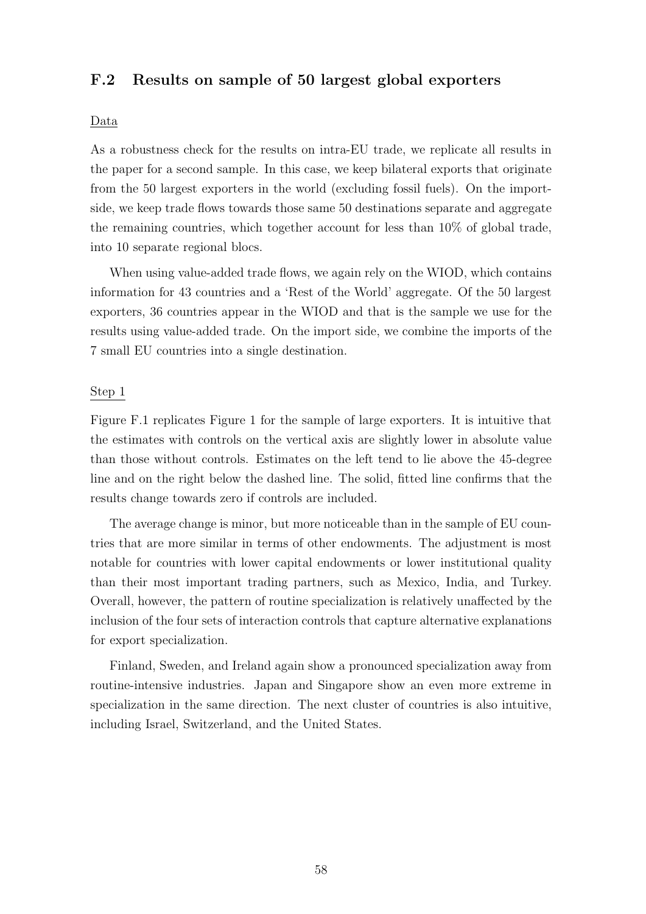## F.2 Results on sample of 50 largest global exporters

### Data

As a robustness check for the results on intra-EU trade, we replicate all results in the paper for a second sample. In this case, we keep bilateral exports that originate from the 50 largest exporters in the world (excluding fossil fuels). On the importside, we keep trade flows towards those same 50 destinations separate and aggregate the remaining countries, which together account for less than 10% of global trade, into 10 separate regional blocs.

When using value-added trade flows, we again rely on the WIOD, which contains information for 43 countries and a 'Rest of the World' aggregate. Of the 50 largest exporters, 36 countries appear in the WIOD and that is the sample we use for the results using value-added trade. On the import side, we combine the imports of the 7 small EU countries into a single destination.

### Step 1

Figure F.1 replicates Figure 1 for the sample of large exporters. It is intuitive that the estimates with controls on the vertical axis are slightly lower in absolute value than those without controls. Estimates on the left tend to lie above the 45-degree line and on the right below the dashed line. The solid, fitted line confirms that the results change towards zero if controls are included.

The average change is minor, but more noticeable than in the sample of EU countries that are more similar in terms of other endowments. The adjustment is most notable for countries with lower capital endowments or lower institutional quality than their most important trading partners, such as Mexico, India, and Turkey. Overall, however, the pattern of routine specialization is relatively unaffected by the inclusion of the four sets of interaction controls that capture alternative explanations for export specialization.

Finland, Sweden, and Ireland again show a pronounced specialization away from routine-intensive industries. Japan and Singapore show an even more extreme in specialization in the same direction. The next cluster of countries is also intuitive, including Israel, Switzerland, and the United States.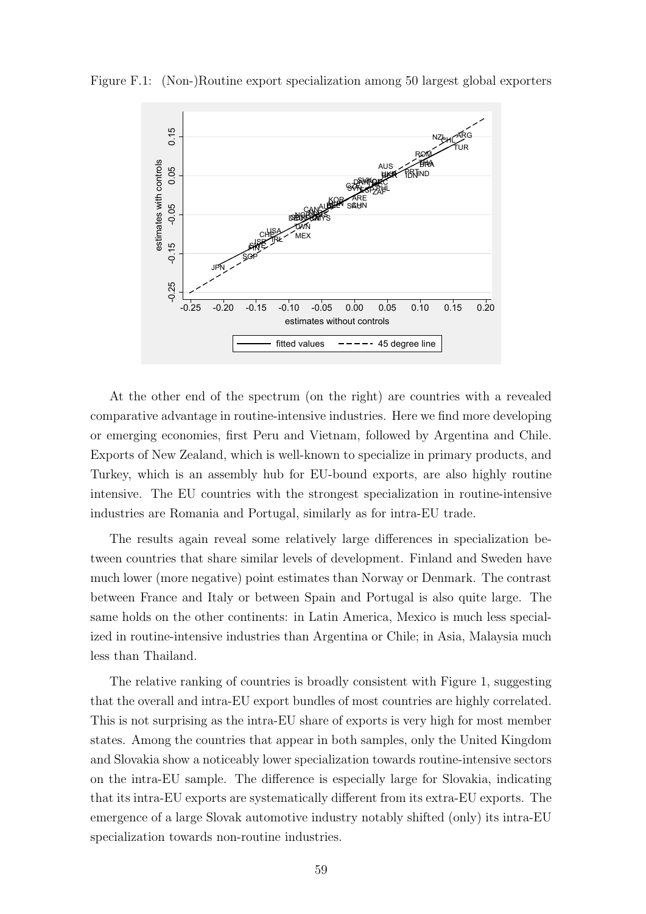Figure F.1: (Non-)Routine export specialization among 50 largest global exporters



At the other end of the spectrum (on the right) are countries with a revealed comparative advantage in routine-intensive industries. Here we find more developing or emerging economies, first Peru and Vietnam, followed by Argentina and Chile. Exports of New Zealand, which is well-known to specialize in primary products, and Turkey, which is an assembly hub for EU-bound exports, are also highly routine intensive. The EU countries with the strongest specialization in routine-intensive industries are Romania and Portugal, similarly as for intra-EU trade.

The results again reveal some relatively large differences in specialization between countries that share similar levels of development. Finland and Sweden have much lower (more negative) point estimates than Norway or Denmark. The contrast between France and Italy or between Spain and Portugal is also quite large. The same holds on the other continents: in Latin America, Mexico is much less specialized in routine-intensive industries than Argentina or Chile; in Asia, Malaysia much less than Thailand.

The relative ranking of countries is broadly consistent with Figure 1, suggesting that the overall and intra-EU export bundles of most countries are highly correlated. This is not surprising as the intra-EU share of exports is very high for most member states. Among the countries that appear in both samples, only the United Kingdom and Slovakia show a noticeably lower specialization towards routine-intensive sectors on the intra-EU sample. The difference is especially large for Slovakia, indicating that its intra-EU exports are systematically different from its extra-EU exports. The emergence of a large Slovak automotive industry notably shifted (only) its intra-EU specialization towards non-routine industries.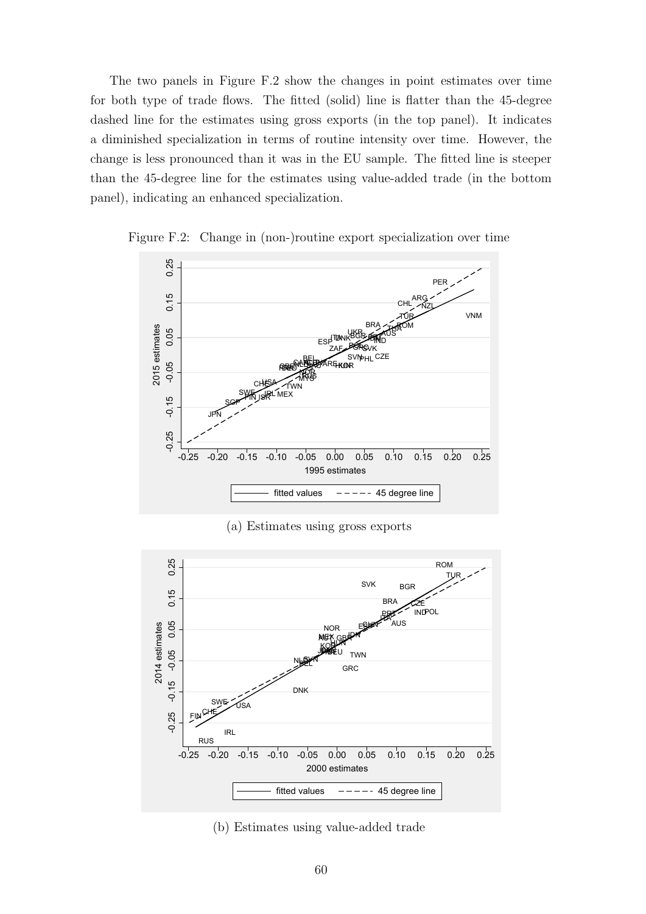The two panels in Figure F.2 show the changes in point estimates over time for both type of trade flows. The fitted (solid) line is flatter than the 45-degree dashed line for the estimates using gross exports (in the top panel). It indicates a diminished specialization in terms of routine intensity over time. However, the change is less pronounced than it was in the EU sample. The fitted line is steeper than the 45-degree line for the estimates using value-added trade (in the bottom panel), indicating an enhanced specialization.



Figure F.2: Change in (non-)routine export specialization over time

(a) Estimates using gross exports



(b) Estimates using value-added trade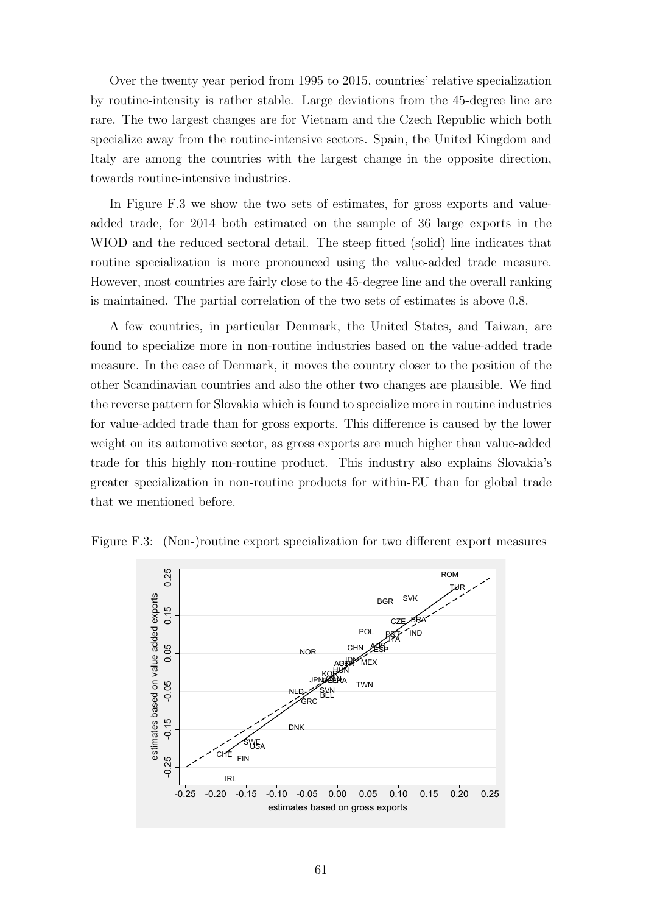Over the twenty year period from 1995 to 2015, countries' relative specialization by routine-intensity is rather stable. Large deviations from the 45-degree line are rare. The two largest changes are for Vietnam and the Czech Republic which both specialize away from the routine-intensive sectors. Spain, the United Kingdom and Italy are among the countries with the largest change in the opposite direction, towards routine-intensive industries.

In Figure F.3 we show the two sets of estimates, for gross exports and valueadded trade, for 2014 both estimated on the sample of 36 large exports in the WIOD and the reduced sectoral detail. The steep fitted (solid) line indicates that routine specialization is more pronounced using the value-added trade measure. However, most countries are fairly close to the 45-degree line and the overall ranking is maintained. The partial correlation of the two sets of estimates is above 0.8.

A few countries, in particular Denmark, the United States, and Taiwan, are found to specialize more in non-routine industries based on the value-added trade measure. In the case of Denmark, it moves the country closer to the position of the other Scandinavian countries and also the other two changes are plausible. We find the reverse pattern for Slovakia which is found to specialize more in routine industries for value-added trade than for gross exports. This difference is caused by the lower weight on its automotive sector, as gross exports are much higher than value-added trade for this highly non-routine product. This industry also explains Slovakia's greater specialization in non-routine products for within-EU than for global trade that we mentioned before.



Figure F.3: (Non-)routine export specialization for two different export measures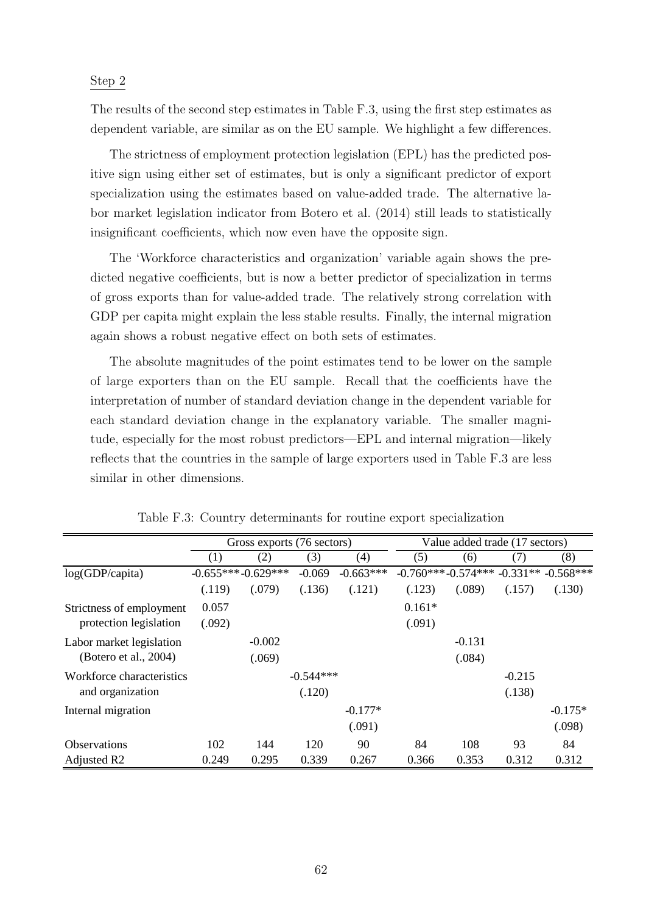### Step 2

The results of the second step estimates in Table F.3, using the first step estimates as dependent variable, are similar as on the EU sample. We highlight a few differences.

The strictness of employment protection legislation (EPL) has the predicted positive sign using either set of estimates, but is only a significant predictor of export specialization using the estimates based on value-added trade. The alternative labor market legislation indicator from Botero et al. (2014) still leads to statistically insignificant coefficients, which now even have the opposite sign.

The 'Workforce characteristics and organization' variable again shows the predicted negative coefficients, but is now a better predictor of specialization in terms of gross exports than for value-added trade. The relatively strong correlation with GDP per capita might explain the less stable results. Finally, the internal migration again shows a robust negative effect on both sets of estimates.

The absolute magnitudes of the point estimates tend to be lower on the sample of large exporters than on the EU sample. Recall that the coefficients have the interpretation of number of standard deviation change in the dependent variable for each standard deviation change in the explanatory variable. The smaller magnitude, especially for the most robust predictors—EPL and internal migration—likely reflects that the countries in the sample of large exporters used in Table F.3 are less similar in other dimensions.

|                           |        | Gross exports (76 sectors) |             |             |          | Value added trade (17 sectors) |          |                                       |  |
|---------------------------|--------|----------------------------|-------------|-------------|----------|--------------------------------|----------|---------------------------------------|--|
|                           | (1)    | (2)                        | (3)         | (4)         | (5)      | (6)                            | (7)      | (8)                                   |  |
| log(GDP/capita)           |        | $-0.655***-0.629***$       | $-0.069$    | $-0.663***$ |          |                                |          | $-0.760***-0.574***-0.331**-0.568***$ |  |
|                           | (.119) | (.079)                     | (.136)      | (.121)      | (.123)   | (.089)                         | (.157)   | (.130)                                |  |
| Strictness of employment  | 0.057  |                            |             |             | $0.161*$ |                                |          |                                       |  |
| protection legislation    | (.092) |                            |             |             | (.091)   |                                |          |                                       |  |
| Labor market legislation  |        | $-0.002$                   |             |             |          | $-0.131$                       |          |                                       |  |
| (Botero et al., 2004)     |        | (.069)                     |             |             |          | (.084)                         |          |                                       |  |
| Workforce characteristics |        |                            | $-0.544***$ |             |          |                                | $-0.215$ |                                       |  |
| and organization          |        |                            | (.120)      |             |          |                                | (.138)   |                                       |  |
| Internal migration        |        |                            |             | $-0.177*$   |          |                                |          | $-0.175*$                             |  |
|                           |        |                            |             | (.091)      |          |                                |          | (.098)                                |  |
| <b>Observations</b>       | 102    | 144                        | 120         | 90          | 84       | 108                            | 93       | 84                                    |  |
| Adjusted R <sub>2</sub>   | 0.249  | 0.295                      | 0.339       | 0.267       | 0.366    | 0.353                          | 0.312    | 0.312                                 |  |

Table F.3: Country determinants for routine export specialization